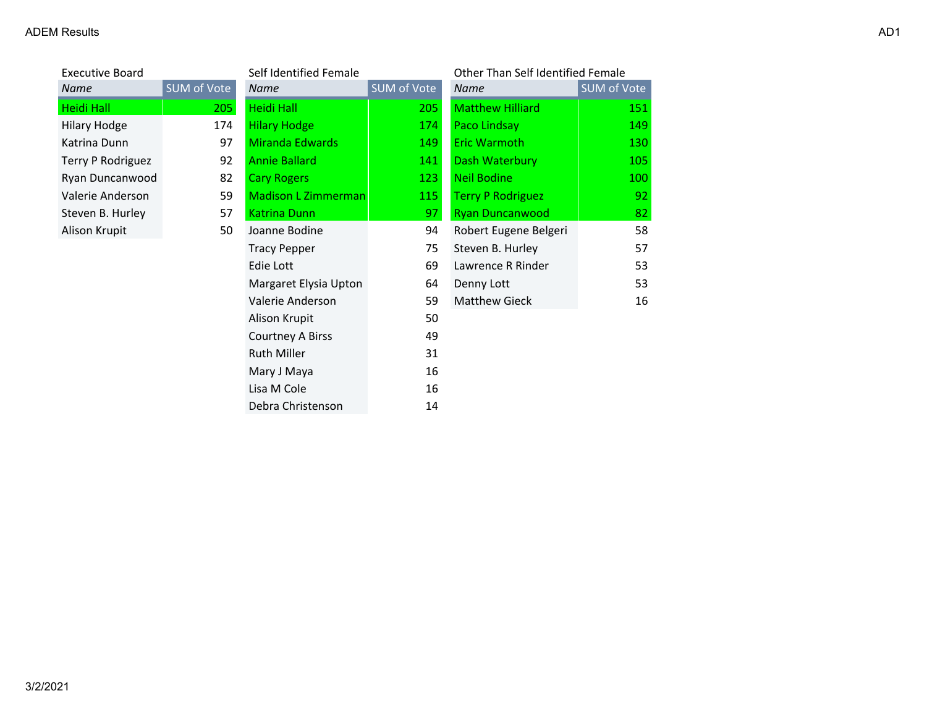| <b>Executive Board</b> |             | Self Identified Female |             | Other Than Self Identified Female |             |
|------------------------|-------------|------------------------|-------------|-----------------------------------|-------------|
| Name                   | SUM of Vote | Name                   | SUM of Vote | Name                              | SUM of Vote |
| Heidi Hall             | 205         | <b>Heidi Hall</b>      | 205         | <b>Matthew Hilliard</b>           | 151         |
| <b>Hilary Hodge</b>    | 174         | <b>Hilary Hodge</b>    | 174         | Paco Lindsay                      | 149         |
| Katrina Dunn           | 97          | Miranda Edwards        | 149         | <b>Eric Warmoth</b>               | 130         |
| Terry P Rodriguez      | 92          | <b>Annie Ballard</b>   | 141         | Dash Waterbury                    | 105         |
| Ryan Duncanwood        | 82          | <b>Cary Rogers</b>     | 123         | <b>Neil Bodine</b>                | 100         |
| Valerie Anderson       | 59          | Madison L Zimmerman    | 115         | <b>Terry P Rodriguez</b>          | 92          |
| Steven B. Hurley       | 57          | <b>Katrina Dunn</b>    | 97          | <b>Ryan Duncanwood</b>            | 82          |
| Alison Krupit          | 50          | Joanne Bodine          | 94          | Robert Eugene Belgeri             | 58          |
|                        |             | <b>Tracy Pepper</b>    | 75          | Steven B. Hurley                  | 57          |
|                        |             | Edie Lott              | 69          | Lawrence R Rinder                 | 53          |
|                        |             | Margaret Elysia Upton  | 64          | Denny Lott                        | 53          |
|                        |             | Valerie Anderson       | 59          | <b>Matthew Gieck</b>              | 16          |
|                        |             | Alison Krupit          | 50          |                                   |             |
|                        |             | Courtney A Birss       | 49          |                                   |             |
|                        |             | <b>Ruth Miller</b>     | 31          |                                   |             |
|                        |             | Mary J Maya            | 16          |                                   |             |
|                        |             | Lisa M Cole            | 16          |                                   |             |
|                        |             | Debra Christenson      | 14          |                                   |             |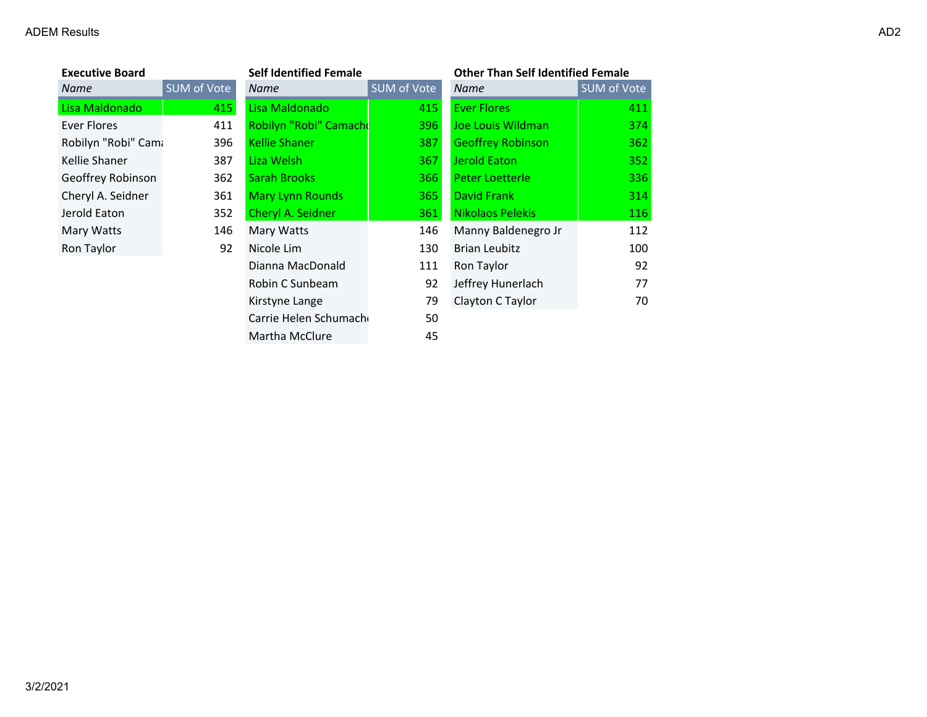#### ADEM Results and the contract of the contract of the contract of the contract of the contract of the contract of the contract of the contract of the contract of the contract of the contract of the contract of the contract

| <b>Executive Board</b> |             | <b>Self Identified Female</b> |             | <b>Other Than Self Identified Female</b> |             |
|------------------------|-------------|-------------------------------|-------------|------------------------------------------|-------------|
| Name                   | SUM of Vote | Name                          | SUM of Vote | Name                                     | SUM of Vote |
| Lisa Maldonado         | 415         | Lisa Maldonado                | 415         | <b>Ever Flores</b>                       | 411         |
| Ever Flores            | 411         | Robilyn "Robi" Camacho        | 396         | Joe Louis Wildman                        | 374         |
| Robilyn "Robi" Cama    | 396         | <b>Kellie Shaner</b>          | 387         | <b>Geoffrey Robinson</b>                 | 362         |
| Kellie Shaner          | 387         | Liza Welsh                    | 367         | <b>Jerold Eaton</b>                      | 352         |
| Geoffrey Robinson      | 362         | <b>Sarah Brooks</b>           | 366         | Peter Loetterle                          | 336         |
| Cheryl A. Seidner      | 361         | <b>Mary Lynn Rounds</b>       | 365         | David Frank                              | 314         |
| Jerold Eaton           | 352         | Cheryl A. Seidner             | 361         | <b>Nikolaos Pelekis</b>                  | 116         |
| Mary Watts             | 146         | Mary Watts                    | 146         | Manny Baldenegro Jr                      | 112         |
| Ron Taylor             | 92          | Nicole Lim                    | 130         | <b>Brian Leubitz</b>                     | 100         |
|                        |             | Dianna MacDonald              | 111         | Ron Taylor                               | 92          |
|                        |             | Robin C Sunbeam               | 92          | Jeffrey Hunerlach                        | 77          |
|                        |             | Kirstyne Lange                | 79          | Clayton C Taylor                         | 70          |
|                        |             | Carrie Helen Schumach         | 50          |                                          |             |
|                        |             | Martha McClure                | 45          |                                          |             |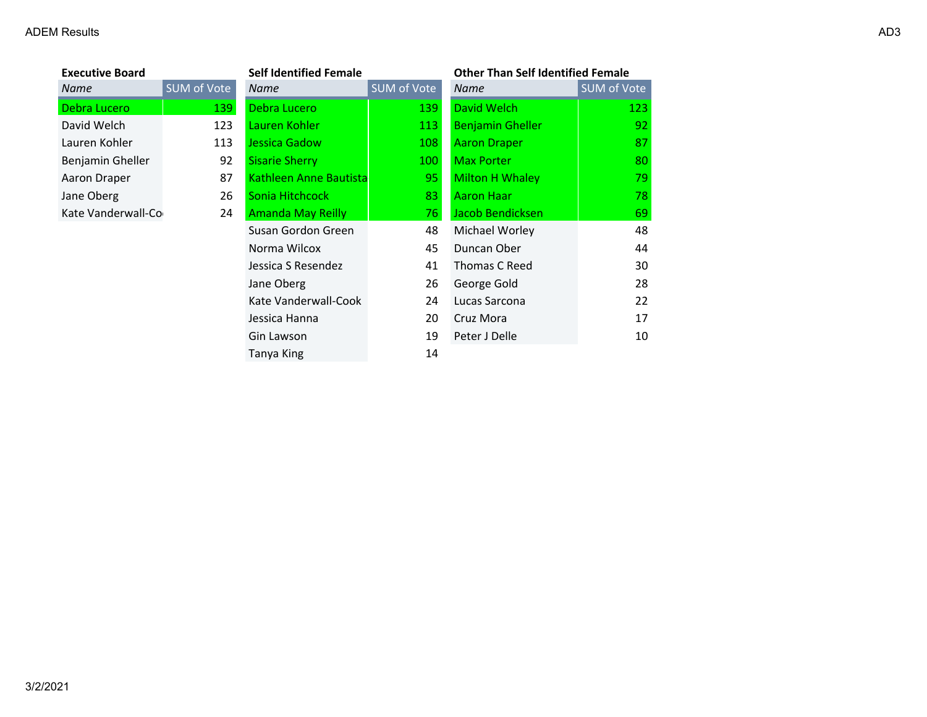| <b>Executive Board</b> |             | <b>Self Identified Female</b> |             | <b>Other Than Self Identified Female</b> |             |
|------------------------|-------------|-------------------------------|-------------|------------------------------------------|-------------|
| Name                   | SUM of Vote | Name                          | SUM of Vote | Name                                     | SUM of Vote |
| Debra Lucero           | 139         | Debra Lucero                  | 139         | David Welch                              | 123         |
| David Welch            | 123         | Lauren Kohler                 | 113         | <b>Benjamin Gheller</b>                  | 92          |
| Lauren Kohler          | 113         | Jessica Gadow                 | 108         | <b>Aaron Draper</b>                      | 87          |
| Benjamin Gheller       | 92          | <b>Sisarie Sherry</b>         | 100         | <b>Max Porter</b>                        | 80          |
| Aaron Draper           | 87          | Kathleen Anne Bautista        | 95          | Milton H Whaley                          | 79          |
| Jane Oberg             | 26          | Sonia Hitchcock               | 83          | <b>Aaron Haar</b>                        | 78          |
| Kate Vanderwall-Co     | 24          | <b>Amanda May Reilly</b>      | 76.         | Jacob Bendicksen                         | 69          |
|                        |             | Susan Gordon Green            | 48          | Michael Worley                           | 48          |
|                        |             | Norma Wilcox                  | 45          | Duncan Ober                              | 44          |
|                        |             | Jessica S Resendez            | 41          | Thomas C Reed                            | 30          |
|                        |             | Jane Oberg                    | 26          | George Gold                              | 28          |
|                        |             | Kate Vanderwall-Cook          | 24          | Lucas Sarcona                            | 22          |
|                        |             | Jessica Hanna                 | 20          | Cruz Mora                                | 17          |
|                        |             | Gin Lawson                    | 19          | Peter J Delle                            | 10          |
|                        |             | Tanya King                    | 14          |                                          |             |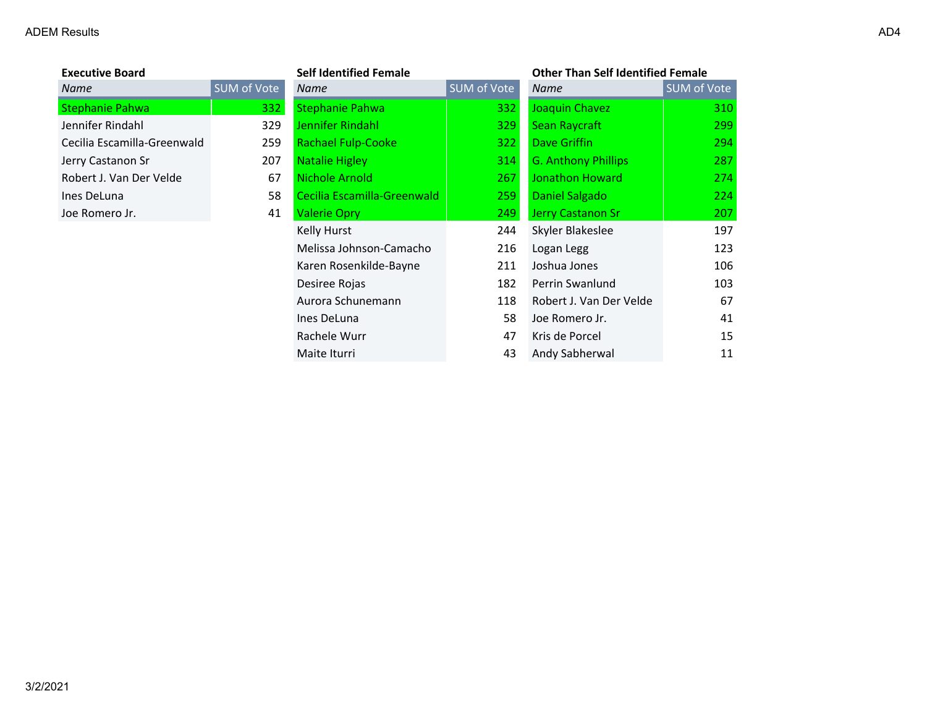| <b>Executive Board</b>      |        |
|-----------------------------|--------|
| Name                        | SUM of |
| <b>Stephanie Pahwa</b>      |        |
| Jennifer Rindahl            |        |
| Cecilia Escamilla-Greenwald |        |
| Jerry Castanon Sr           |        |
| Robert J. Van Der Velde     |        |
| Ines DeLuna                 |        |
| Joe Romero Jr.              |        |

| <b>Executive Board</b>      |             | <b>Self Identified Female</b> |             | <b>Other Than Self Identified Female</b> |             |
|-----------------------------|-------------|-------------------------------|-------------|------------------------------------------|-------------|
| Name                        | SUM of Vote | <b>Name</b>                   | SUM of Vote | <b>Name</b>                              | SUM of Vote |
| Stephanie Pahwa             | 332         | <b>Stephanie Pahwa</b>        | 332         | Joaquin Chavez                           | 310         |
| Jennifer Rindahl            | 329         | Jennifer Rindahl              | 329         | Sean Raycraft                            | 299         |
| Cecilia Escamilla-Greenwald | 259         | <b>Rachael Fulp-Cooke</b>     | 322         | Dave Griffin                             | 294         |
| Jerry Castanon Sr           | 207         | <b>Natalie Higley</b>         | 314         | <b>G. Anthony Phillips</b>               | 287         |
| Robert J. Van Der Velde     | 67          | Nichole Arnold                | 267         | Jonathon Howard                          | 274         |
| Ines DeLuna                 | 58          | Cecilia Escamilla-Greenwald   | 259         | Daniel Salgado                           | 224         |
| Joe Romero Jr.              | 41          | <b>Valerie Opry</b>           | 249         | Jerry Castanon Sr                        | 207         |
|                             |             | Kelly Hurst                   | 244         | Skyler Blakeslee                         | 197         |
|                             |             | Melissa Johnson-Camacho       | 216         | Logan Legg                               | 123         |
|                             |             | Karen Rosenkilde-Bayne        | 211         | Joshua Jones                             | 106         |
|                             |             | Desiree Rojas                 | 182         | Perrin Swanlund                          | 103         |
|                             |             | Aurora Schunemann             | 118         | Robert J. Van Der Velde                  | 67          |
|                             |             | Ines DeLuna                   | 58          | Joe Romero Jr.                           | 41          |
|                             |             | Rachele Wurr                  | 47          | Kris de Porcel                           | 15          |
|                             |             | Maite Iturri                  | 43          | Andy Sabherwal                           | 11          |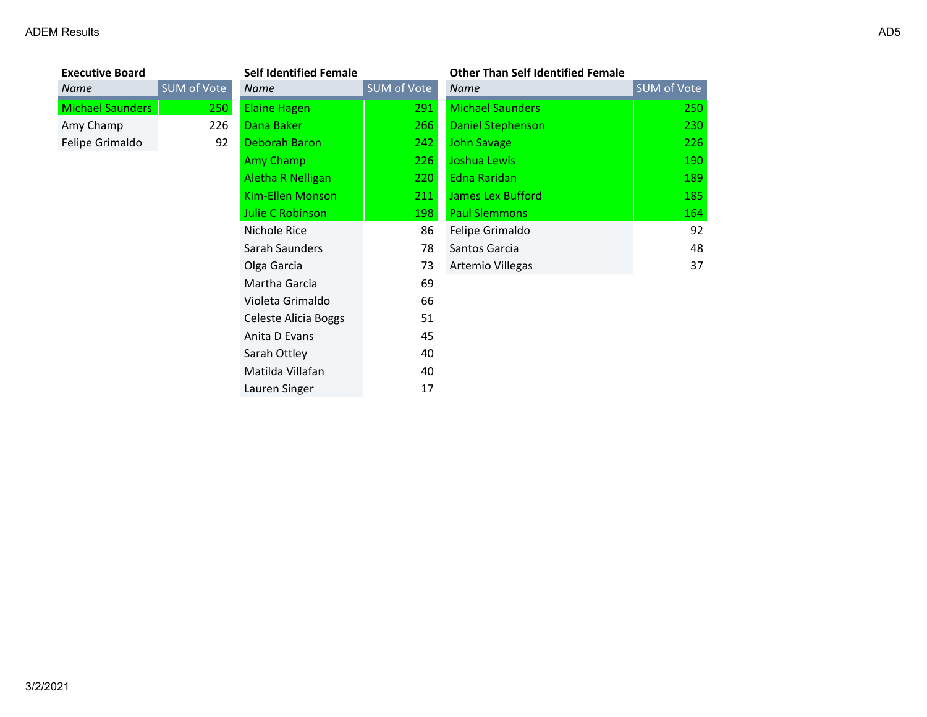| <b>Executive Board</b>  |                    | <b>Self Identified Female</b> |             | <b>Other Than Self Identified Female</b> |             |
|-------------------------|--------------------|-------------------------------|-------------|------------------------------------------|-------------|
| Name                    | <b>SUM of Vote</b> | Name                          | SUM of Vote | Name                                     | SUM of Vote |
| <b>Michael Saunders</b> | 250                | <b>Elaine Hagen</b>           | 291         | <b>Michael Saunders</b>                  | 250         |
| Amy Champ               | 226                | Dana Baker                    | 266         | <b>Daniel Stephenson</b>                 | 230         |
| Felipe Grimaldo         | 92                 | Deborah Baron                 | 242         | <b>John Savage</b>                       | 226         |
|                         |                    | Amy Champ                     | 226         | Joshua Lewis                             | 190         |
|                         |                    | Aletha R Nelligan             | 220         | Edna Raridan                             | 189         |
|                         |                    | Kim-Ellen Monson              | 211         | <b>James Lex Bufford</b>                 | 185         |
|                         |                    | Julie C Robinson              | 198         | <b>Paul Slemmons</b>                     | 164         |
|                         |                    | Nichole Rice                  | 86          | Felipe Grimaldo                          | 92          |
|                         |                    | Sarah Saunders                | 78          | Santos Garcia                            | 48          |
|                         |                    | Olga Garcia                   | 73          | Artemio Villegas                         | 37          |
|                         |                    | Martha Garcia                 | 69          |                                          |             |
|                         |                    | Violeta Grimaldo              | 66          |                                          |             |
|                         |                    | Celeste Alicia Boggs          | 51          |                                          |             |
|                         |                    | Anita D Evans                 | 45          |                                          |             |
|                         |                    | Sarah Ottley                  | 40          |                                          |             |
|                         |                    | Matilda Villafan              | 40          |                                          |             |
|                         |                    | Lauren Singer                 | 17          |                                          |             |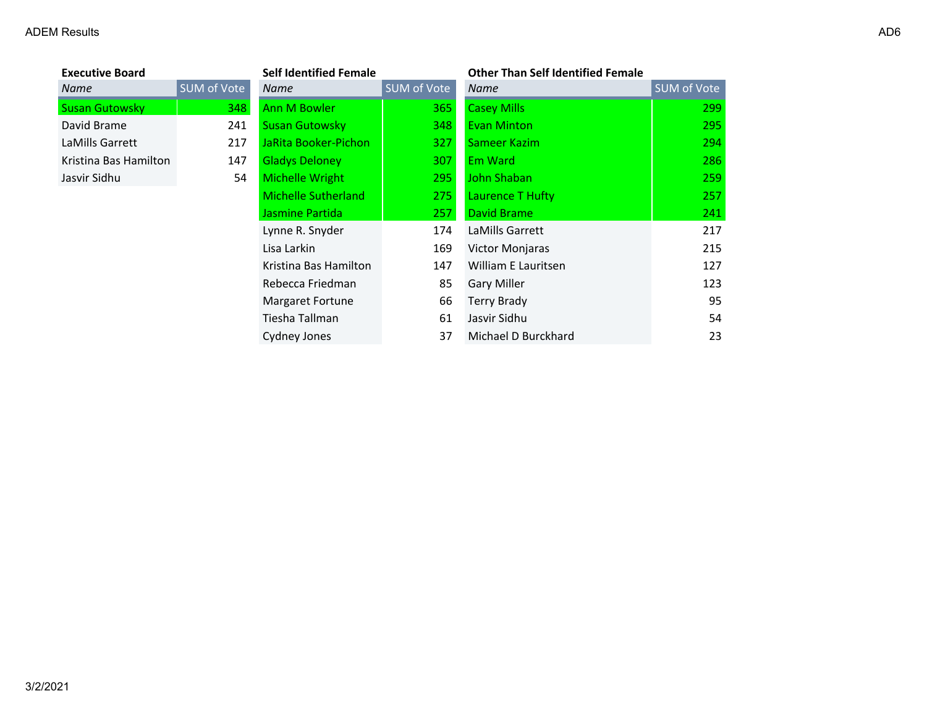| <b>Executive Board</b> |        |
|------------------------|--------|
| Name                   | SUM of |
| <b>Susan Gutowsky</b>  |        |
| David Brame            |        |
| LaMills Garrett        |        |
| Kristina Bas Hamilton  |        |
| Jasvir Sidhu           |        |

| <b>Executive Board</b> |             | <b>Self Identified Female</b> |             | <b>Other Than Self Identified Female</b> |             |
|------------------------|-------------|-------------------------------|-------------|------------------------------------------|-------------|
| Name                   | SUM of Vote | Name                          | SUM of Vote | Name                                     | SUM of Vote |
| <b>Susan Gutowsky</b>  | 348         | <b>Ann M Bowler</b>           | 365         | <b>Casey Mills</b>                       | 299         |
| David Brame            | 241         | <b>Susan Gutowsky</b>         | 348         | <b>Evan Minton</b>                       | 295         |
| LaMills Garrett        | 217         | JaRita Booker-Pichon          | 327         | Sameer Kazim                             | 294         |
| Kristina Bas Hamilton  | 147         | <b>Gladys Deloney</b>         | 307         | Em Ward                                  | 286         |
| Jasvir Sidhu           | 54          | Michelle Wright               | 295         | John Shaban                              | 259         |
|                        |             | Michelle Sutherland           | 275         | Laurence T Hufty                         | 257         |
|                        |             | Jasmine Partida               | 257         | David Brame                              | 241         |
|                        |             | Lynne R. Snyder               | 174         | LaMills Garrett                          | 217         |
|                        |             | Lisa Larkin                   | 169         | Victor Monjaras                          | 215         |
|                        |             | Kristina Bas Hamilton         | 147         | William E Lauritsen                      | 127         |
|                        |             | Rebecca Friedman              | 85          | Gary Miller                              | 123         |
|                        |             | Margaret Fortune              | 66          | Terry Brady                              | 95          |
|                        |             | Tiesha Tallman                | 61          | Jasvir Sidhu                             | 54          |
|                        |             | Cydney Jones                  | 37          | Michael D Burckhard                      | 23          |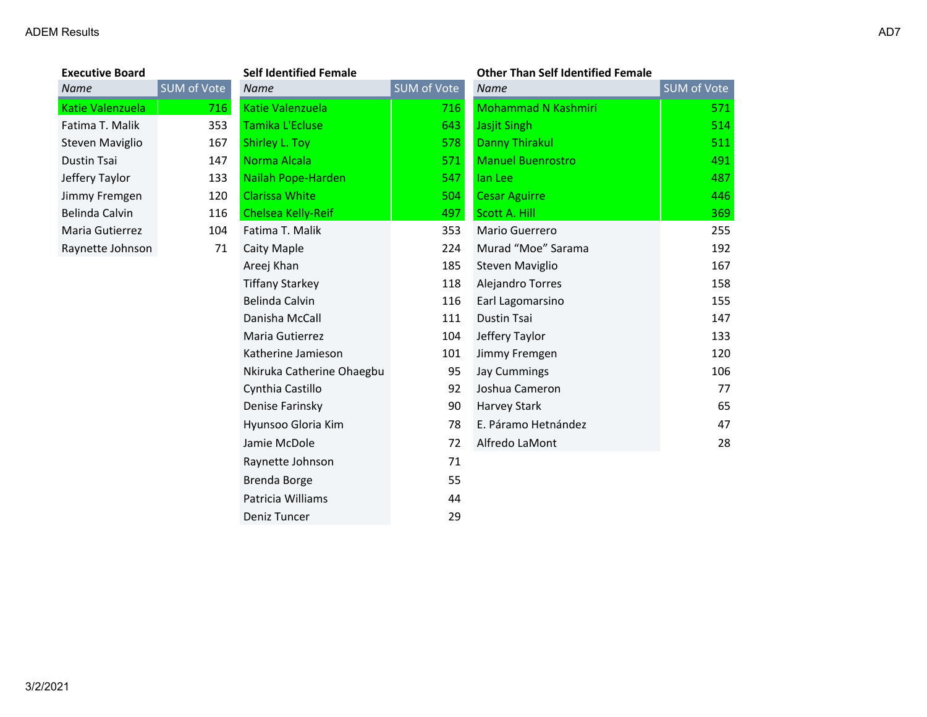#### ADEM Results and the contract of the contract of the contract of the contract of the contract of the contract of the contract of the contract of the contract of the contract of the contract of the contract of the contract

| <b>Executive Board</b> |                    | <b>Self Identified Female</b> |             | <b>Other Than Self Identified Female</b> |                    |
|------------------------|--------------------|-------------------------------|-------------|------------------------------------------|--------------------|
| Name                   | <b>SUM of Vote</b> | <b>Name</b>                   | SUM of Vote | <b>Name</b>                              | <b>SUM of Vote</b> |
| Katie Valenzuela       | 716                | Katie Valenzuela              | 716         | <b>Mohammad N Kashmiri</b>               | 571                |
| Fatima T. Malik        | 353                | Tamika L'Ecluse               | 643         | <b>Jasjit Singh</b>                      | 514                |
| Steven Maviglio        | 167                | Shirley L. Toy                | 578         | <b>Danny Thirakul</b>                    | 511                |
| Dustin Tsai            | 147                | Norma Alcala                  | 571         | <b>Manuel Buenrostro</b>                 | 491                |
| Jeffery Taylor         | 133                | Nailah Pope-Harden            | 547         | lan Lee                                  | 487                |
| Jimmy Fremgen          | 120                | <b>Clarissa White</b>         | 504         | <b>Cesar Aguirre</b>                     | 446                |
| Belinda Calvin         | 116                | <b>Chelsea Kelly-Reif</b>     | 497         | Scott A. Hill                            | 369                |
| Maria Gutierrez        | 104                | Fatima T. Malik               | 353         | Mario Guerrero                           | 255                |
| Raynette Johnson       | 71                 | <b>Caity Maple</b>            | 224         | Murad "Moe" Sarama                       | 192                |
|                        |                    | Areej Khan                    | 185         | Steven Maviglio                          | 167                |
|                        |                    | <b>Tiffany Starkey</b>        | 118         | Alejandro Torres                         | 158                |
|                        |                    | Belinda Calvin                | 116         | Earl Lagomarsino                         | 155                |
|                        |                    | Danisha McCall                | 111         | <b>Dustin Tsai</b>                       | 147                |
|                        |                    | Maria Gutierrez               | 104         | Jeffery Taylor                           | 133                |
|                        |                    | Katherine Jamieson            | 101         | Jimmy Fremgen                            | 120                |
|                        |                    | Nkiruka Catherine Ohaegbu     | 95          | Jay Cummings                             | 106                |
|                        |                    | Cynthia Castillo              | 92          | Joshua Cameron                           | 77                 |
|                        |                    | Denise Farinsky               | 90          | Harvey Stark                             | 65                 |
|                        |                    | Hyunsoo Gloria Kim            | 78          | E. Páramo Hetnández                      | 47                 |
|                        |                    | Jamie McDole                  | 72          | Alfredo LaMont                           | 28                 |
|                        |                    | Raynette Johnson              | 71          |                                          |                    |
|                        |                    | <b>Brenda Borge</b>           | 55          |                                          |                    |
|                        |                    | Patricia Williams             | 44          |                                          |                    |

Deniz Tuncer 29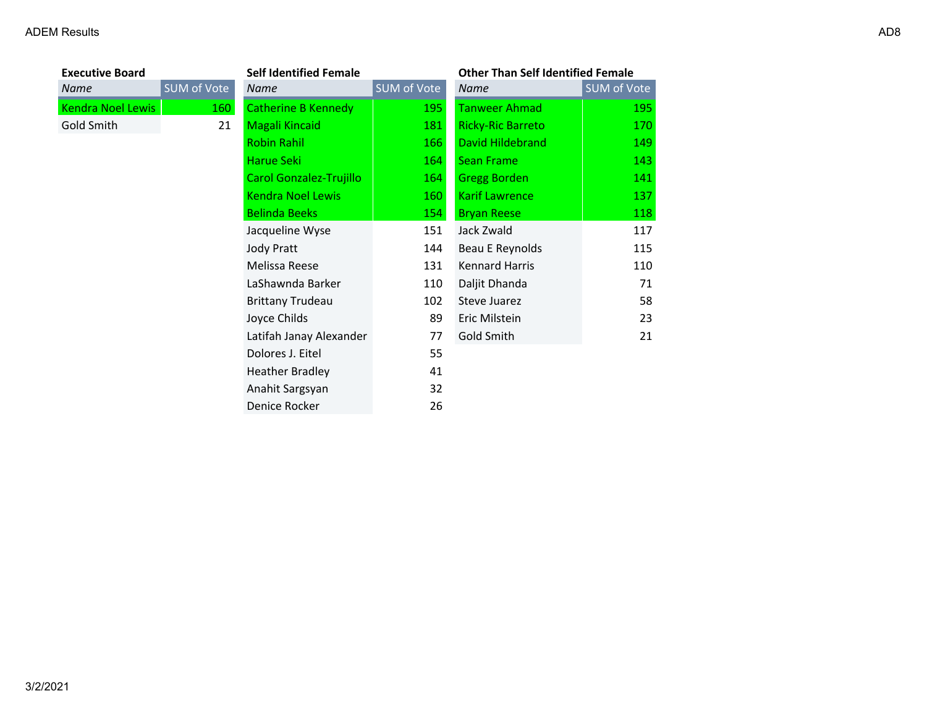| <b>Executive Board</b>   |             | <b>Self Identified Female</b>  |             | <b>Other Than Self Identified Female</b> |             |
|--------------------------|-------------|--------------------------------|-------------|------------------------------------------|-------------|
| Name                     | SUM of Vote | Name                           | SUM of Vote | Name                                     | SUM of Vote |
| <b>Kendra Noel Lewis</b> | 160         | <b>Catherine B Kennedy</b>     | 195         | <b>Tanweer Ahmad</b>                     | 195         |
| Gold Smith               | 21          | <b>Magali Kincaid</b>          | 181         | <b>Ricky-Ric Barreto</b>                 | 170         |
|                          |             | <b>Robin Rahil</b>             | 166         | <b>David Hildebrand</b>                  | 149         |
|                          |             | Harue Seki                     | 164         | <b>Sean Frame</b>                        | 143         |
|                          |             | <b>Carol Gonzalez-Trujillo</b> | 164         | <b>Gregg Borden</b>                      | 141         |
|                          |             | <b>Kendra Noel Lewis</b>       | 160         | <b>Karif Lawrence</b>                    | 137         |
|                          |             | <b>Belinda Beeks</b>           | 154         | <b>Bryan Reese</b>                       | 118         |
|                          |             | Jacqueline Wyse                | 151         | Jack Zwald                               | 117         |
|                          |             | <b>Jody Pratt</b>              | 144         | Beau E Reynolds                          | 115         |
|                          |             | Melissa Reese                  | 131         | <b>Kennard Harris</b>                    | 110         |
|                          |             | LaShawnda Barker               | 110         | Daljit Dhanda                            | 71          |
|                          |             | <b>Brittany Trudeau</b>        | 102         | Steve Juarez                             | 58          |
|                          |             | Joyce Childs                   | 89          | Eric Milstein                            | 23          |
|                          |             | Latifah Janay Alexander        | 77          | Gold Smith                               | 21          |
|                          |             | Dolores J. Eitel               | 55          |                                          |             |
|                          |             | <b>Heather Bradley</b>         | 41          |                                          |             |
|                          |             | Anahit Sargsyan                | 32          |                                          |             |
|                          |             | Denice Rocker                  | 26          |                                          |             |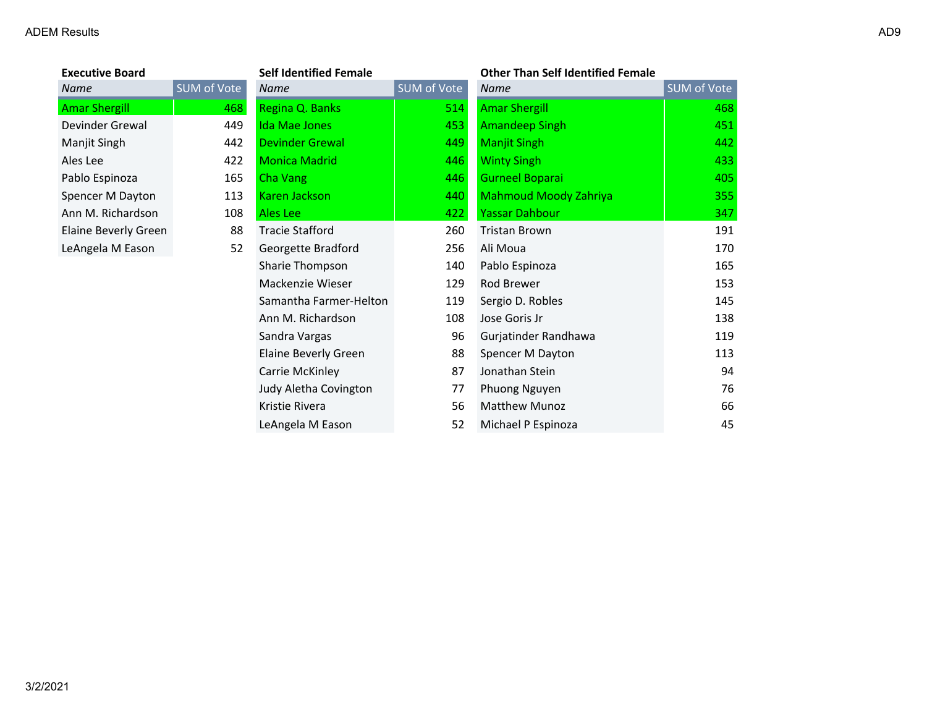**Executive Board<br>
Name** SU

| <b>Executive Board</b>      |             | <b>Self Identified Female</b> |             | <b>Other Than Self Identified Female</b> |             |
|-----------------------------|-------------|-------------------------------|-------------|------------------------------------------|-------------|
| Name                        | SUM of Vote | <b>Name</b>                   | SUM of Vote | <b>Name</b>                              | SUM of Vote |
| <b>Amar Shergill</b>        | 468         | Regina Q. Banks               | 514         | <b>Amar Shergill</b>                     | 468         |
| Devinder Grewal             | 449         | Ida Mae Jones                 | 453         | Amandeep Singh                           | 451         |
| Manjit Singh                | 442         | <b>Devinder Grewal</b>        | 449         | <b>Manjit Singh</b>                      | 442         |
| Ales Lee                    | 422         | <b>Monica Madrid</b>          | 446         | <b>Winty Singh</b>                       | 433         |
| Pablo Espinoza              | 165         | Cha Vang                      | 446         | <b>Gurneel Boparai</b>                   | 405         |
| Spencer M Dayton            | 113         | Karen Jackson                 | 440         | <b>Mahmoud Moody Zahriya</b>             | 355         |
| Ann M. Richardson           | 108         | Ales Lee                      | 422         | <b>Yassar Dahbour</b>                    | 347         |
| <b>Elaine Beverly Green</b> | 88          | <b>Tracie Stafford</b>        | 260         | <b>Tristan Brown</b>                     | 191         |
| LeAngela M Eason            | 52          | Georgette Bradford            | 256         | Ali Moua                                 | 170         |
|                             |             | Sharie Thompson               | 140         | Pablo Espinoza                           | 165         |
|                             |             | Mackenzie Wieser              | 129         | Rod Brewer                               | 153         |
|                             |             | Samantha Farmer-Helton        | 119         | Sergio D. Robles                         | 145         |
|                             |             | Ann M. Richardson             | 108         | Jose Goris Jr                            | 138         |
|                             |             | Sandra Vargas                 | 96          | Gurjatinder Randhawa                     | 119         |
|                             |             | Elaine Beverly Green          | 88          | Spencer M Dayton                         | 113         |
|                             |             | Carrie McKinley               | 87          | Jonathan Stein                           | 94          |
|                             |             | Judy Aletha Covington         | 77          | Phuong Nguyen                            | 76          |
|                             |             | Kristie Rivera                | 56          | <b>Matthew Munoz</b>                     | 66          |
|                             |             | LeAngela M Eason              | 52          | Michael P Espinoza                       | 45          |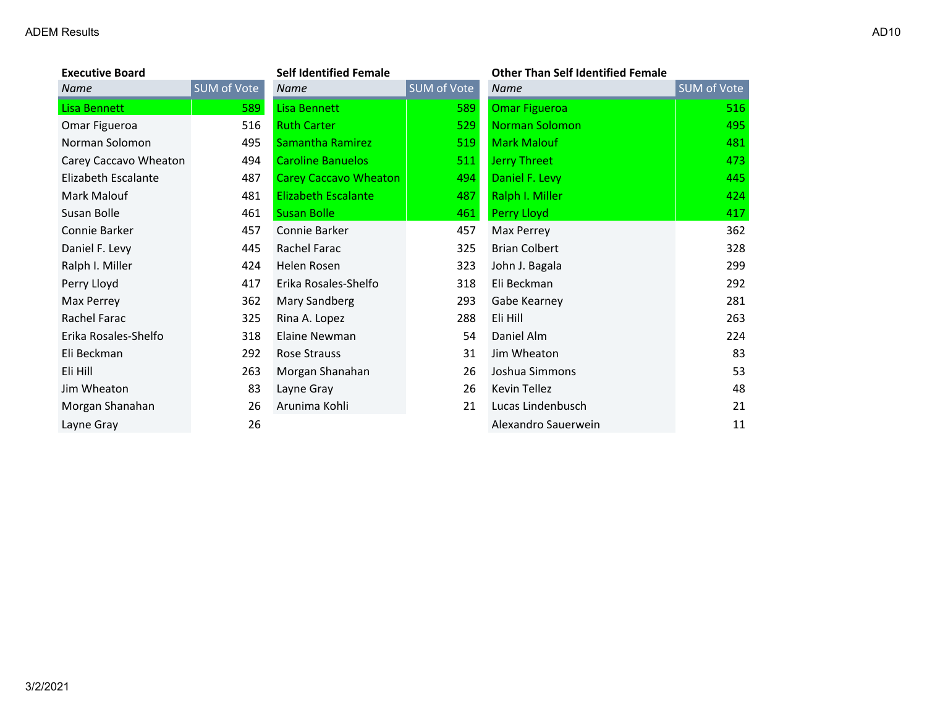| <b>Executive Board</b> |             | <b>Self Identified Female</b> |             | <b>Other Than Self Identified Female</b> |             |
|------------------------|-------------|-------------------------------|-------------|------------------------------------------|-------------|
| <b>Name</b>            | SUM of Vote | <b>Name</b>                   | SUM of Vote | <b>Name</b>                              | SUM of Vote |
| <b>Lisa Bennett</b>    | 589         | <b>Lisa Bennett</b>           | 589         | <b>Omar Figueroa</b>                     | 516         |
| Omar Figueroa          | 516         | <b>Ruth Carter</b>            | 529         | <b>Norman Solomon</b>                    | 495         |
| Norman Solomon         | 495         | Samantha Ramirez              | 519         | <b>Mark Malouf</b>                       | 481         |
| Carey Caccavo Wheaton  | 494         | <b>Caroline Banuelos</b>      | 511         | <b>Jerry Threet</b>                      | 473         |
| Elizabeth Escalante    | 487         | <b>Carey Caccavo Wheaton</b>  | 494         | Daniel F. Levy                           | 445         |
| Mark Malouf            | 481         | <b>Elizabeth Escalante</b>    | 487         | Ralph I. Miller                          | 424         |
| Susan Bolle            | 461         | <b>Susan Bolle</b>            | 461         | Perry Lloyd                              | 417         |
| Connie Barker          | 457         | Connie Barker                 | 457         | Max Perrey                               | 362         |
| Daniel F. Levy         | 445         | Rachel Farac                  | 325         | <b>Brian Colbert</b>                     | 328         |
| Ralph I. Miller        | 424         | Helen Rosen                   | 323         | John J. Bagala                           | 299         |
| Perry Lloyd            | 417         | Erika Rosales-Shelfo          | 318         | Eli Beckman                              | 292         |
| Max Perrey             | 362         | Mary Sandberg                 | 293         | Gabe Kearney                             | 281         |
| Rachel Farac           | 325         | Rina A. Lopez                 | 288         | Eli Hill                                 | 263         |
| Erika Rosales-Shelfo   | 318         | Elaine Newman                 | 54          | Daniel Alm                               | 224         |
| Eli Beckman            | 292         | Rose Strauss                  | 31          | Jim Wheaton                              | 83          |
| Eli Hill               | 263         | Morgan Shanahan               | 26          | Joshua Simmons                           | 53          |
| Jim Wheaton            | 83          | Layne Gray                    | 26          | Kevin Tellez                             | 48          |
| Morgan Shanahan        | 26          | Arunima Kohli                 | 21          | Lucas Lindenbusch                        | 21          |
| Layne Gray             | 26          |                               |             | Alexandro Sauerwein                      | 11          |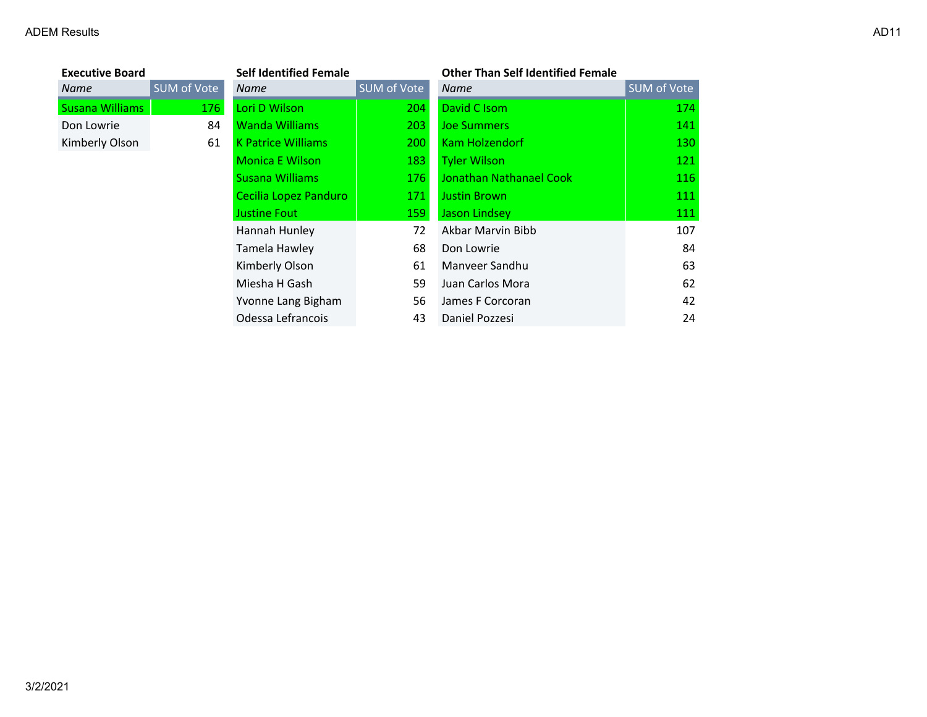| <b>Executive Board</b> |             | <b>Self Identified Female</b> |             | <b>Other Than Self Identified Female</b> |             |
|------------------------|-------------|-------------------------------|-------------|------------------------------------------|-------------|
| <b>Name</b>            | SUM of Vote | <b>Name</b>                   | SUM of Vote | <b>Name</b>                              | SUM of Vote |
| <b>Susana Williams</b> | 176         | Lori D Wilson                 | 204         | David C Isom                             | 174         |
| Don Lowrie             | 84          | <b>Wanda Williams</b>         | 203         | <b>Joe Summers</b>                       | 141         |
| Kimberly Olson         | 61          | <b>K Patrice Williams</b>     | 200         | Kam Holzendorf                           | 130         |
|                        |             | <b>Monica E Wilson</b>        | 183         | <b>Tyler Wilson</b>                      | 121         |
|                        |             | <b>Susana Williams</b>        | 176         | <b>Jonathan Nathanael Cook</b>           | 116         |
|                        |             | Cecilia Lopez Panduro         | 171         | <b>Justin Brown</b>                      | 111         |
|                        |             | <b>Justine Fout</b>           | 159         | Jason Lindsey                            | 111         |
|                        |             | Hannah Hunley                 | 72          | Akbar Marvin Bibb                        | 107         |
|                        |             | Tamela Hawley                 | 68          | Don Lowrie                               | 84          |
|                        |             | Kimberly Olson                | 61          | Manyeer Sandhu                           | 63          |
|                        |             | Miesha H Gash                 | 59          | Juan Carlos Mora                         | 62          |
|                        |             | Yvonne Lang Bigham            | 56          | James F Corcoran                         | 42          |
|                        |             | Odessa Lefrancois             | 43          | Daniel Pozzesi                           | 24          |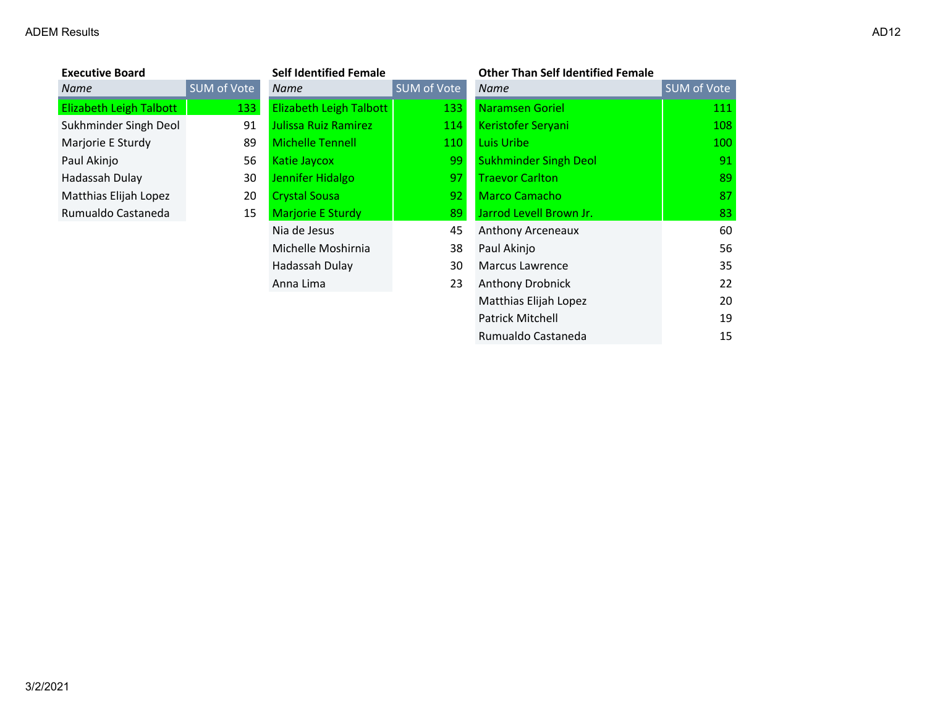| <b>Executive Board</b>         |             | <b>Self Identified Female</b>  |                    | <b>Other Than Self Identified Female</b> |             |
|--------------------------------|-------------|--------------------------------|--------------------|------------------------------------------|-------------|
| Name                           | SUM of Vote | Name                           | <b>SUM of Vote</b> | <b>Name</b>                              | SUM of Vote |
| <b>Elizabeth Leigh Talbott</b> | 133         | <b>Elizabeth Leigh Talbott</b> | 133                | <b>Naramsen Goriel</b>                   | 111         |
| Sukhminder Singh Deol          | 91          | <b>Julissa Ruiz Ramirez</b>    | 114                | Keristofer Seryani                       | 108         |
| Marjorie E Sturdy              | 89          | <b>Michelle Tennell</b>        | 110                | Luis Uribe                               | 100         |
| Paul Akinjo                    | 56          | Katie Jaycox                   | 99                 | <b>Sukhminder Singh Deol</b>             | 91          |
| Hadassah Dulay                 | 30          | Jennifer Hidalgo               | 97                 | <b>Traevor Carlton</b>                   | 89          |
| Matthias Elijah Lopez          | 20          | <b>Crystal Sousa</b>           | 92                 | <b>Marco Camacho</b>                     | 87          |
| Rumualdo Castaneda             | 15          | Marjorie E Sturdy              | 89                 | Jarrod Levell Brown Jr.                  | 83          |
|                                |             | Nia de Jesus                   | 45                 | Anthony Arceneaux                        | 60          |
|                                |             | Michelle Moshirnia             | 38                 | Paul Akinjo                              | 56          |
|                                |             | Hadassah Dulay                 | 30                 | <b>Marcus Lawrence</b>                   | 35          |
|                                |             | Anna Lima                      | 23                 | Anthony Drobnick                         | 22          |
|                                |             |                                |                    | Matthias Elijah Lopez                    | 20          |
|                                |             |                                |                    | <b>Patrick Mitchell</b>                  | 19          |
|                                |             |                                |                    | Rumualdo Castaneda                       | 15          |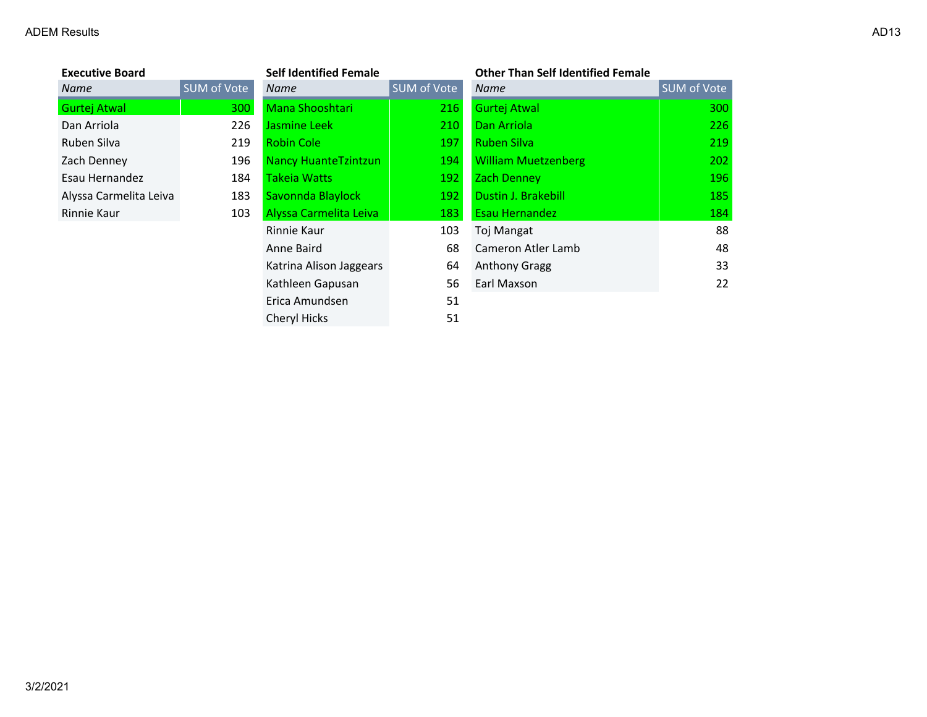| Executive Board        |          |
|------------------------|----------|
| Name                   | SUM of V |
| <b>Gurtej Atwal</b>    |          |
| Dan Arriola            |          |
| Ruben Silva            |          |
| Zach Denney            |          |
| Esau Hernandez         |          |
| Alyssa Carmelita Leiva |          |
| Rinnie Kaur            |          |
|                        |          |

| <b>Executive Board</b> |                    | <b>Self Identified Female</b> |             | <b>Other Than Self Identified Female</b> |
|------------------------|--------------------|-------------------------------|-------------|------------------------------------------|
| Name                   | <b>SUM of Vote</b> | <b>Name</b>                   | SUM of Vote | <b>Name</b>                              |
| Gurtej Atwal           | 300                | <b>Mana Shooshtari</b>        | 216         | <b>Gurtej Atwal</b>                      |
| Dan Arriola            | 226                | Jasmine Leek                  | 210         | Dan Arriola                              |
| Ruben Silva            | 219                | <b>Robin Cole</b>             | 197         | <b>Ruben Silva</b>                       |
| Zach Denney            | 196                | <b>Nancy HuanteTzintzun</b>   | 194         | <b>William Muetzenberg</b>               |
| Esau Hernandez         | 184                | Takeia Watts                  | 192         | <b>Zach Denney</b>                       |
| Alyssa Carmelita Leiva | 183                | Savonnda Blaylock             | 192         | Dustin J. Brakebill                      |
| Rinnie Kaur            | 103                | Alyssa Carmelita Leiva        | 183         | Esau Hernandez                           |
|                        |                    | Rinnie Kaur                   | 103         | Toj Mangat                               |
|                        |                    | Anne Baird                    | 68          | Cameron Atler Lamb                       |
|                        |                    | Katrina Alison Jaggears       | 64          | <b>Anthony Gragg</b>                     |
|                        |                    | Kathleen Gapusan              | 56          | Earl Maxson                              |
|                        |                    | Erica Amundsen                | 51          |                                          |
|                        |                    | Cheryl Hicks                  | 51          |                                          |

| <b>Executive Board</b> |             | Seif Identified Female      |             | Other Than Self Identified Female |                   |
|------------------------|-------------|-----------------------------|-------------|-----------------------------------|-------------------|
| Name                   | SUM of Vote | Name                        | SUM of Vote | Name                              | SUM of Vote       |
| Gurtej Atwal           | 300         | Mana Shooshtari             | 216         | <b>Gurtej Atwal</b>               | <b>300</b>        |
| Dan Arriola            | 226         | Jasmine Leek                | 210         | Dan Arriola                       | 226               |
| Ruben Silva            | 219         | <b>Robin Cole</b>           | 197         | <b>Ruben Silva</b>                | 219               |
| Zach Denney            | 196         | <b>Nancy HuanteTzintzun</b> | 194         | <b>William Muetzenberg</b>        | 202               |
| Esau Hernandez         | 184         | <b>Takeia Watts</b>         | 192         | Zach Denney                       | 196               |
| Alyssa Carmelita Leiva | 183         | Savonnda Blaylock           | 192         | <b>Dustin J. Brakebill</b>        | 185               |
| Rinnie Kaur            | 103         | Alyssa Carmelita Leiva      | 183         | <b>Esau Hernandez</b>             | 184               |
|                        |             | Rinnie Kaur                 | 103         | Toj Mangat                        | 88                |
|                        |             | Anne Baird                  | 68          | Cameron Atler Lamb                | 48                |
|                        |             | Katrina Alison Jaggears     | 64          | <b>Anthony Gragg</b>              | 33                |
|                        |             | Kathleen Gapusan            | 56          | Earl Maxson                       | $22 \overline{ }$ |
|                        |             | Frica Amundsen              | 51          |                                   |                   |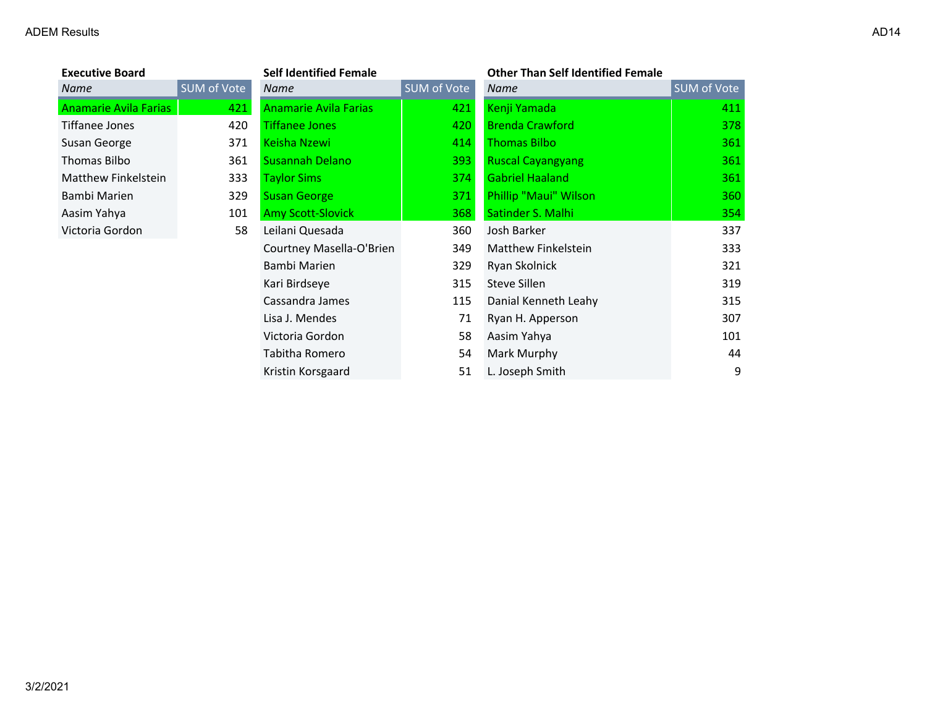|--|--|--|

| <b>Executive Board</b> |                    |
|------------------------|--------------------|
| Name                   | <b>SUM of Vote</b> |
| Anamarie Avila Farias  | 42                 |
| Tiffanee Jones         | 42                 |
| Susan George           | 37                 |
| <b>Thomas Bilbo</b>    | 36                 |
| Matthew Finkelstein    | 33                 |
| Bambi Marien           | 32                 |
| Aasim Yahya            | 10                 |
| Victoria Gordon        | 5                  |
|                        |                    |

| <b>Executive Board</b> |             | <b>Self Identified Female</b> |             | <b>Other Than Self Identified Female</b> |                    |
|------------------------|-------------|-------------------------------|-------------|------------------------------------------|--------------------|
| Name                   | SUM of Vote | Name                          | SUM of Vote | Name                                     | <b>SUM of Vote</b> |
| Anamarie Avila Farias  | 421         | <b>Anamarie Avila Farias</b>  | 421         | Kenji Yamada                             | 411                |
| Tiffanee Jones         | 420         | <b>Tiffanee Jones</b>         | 420         | <b>Brenda Crawford</b>                   | 378                |
| Susan George           | 371         | Keisha Nzewi                  | 414         | <b>Thomas Bilbo</b>                      | 361                |
| Thomas Bilbo           | 361         | <b>Susannah Delano</b>        | 393         | <b>Ruscal Cayangyang</b>                 | 361                |
| Matthew Finkelstein    | 333         | <b>Taylor Sims</b>            | 374         | <b>Gabriel Haaland</b>                   | 361                |
| Bambi Marien           | 329         | <b>Susan George</b>           | 371         | Phillip "Maui" Wilson                    | 360                |
| Aasim Yahya            | 101         | <b>Amy Scott-Slovick</b>      | 368         | Satinder S. Malhi                        | 354                |
| Victoria Gordon        | 58          | Leilani Quesada               | 360         | Josh Barker                              | 337                |
|                        |             | Courtney Masella-O'Brien      | 349         | Matthew Finkelstein                      | 333                |
|                        |             | Bambi Marien                  | 329         | Ryan Skolnick                            | 321                |
|                        |             | Kari Birdseye                 | 315         | Steve Sillen                             | 319                |
|                        |             | Cassandra James               | 115         | Danial Kenneth Leahy                     | 315                |
|                        |             | Lisa J. Mendes                | 71          | Ryan H. Apperson                         | 307                |
|                        |             | Victoria Gordon               | 58          | Aasim Yahya                              | 101                |
|                        |             | Tabitha Romero                | 54          | Mark Murphy                              | 44                 |
|                        |             | Kristin Korsgaard             | 51          | L. Joseph Smith                          | 9                  |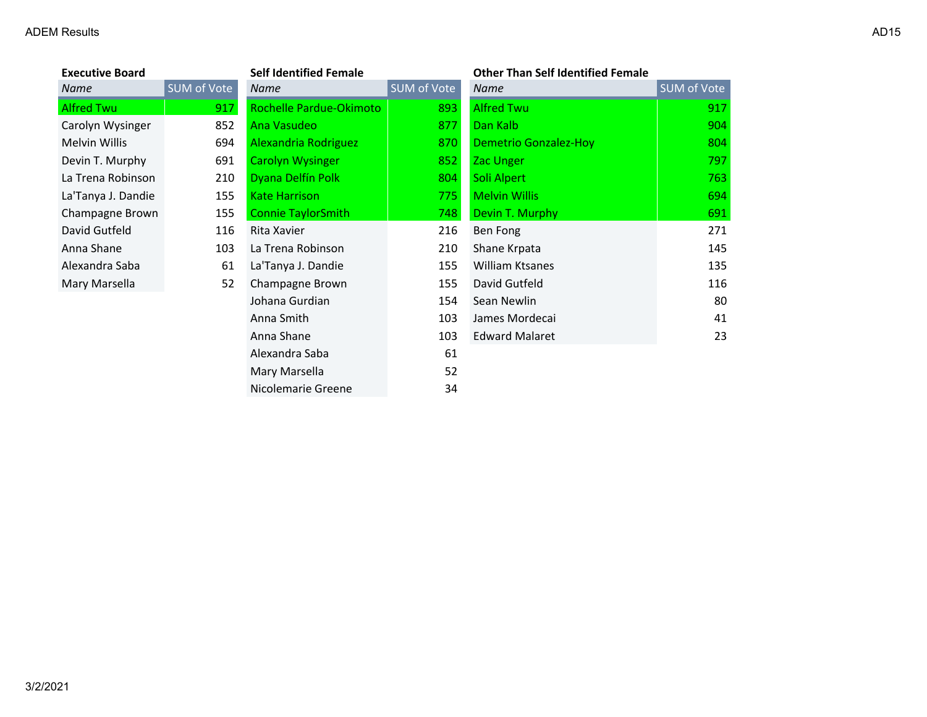| <b>Executive Board</b> |             | <b>Self Identified Female</b> |             | <b>Other Than Self Identified Female</b> |             |
|------------------------|-------------|-------------------------------|-------------|------------------------------------------|-------------|
| Name                   | SUM of Vote | <b>Name</b>                   | SUM of Vote | Name                                     | SUM of Vote |
| <b>Alfred Twu</b>      | 917         | Rochelle Pardue-Okimoto       | 893         | <b>Alfred Twu</b>                        | 917         |
| Carolyn Wysinger       | 852         | Ana Vasudeo                   | 877         | Dan Kalb                                 | 904         |
| Melvin Willis          | 694         | Alexandria Rodriguez          | 870         | <b>Demetrio Gonzalez-Hoy</b>             | 804         |
| Devin T. Murphy        | 691         | <b>Carolyn Wysinger</b>       | 852         | <b>Zac Unger</b>                         | 797         |
| La Trena Robinson      | 210         | Dyana Delfín Polk             | 804         | Soli Alpert                              | 763         |
| La'Tanya J. Dandie     | 155         | <b>Kate Harrison</b>          | 775         | <b>Melvin Willis</b>                     | 694         |
| Champagne Brown        | 155         | <b>Connie TaylorSmith</b>     | 748         | Devin T. Murphy                          | 691         |
| David Gutfeld          | 116         | Rita Xavier                   | 216         | Ben Fong                                 | 271         |
| Anna Shane             | 103         | La Trena Robinson             | 210         | Shane Krpata                             | 145         |
| Alexandra Saba         | 61          | La'Tanya J. Dandie            | 155         | <b>William Ktsanes</b>                   | 135         |
| Mary Marsella          | 52          | Champagne Brown               | 155         | David Gutfeld                            | 116         |
|                        |             | Johana Gurdian                | 154         | Sean Newlin                              | 80          |
|                        |             | Anna Smith                    | 103         | James Mordecai                           | 41          |
|                        |             | Anna Shane                    | 103         | <b>Edward Malaret</b>                    | 23          |
|                        |             | Alexandra Saba                | 61          |                                          |             |
|                        |             | Mary Marsella                 | 52          |                                          |             |
|                        |             | Nicolemarie Greene            | 34          |                                          |             |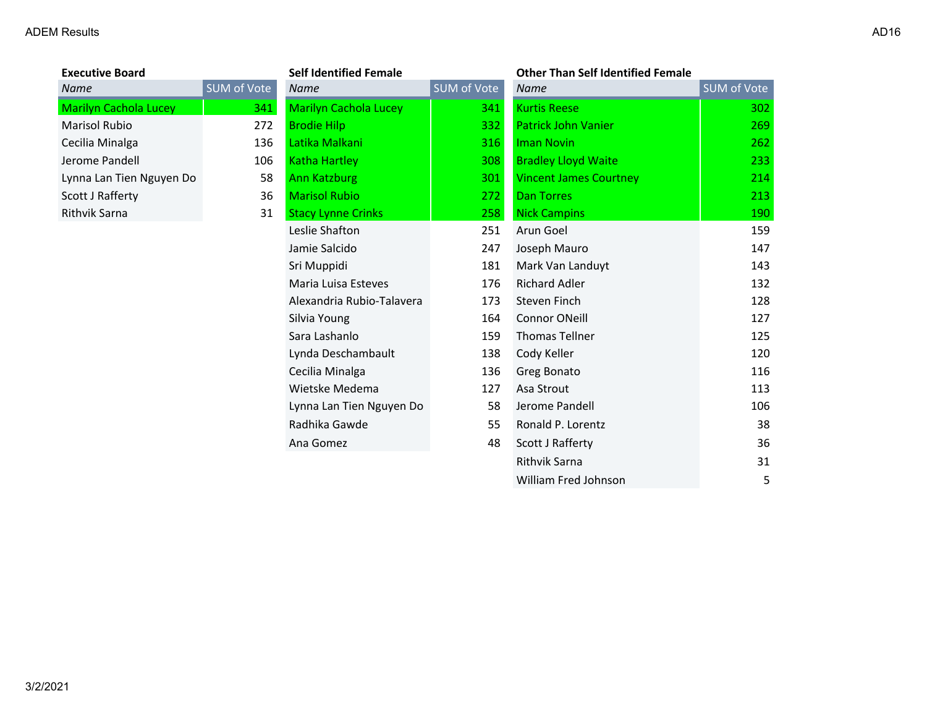| <b>Executive Board</b>   |          |
|--------------------------|----------|
| Name                     | SUM of ' |
| Marilyn Cachola Lucey    |          |
| Marisol Rubio            |          |
| Cecilia Minalga          |          |
| Jerome Pandell           |          |
| Lynna Lan Tien Nguyen Do |          |
| Scott J Rafferty         |          |
| <b>Rithvik Sarna</b>     |          |
|                          |          |

| <b>Executive Board</b>       |             | <b>Self Identified Female</b> |             | <b>Other Than Self Identified Female</b> |             |
|------------------------------|-------------|-------------------------------|-------------|------------------------------------------|-------------|
| Name                         | SUM of Vote | <b>Name</b>                   | SUM of Vote | <b>Name</b>                              | SUM of Vote |
| <b>Marilyn Cachola Lucey</b> | 341         | <b>Marilyn Cachola Lucey</b>  | 341         | <b>Kurtis Reese</b>                      | 302         |
| <b>Marisol Rubio</b>         | 272         | <b>Brodie Hilp</b>            | 332         | <b>Patrick John Vanier</b>               | 269         |
| Cecilia Minalga              | 136         | Latika Malkani                | 316         | <b>Iman Novin</b>                        | 262         |
| Jerome Pandell               | 106         | <b>Katha Hartley</b>          | <b>308</b>  | <b>Bradley Lloyd Waite</b>               | 233         |
| Lynna Lan Tien Nguyen Do     | 58          | <b>Ann Katzburg</b>           | 301         | <b>Vincent James Courtney</b>            | 214         |
| Scott J Rafferty             | 36          | <b>Marisol Rubio</b>          | 272         | <b>Dan Torres</b>                        | 213         |
| Rithvik Sarna                | 31          | <b>Stacy Lynne Crinks</b>     | 258         | <b>Nick Campins</b>                      | 190         |
|                              |             | Leslie Shafton                | 251         | Arun Goel                                | 159         |
|                              |             | Jamie Salcido                 | 247         | Joseph Mauro                             | 147         |
|                              |             | Sri Muppidi                   | 181         | Mark Van Landuyt                         | 143         |
|                              |             | Maria Luisa Esteves           | 176         | <b>Richard Adler</b>                     | 132         |
|                              |             | Alexandria Rubio-Talavera     | 173         | Steven Finch                             | 128         |
|                              |             | Silvia Young                  | 164         | <b>Connor ONeill</b>                     | 127         |
|                              |             | Sara Lashanlo                 | 159         | <b>Thomas Tellner</b>                    | 125         |
|                              |             | Lynda Deschambault            | 138         | Cody Keller                              | 120         |
|                              |             | Cecilia Minalga               | 136         | Greg Bonato                              | 116         |
|                              |             | Wietske Medema                | 127         | Asa Strout                               | 113         |
|                              |             | Lynna Lan Tien Nguyen Do      | 58          | Jerome Pandell                           | 106         |
|                              |             | Radhika Gawde                 | 55          | Ronald P. Lorentz                        | 38          |
|                              |             | Ana Gomez                     | 48          | Scott J Rafferty                         | 36          |
|                              |             |                               |             | Rithvik Sarna                            | 31          |
|                              |             |                               |             | William Fred Johnson                     | 5           |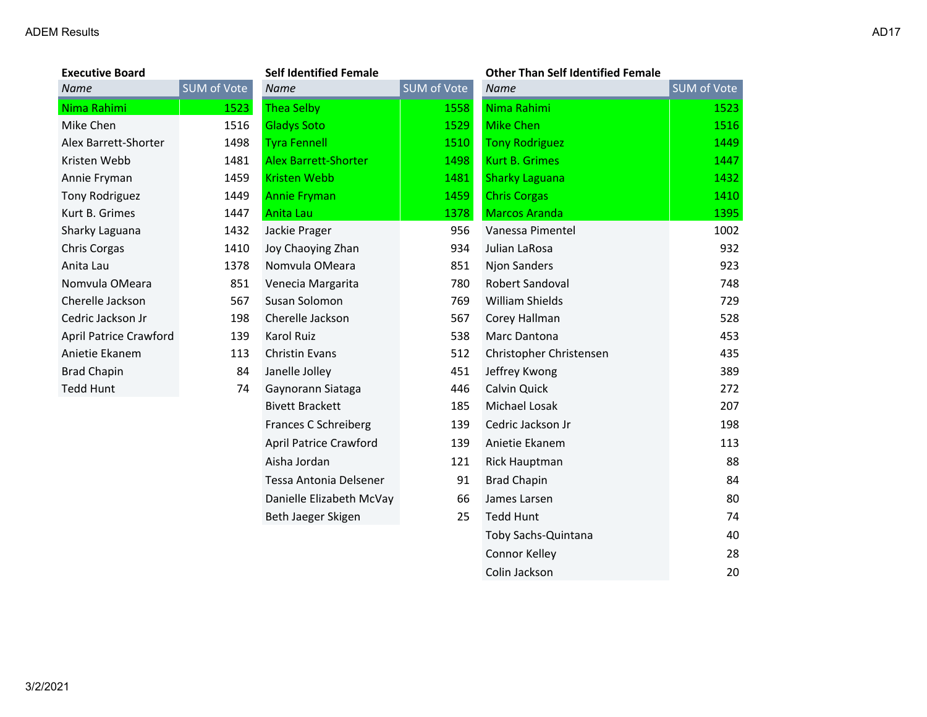| <b>Executive Board</b> |             | <b>Self Identified Female</b> |             | <b>Other Than Self Identified Female</b> |             |
|------------------------|-------------|-------------------------------|-------------|------------------------------------------|-------------|
| <b>Name</b>            | SUM of Vote | <b>Name</b>                   | SUM of Vote | <b>Name</b>                              | SUM of Vote |
| Nima Rahimi            | 1523        | Thea Selby                    | 1558        | Nima Rahimi                              | 1523        |
| Mike Chen              | 1516        | <b>Gladys Soto</b>            | 1529        | <b>Mike Chen</b>                         | 1516        |
| Alex Barrett-Shorter   | 1498        | <b>Tyra Fennell</b>           | 1510        | <b>Tony Rodriguez</b>                    | 1449        |
| Kristen Webb           | 1481        | <b>Alex Barrett-Shorter</b>   | 1498        | <b>Kurt B. Grimes</b>                    | 1447        |
| Annie Fryman           | 1459        | <b>Kristen Webb</b>           | 1481        | <b>Sharky Laguana</b>                    | 1432        |
| Tony Rodriguez         | 1449        | <b>Annie Fryman</b>           | 1459        | <b>Chris Corgas</b>                      | 1410        |
| Kurt B. Grimes         | 1447        | Anita Lau                     | 1378        | <b>Marcos Aranda</b>                     | 1395        |
| Sharky Laguana         | 1432        | Jackie Prager                 | 956         | Vanessa Pimentel                         | 1002        |
| Chris Corgas           | 1410        | Joy Chaoying Zhan             | 934         | Julian LaRosa                            | 932         |
| Anita Lau              | 1378        | Nomvula OMeara                | 851         | <b>Njon Sanders</b>                      | 923         |
| Nomvula OMeara         | 851         | Venecia Margarita             | 780         | Robert Sandoval                          | 748         |
| Cherelle Jackson       | 567         | Susan Solomon                 | 769         | William Shields                          | 729         |
| Cedric Jackson Jr      | 198         | Cherelle Jackson              | 567         | Corey Hallman                            | 528         |
| April Patrice Crawford | 139         | Karol Ruiz                    | 538         | Marc Dantona                             | 453         |
| Anietie Ekanem         | 113         | <b>Christin Evans</b>         | 512         | Christopher Christensen                  | 435         |
| <b>Brad Chapin</b>     | 84          | Janelle Jolley                | 451         | Jeffrey Kwong                            | 389         |
| <b>Tedd Hunt</b>       | 74          | Gaynorann Siataga             | 446         | Calvin Quick                             | 272         |
|                        |             | <b>Bivett Brackett</b>        | 185         | Michael Losak                            | 207         |
|                        |             | Frances C Schreiberg          | 139         | Cedric Jackson Jr                        | 198         |
|                        |             | <b>April Patrice Crawford</b> | 139         | Anietie Ekanem                           | 113         |
|                        |             | Aisha Jordan                  | 121         | <b>Rick Hauptman</b>                     | 88          |
|                        |             | Tessa Antonia Delsener        | 91          | <b>Brad Chapin</b>                       | 84          |
|                        |             | Danielle Elizabeth McVay      | 66          | James Larsen                             | 80          |
|                        |             | Beth Jaeger Skigen            | 25          | <b>Tedd Hunt</b>                         | 74          |

Toby Sachs-Quintana 40 Connor Kelley 28 Colin Jackson 20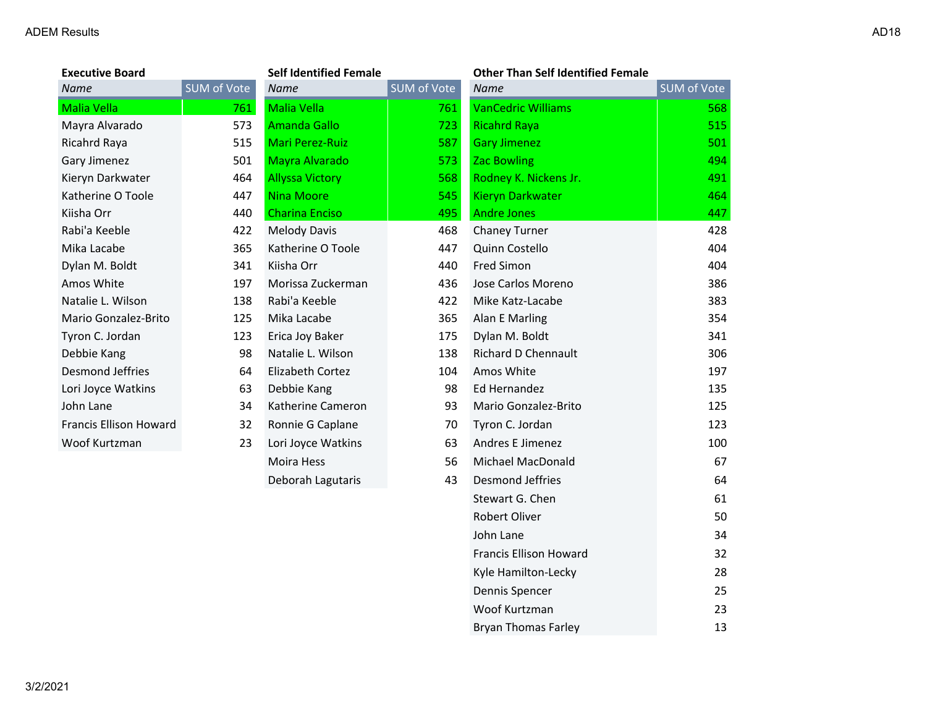| <b>Executive Board</b>        | <b>Self Identified Female</b> |                        | <b>Other Than Self Identified Female</b> |                            |                    |
|-------------------------------|-------------------------------|------------------------|------------------------------------------|----------------------------|--------------------|
| <b>Name</b>                   | <b>SUM of Vote</b>            | <b>Name</b>            | SUM of Vote                              | <b>Name</b>                | <b>SUM</b> of Vote |
| <b>Malia Vella</b>            | 761                           | <b>Malia Vella</b>     | 761                                      | <b>VanCedric Williams</b>  | 568                |
| Mayra Alvarado                | 573                           | <b>Amanda Gallo</b>    | 723                                      | <b>Ricahrd Raya</b>        | 515                |
| Ricahrd Raya                  | 515                           | <b>Mari Perez-Ruiz</b> | 587                                      | <b>Gary Jimenez</b>        | 501                |
| Gary Jimenez                  | 501                           | Mayra Alvarado         | 573                                      | <b>Zac Bowling</b>         | 494                |
| Kieryn Darkwater              | 464                           | <b>Allyssa Victory</b> | 568                                      | Rodney K. Nickens Jr.      | 491                |
| Katherine O Toole             | 447                           | <b>Nina Moore</b>      | 545                                      | <b>Kieryn Darkwater</b>    | 464                |
| Kiisha Orr                    | 440                           | <b>Charina Enciso</b>  | 495                                      | <b>Andre Jones</b>         | 447                |
| Rabi'a Keeble                 | 422                           | <b>Melody Davis</b>    | 468                                      | Chaney Turner              | 428                |
| Mika Lacabe                   | 365                           | Katherine O Toole      | 447                                      | Quinn Costello             | 404                |
| Dylan M. Boldt                | 341                           | Kiisha Orr             | 440                                      | <b>Fred Simon</b>          | 404                |
| Amos White                    | 197                           | Morissa Zuckerman      | 436                                      | Jose Carlos Moreno         | 386                |
| Natalie L. Wilson             | 138                           | Rabi'a Keeble          | 422                                      | Mike Katz-Lacabe           | 383                |
| Mario Gonzalez-Brito          | 125                           | Mika Lacabe            | 365                                      | Alan E Marling             | 354                |
| Tyron C. Jordan               | 123                           | Erica Joy Baker        | 175                                      | Dylan M. Boldt             | 341                |
| Debbie Kang                   | 98                            | Natalie L. Wilson      | 138                                      | <b>Richard D Chennault</b> | 306                |
| <b>Desmond Jeffries</b>       | 64                            | Elizabeth Cortez       | 104                                      | Amos White                 | 197                |
| Lori Joyce Watkins            | 63                            | Debbie Kang            | 98                                       | Ed Hernandez               | 135                |
| John Lane                     | 34                            | Katherine Cameron      | 93                                       | Mario Gonzalez-Brito       | 125                |
| <b>Francis Ellison Howard</b> | 32                            | Ronnie G Caplane       | 70                                       | Tyron C. Jordan            | 123                |
| Woof Kurtzman                 | 23                            | Lori Joyce Watkins     | 63                                       | Andres E Jimenez           | 100                |
|                               |                               | Moira Hess             | 56                                       | Michael MacDonald          | 67                 |
|                               |                               | Deborah Lagutaris      | 43                                       | <b>Desmond Jeffries</b>    | 64                 |
|                               |                               |                        |                                          | Stewart G. Chen            | 61                 |
|                               |                               |                        |                                          | Robert Oliver              | 50                 |

John Lane 34 Francis Ellison Howard 32 Kyle Hamilton-Lecky 28 Dennis Spencer 25 Woof Kurtzman 23 Bryan Thomas Farley 13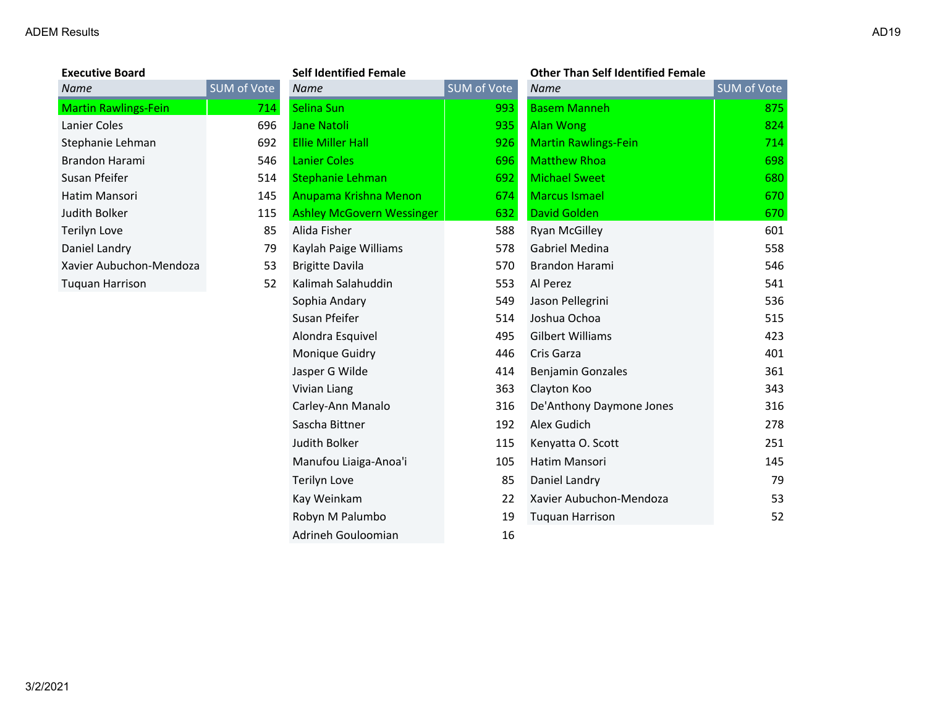|  |  | AD |
|--|--|----|
|  |  |    |
|  |  |    |
|  |  |    |

| <b>Executive Board</b>      |                    | Self Identified <b>R</b> |
|-----------------------------|--------------------|--------------------------|
| Name                        | <b>SUM of Vote</b> | Name                     |
| <b>Martin Rawlings-Fein</b> | 714.               | Selina Sun               |
| Lanier Coles                | 696                | Jane Natoli              |
| Stephanie Lehman            | 692                | Ellie Miller Hall        |
| Brandon Harami              | 546                | <b>Lanier Coles</b>      |
| Susan Pfeifer               | 514                | Stephanie Lehn           |
| Hatim Mansori               | 145                | Anupama Krishi           |
| Judith Bolker               | 115                | <b>Ashley McGove</b>     |
| Terilyn Love                | 85                 | Alida Fisher             |
| Daniel Landry               | 79                 | Kaylah Paige W           |
| Xavier Aubuchon-Mendoza     | 53                 | Brigitte Davila          |
| Tuquan Harrison             | 52                 | Kalimah Salahu           |
|                             |                    | Sophia Andary            |
|                             |                    |                          |

| <b>Executive Board</b>      |             | <b>Self Identified Female</b>    |             | <b>Other Than Self Identified Female</b> |             |
|-----------------------------|-------------|----------------------------------|-------------|------------------------------------------|-------------|
| Name                        | SUM of Vote | <b>Name</b>                      | SUM of Vote | <b>Name</b>                              | SUM of Vote |
| <b>Martin Rawlings-Fein</b> | 714         | Selina Sun                       | 993         | <b>Basem Manneh</b>                      | 875         |
| Lanier Coles                | 696         | <b>Jane Natoli</b>               | 935         | <b>Alan Wong</b>                         | 824         |
| Stephanie Lehman            | 692         | <b>Ellie Miller Hall</b>         | 926         | <b>Martin Rawlings-Fein</b>              | 714         |
| Brandon Harami              | 546         | <b>Lanier Coles</b>              | 696         | <b>Matthew Rhoa</b>                      | 698         |
| Susan Pfeifer               | 514         | <b>Stephanie Lehman</b>          | 692         | <b>Michael Sweet</b>                     | 680         |
| Hatim Mansori               | 145         | Anupama Krishna Menon            | 674         | <b>Marcus Ismael</b>                     | 670         |
| Judith Bolker               | 115         | <b>Ashley McGovern Wessinger</b> | 632         | <b>David Golden</b>                      | 670         |
| Terilyn Love                | 85          | Alida Fisher                     | 588         | <b>Ryan McGilley</b>                     | 601         |
| Daniel Landry               | 79          | Kaylah Paige Williams            | 578         | Gabriel Medina                           | 558         |
| Xavier Aubuchon-Mendoza     | 53          | <b>Brigitte Davila</b>           | 570         | Brandon Harami                           | 546         |
| Tuquan Harrison             | 52          | Kalimah Salahuddin               | 553         | Al Perez                                 | 541         |
|                             |             | Sophia Andary                    | 549         | Jason Pellegrini                         | 536         |
|                             |             | Susan Pfeifer                    | 514         | Joshua Ochoa                             | 515         |
|                             |             | Alondra Esquivel                 | 495         | <b>Gilbert Williams</b>                  | 423         |
|                             |             | Monique Guidry                   | 446         | Cris Garza                               | 401         |
|                             |             | Jasper G Wilde                   | 414         | <b>Benjamin Gonzales</b>                 | 361         |
|                             |             | Vivian Liang                     | 363         | Clayton Koo                              | 343         |
|                             |             | Carley-Ann Manalo                | 316         | De'Anthony Daymone Jones                 | 316         |
|                             |             | Sascha Bittner                   | 192         | Alex Gudich                              | 278         |
|                             |             | Judith Bolker                    | 115         | Kenyatta O. Scott                        | 251         |
|                             |             | Manufou Liaiga-Anoa'i            | 105         | Hatim Mansori                            | 145         |
|                             |             | Terilyn Love                     | 85          | Daniel Landry                            | 79          |
|                             |             | Kay Weinkam                      | 22          | Xavier Aubuchon-Mendoza                  | 53          |
|                             |             | Robyn M Palumbo                  | 19          | <b>Tuquan Harrison</b>                   | 52          |
|                             |             | Adrineh Gouloomian               | 16          |                                          |             |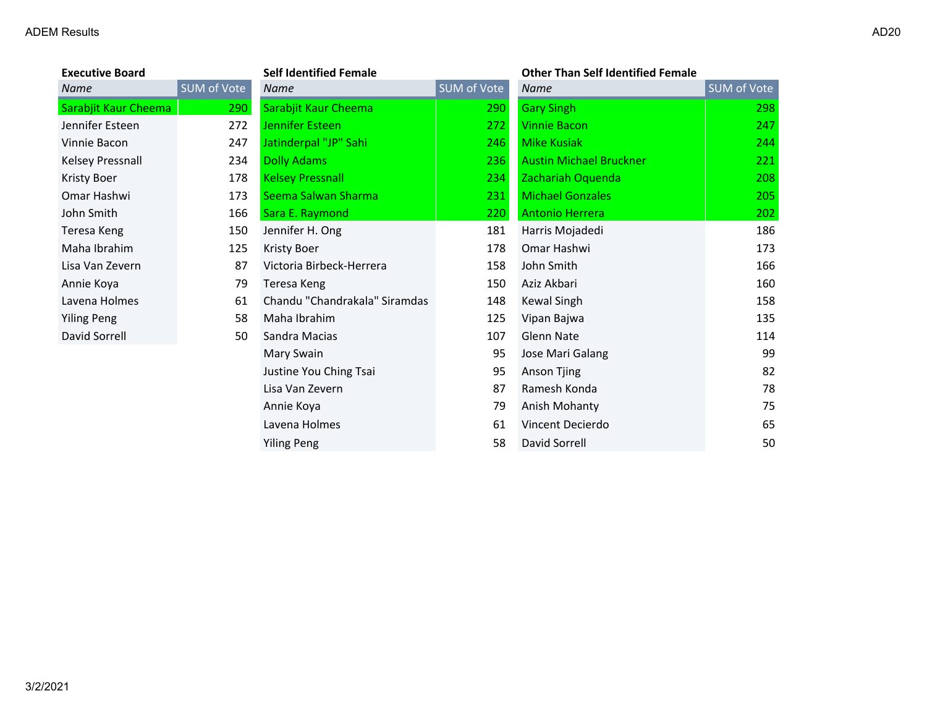| <b>Executive Board</b> |             | <b>Self Identified Female</b> |             | <b>Other Than Self Identified Female</b> |             |
|------------------------|-------------|-------------------------------|-------------|------------------------------------------|-------------|
| Name                   | SUM of Vote | <b>Name</b>                   | SUM of Vote | <b>Name</b>                              | SUM of Vote |
| Sarabjit Kaur Cheema   | 290         | Sarabjit Kaur Cheema          | 290         | <b>Gary Singh</b>                        | 298         |
| Jennifer Esteen        | 272         | <b>Jennifer Esteen</b>        | 272         | <b>Vinnie Bacon</b>                      | 247         |
| Vinnie Bacon           | 247         | Jatinderpal "JP" Sahi         | 246         | <b>Mike Kusiak</b>                       | 244         |
| Kelsey Pressnall       | 234         | <b>Dolly Adams</b>            | 236         | <b>Austin Michael Bruckner</b>           | 221         |
| Kristy Boer            | 178         | <b>Kelsey Pressnall</b>       | 234         | Zachariah Oquenda                        | 208         |
| Omar Hashwi            | 173         | Seema Salwan Sharma           | 231         | <b>Michael Gonzales</b>                  | 205         |
| John Smith             | 166         | Sara E. Raymond               | 220         | <b>Antonio Herrera</b>                   | 202         |
| Teresa Keng            | 150         | Jennifer H. Ong               | 181         | Harris Mojadedi                          | 186         |
| Maha Ibrahim           | 125         | <b>Kristy Boer</b>            | 178         | Omar Hashwi                              | 173         |
| Lisa Van Zevern        | 87          | Victoria Birbeck-Herrera      | 158         | John Smith                               | 166         |
| Annie Koya             | 79          | Teresa Keng                   | 150         | Aziz Akbari                              | 160         |
| Lavena Holmes          | 61          | Chandu "Chandrakala" Siramdas | 148         | Kewal Singh                              | 158         |
| <b>Yiling Peng</b>     | 58          | Maha Ibrahim                  | 125         | Vipan Bajwa                              | 135         |
| David Sorrell          | 50          | Sandra Macias                 | 107         | <b>Glenn Nate</b>                        | 114         |
|                        |             | Mary Swain                    | 95          | Jose Mari Galang                         | 99          |
|                        |             | Justine You Ching Tsai        | 95          | Anson Tjing                              | 82          |
|                        |             | Lisa Van Zevern               | 87          | Ramesh Konda                             | 78          |
|                        |             | Annie Koya                    | 79          | Anish Mohanty                            | 75          |
|                        |             | Lavena Holmes                 | 61          | Vincent Decierdo                         | 65          |
|                        |             | <b>Yiling Peng</b>            | 58          | David Sorrell                            | 50          |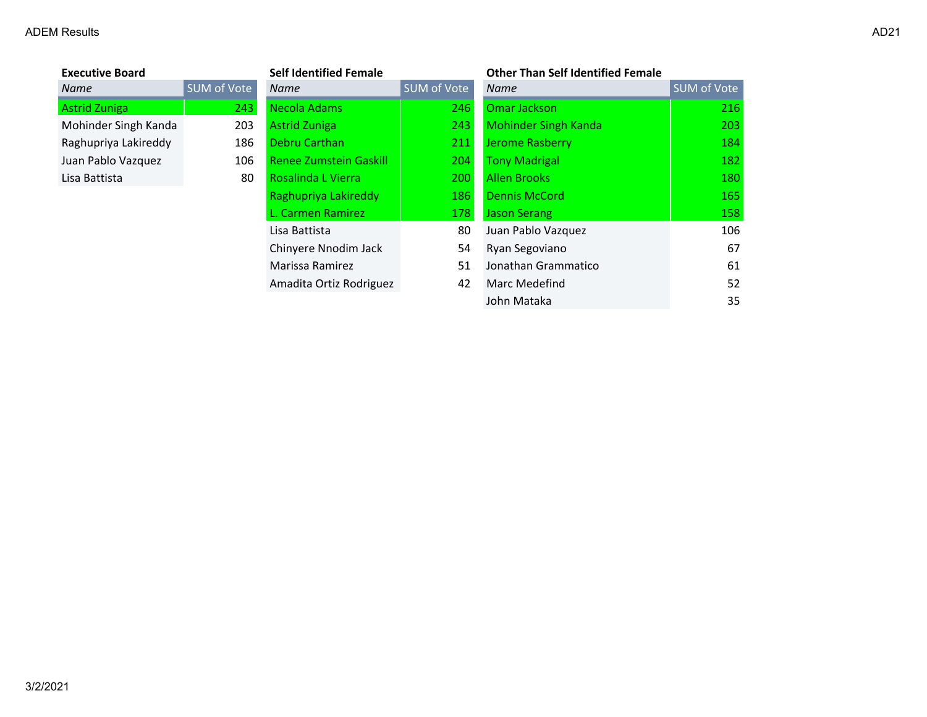| <b>Executive Board</b> |                    | <b>Self Identified Female</b> |             | <b>Other Than Self Identified Female</b> |             |
|------------------------|--------------------|-------------------------------|-------------|------------------------------------------|-------------|
| Name                   | <b>SUM of Vote</b> | <b>Name</b>                   | SUM of Vote | <b>Name</b>                              | SUM of Vote |
| <b>Astrid Zuniga</b>   | 243                | Necola Adams                  | 246         | Omar Jackson                             | 216         |
| Mohinder Singh Kanda   | 203                | <b>Astrid Zuniga</b>          | 243         | <b>Mohinder Singh Kanda</b>              | 203         |
| Raghupriya Lakireddy   | 186                | Debru Carthan                 | 211         | <b>Jerome Rasberry</b>                   | 184         |
| Juan Pablo Vazquez     | 106                | <b>Renee Zumstein Gaskill</b> | 204         | <b>Tony Madrigal</b>                     | 182         |
| Lisa Battista          | 80                 | Rosalinda L Vierra            | 200         | <b>Allen Brooks</b>                      | 180         |
|                        |                    | Raghupriya Lakireddy          | 186         | <b>Dennis McCord</b>                     | 165         |
|                        |                    | L. Carmen Ramirez             | 178         | <b>Jason Serang</b>                      | 158         |
|                        |                    | Lisa Battista                 | 80          | Juan Pablo Vazquez                       | 106         |
|                        |                    | Chinyere Nnodim Jack          | 54          | Ryan Segoviano                           | 67          |
|                        |                    | Marissa Ramirez               | 51          | Jonathan Grammatico                      | 61          |
|                        |                    | Amadita Ortiz Rodriguez       | 42          | Marc Medefind                            | 52          |
|                        |                    |                               |             | John Mataka                              | 35          |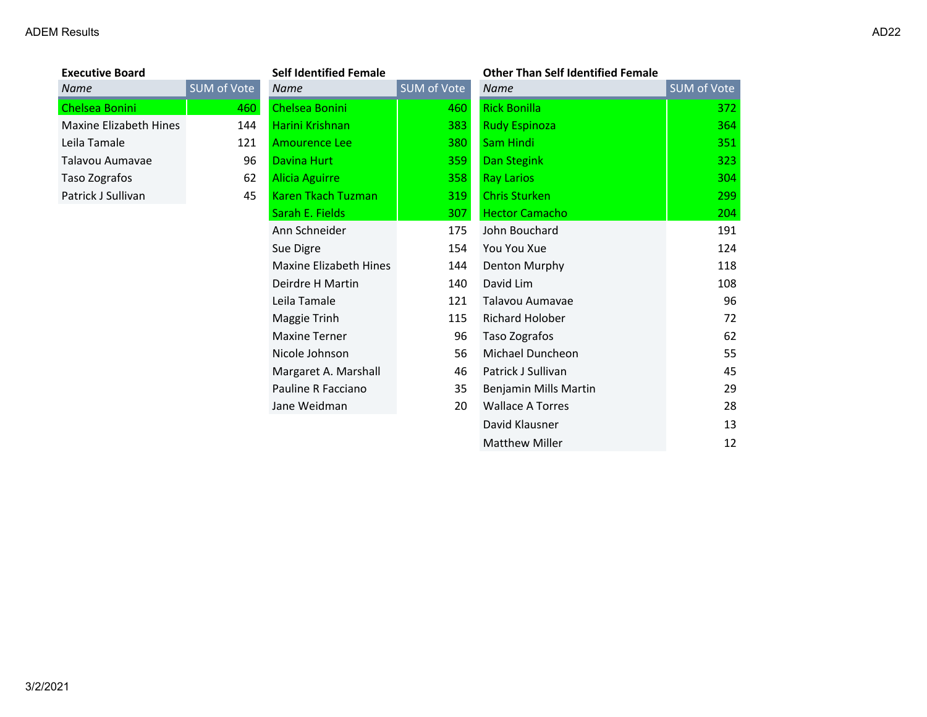| SUM of |
|--------|
|        |
|        |
|        |
|        |
|        |
|        |
|        |

| <b>Executive Board</b>        |             | <b>Self Identified Female</b> |             | <b>Other Than Self Identified Female</b> |             |
|-------------------------------|-------------|-------------------------------|-------------|------------------------------------------|-------------|
| Name                          | SUM of Vote | <b>Name</b>                   | SUM of Vote | <b>Name</b>                              | SUM of Vote |
| Chelsea Bonini                | 460         | Chelsea Bonini                | 460         | <b>Rick Bonilla</b>                      | 372         |
| <b>Maxine Elizabeth Hines</b> | 144         | Harini Krishnan               | 383         | <b>Rudy Espinoza</b>                     | 364         |
| Leila Tamale                  | 121         | <b>Amourence Lee</b>          | 380         | Sam Hindi                                | 351         |
| Talavou Aumavae               | 96          | Davina Hurt                   | 359         | Dan Stegink                              | 323         |
| Taso Zografos                 | 62          | Alicia Aguirre                | 358         | <b>Ray Larios</b>                        | 304         |
| Patrick J Sullivan            | 45          | <b>Karen Tkach Tuzman</b>     | 319         | <b>Chris Sturken</b>                     | 299         |
|                               |             | Sarah E. Fields               | 307         | <b>Hector Camacho</b>                    | 204         |
|                               |             | Ann Schneider                 | 175         | John Bouchard                            | 191         |
|                               |             | Sue Digre                     | 154         | You You Xue                              | 124         |
|                               |             | <b>Maxine Elizabeth Hines</b> | 144         | Denton Murphy                            | 118         |
|                               |             | Deirdre H Martin              | 140         | David Lim                                | 108         |
|                               |             | Leila Tamale                  | 121         | Talavou Aumavae                          | 96          |
|                               |             | Maggie Trinh                  | 115         | Richard Holober                          | 72          |
|                               |             | <b>Maxine Terner</b>          | 96          | Taso Zografos                            | 62          |
|                               |             | Nicole Johnson                | 56          | Michael Duncheon                         | 55          |
|                               |             | Margaret A. Marshall          | 46          | Patrick J Sullivan                       | 45          |
|                               |             | Pauline R Facciano            | 35          | Benjamin Mills Martin                    | 29          |
|                               |             | Jane Weidman                  | 20          | <b>Wallace A Torres</b>                  | 28          |
|                               |             |                               |             | David Klausner                           | 13          |

Matthew Miller 12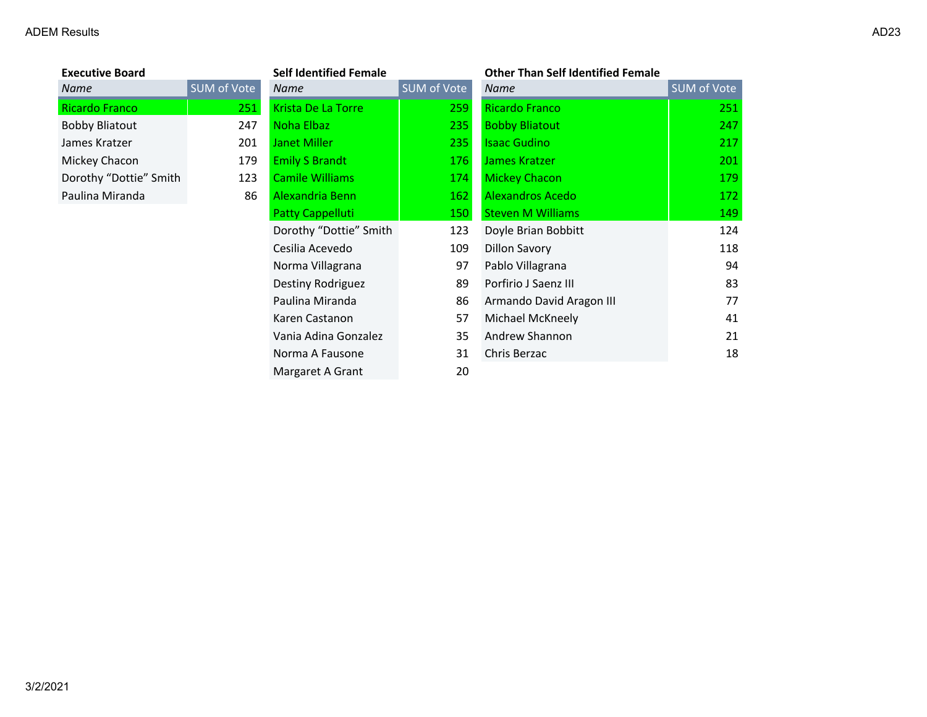| <b>Executive Board</b> |           |
|------------------------|-----------|
| <b>Name</b>            | SUM of Vo |
| Ricardo Franco         |           |
| <b>Bobby Bliatout</b>  |           |
| James Kratzer          |           |
| Mickey Chacon          |           |
| Dorothy "Dottie" Smith |           |
| Paulina Miranda        |           |
|                        |           |

| <b>Executive Board</b> |             | <b>Self Identified Female</b> |             | <b>Other Than Self Identified Female</b> |                    |
|------------------------|-------------|-------------------------------|-------------|------------------------------------------|--------------------|
| Name                   | SUM of Vote | <b>Name</b>                   | SUM of Vote | <b>Name</b>                              | <b>SUM of Vote</b> |
| Ricardo Franco         | 251         | Krista De La Torre            | 259         | <b>Ricardo Franco</b>                    | 251                |
| <b>Bobby Bliatout</b>  | 247         | Noha Elbaz                    | 235         | <b>Bobby Bliatout</b>                    | 247                |
| James Kratzer          | 201         | <b>Janet Miller</b>           | 235         | <b>Isaac Gudino</b>                      | 217                |
| Mickey Chacon          | 179         | <b>Emily S Brandt</b>         | 176         | James Kratzer                            | 201                |
| Dorothy "Dottie" Smith | 123         | <b>Camile Williams</b>        | 174         | Mickey Chacon                            | 179                |
| Paulina Miranda        | 86          | Alexandria Benn               | 162         | Alexandros Acedo                         | 172                |
|                        |             | <b>Patty Cappelluti</b>       | 150         | <b>Steven M Williams</b>                 | 149                |
|                        |             | Dorothy "Dottie" Smith        | 123         | Doyle Brian Bobbitt                      | 124                |
|                        |             | Cesilia Acevedo               | 109         | <b>Dillon Savory</b>                     | 118                |
|                        |             | Norma Villagrana              | 97          | Pablo Villagrana                         | 94                 |
|                        |             | Destiny Rodriguez             | 89          | Porfirio J Saenz III                     | 83                 |
|                        |             | Paulina Miranda               | 86          | Armando David Aragon III                 | 77                 |
|                        |             | Karen Castanon                | 57          | Michael McKneely                         | 41                 |
|                        |             | Vania Adina Gonzalez          | 35          | Andrew Shannon                           | 21                 |
|                        |             | Norma A Fausone               | 31          | Chris Berzac                             | 18                 |
|                        |             | Margaret A Grant              | 20          |                                          |                    |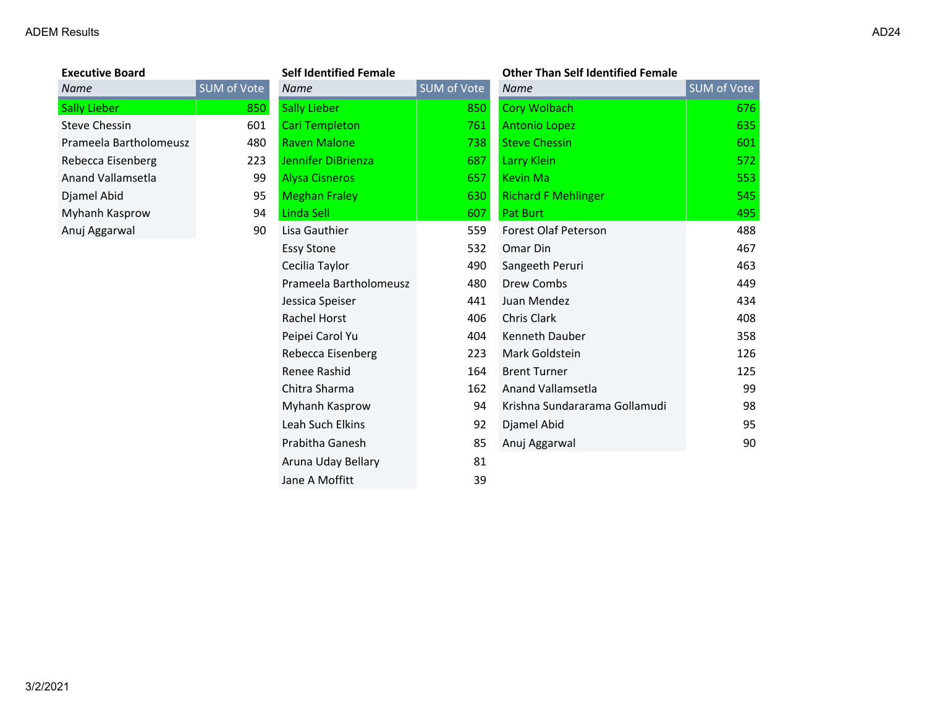| <b>Executive Board</b> |            |
|------------------------|------------|
| Name                   | <b>SUM</b> |
| <b>Sally Lieber</b>    |            |
| Steve Chessin          |            |
| Prameela Bartholomeusz |            |
| Rebecca Eisenberg      |            |
| Anand Vallamsetla      |            |
| Djamel Abid            |            |
| Myhanh Kasprow         |            |
| Anuj Aggarwal          |            |
|                        |            |

| <b>Executive Board</b> |             | <b>Self Identified Female</b> |             | <b>Other Than Self Identified Female</b> |                    |
|------------------------|-------------|-------------------------------|-------------|------------------------------------------|--------------------|
| Name                   | SUM of Vote | Name                          | SUM of Vote | Name                                     | <b>SUM of Vote</b> |
| <b>Sally Lieber</b>    | 850         | <b>Sally Lieber</b>           | 850         | <b>Cory Wolbach</b>                      | 676                |
| <b>Steve Chessin</b>   | 601         | <b>Cari Templeton</b>         | 761         | <b>Antonio Lopez</b>                     | 635                |
| Prameela Bartholomeusz | 480         | <b>Raven Malone</b>           | 738         | <b>Steve Chessin</b>                     | 601                |
| Rebecca Eisenberg      | 223         | Jennifer DiBrienza            | 687         | <b>Larry Klein</b>                       | 572                |
| Anand Vallamsetla      | 99          | <b>Alysa Cisneros</b>         | 657         | <b>Kevin Ma</b>                          | 553                |
| Djamel Abid            | 95          | <b>Meghan Fraley</b>          | 630         | <b>Richard F Mehlinger</b>               | 545                |
| Myhanh Kasprow         | 94          | Linda Sell                    | 607         | <b>Pat Burt</b>                          | 495                |
| Anuj Aggarwal          | 90          | Lisa Gauthier                 | 559         | Forest Olaf Peterson                     | 488                |
|                        |             | <b>Essy Stone</b>             | 532         | Omar Din                                 | 467                |
|                        |             | Cecilia Taylor                | 490         | Sangeeth Peruri                          | 463                |
|                        |             | Prameela Bartholomeusz        | 480         | Drew Combs                               | 449                |
|                        |             | Jessica Speiser               | 441         | Juan Mendez                              | 434                |
|                        |             | <b>Rachel Horst</b>           | 406         | Chris Clark                              | 408                |
|                        |             | Peipei Carol Yu               | 404         | Kenneth Dauber                           | 358                |
|                        |             | Rebecca Eisenberg             | 223         | Mark Goldstein                           | 126                |
|                        |             | Renee Rashid                  | 164         | <b>Brent Turner</b>                      | 125                |
|                        |             | Chitra Sharma                 | 162         | <b>Anand Vallamsetla</b>                 | 99                 |
|                        |             | Myhanh Kasprow                | 94          | Krishna Sundararama Gollamudi            | 98                 |
|                        |             | Leah Such Elkins              | 92          | Djamel Abid                              | 95                 |
|                        |             | Prabitha Ganesh               | 85          | Anuj Aggarwal                            | 90                 |
|                        |             | Aruna Uday Bellary            | 81          |                                          |                    |
|                        |             | Jane A Moffitt                | 39          |                                          |                    |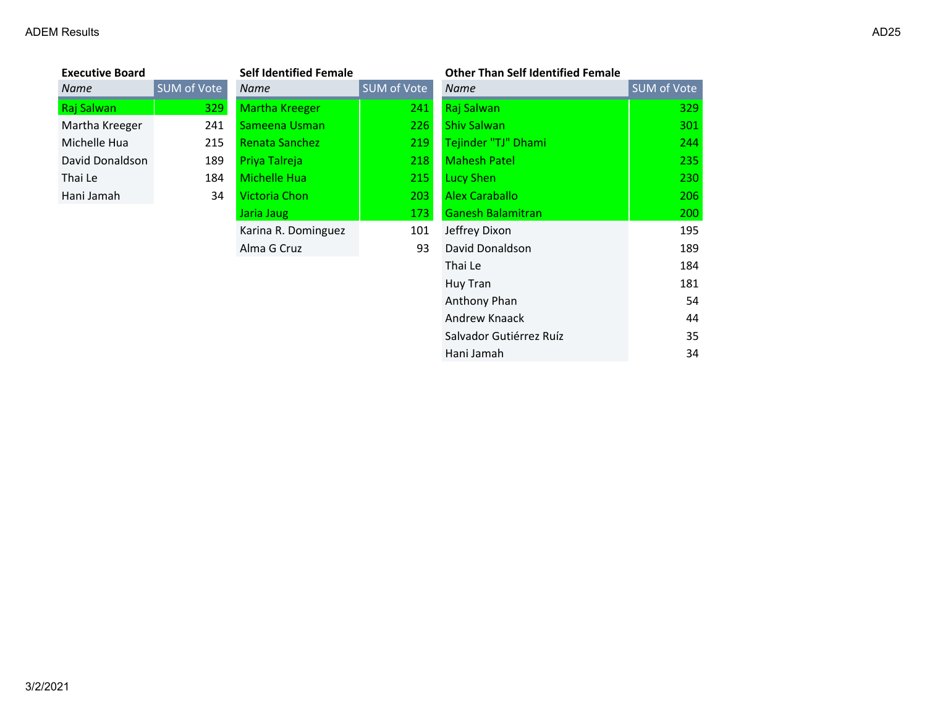| <b>Executive Board</b> |             | <b>Self Identified Female</b> |             | <b>Other Than Self Identified Female</b> |                    |
|------------------------|-------------|-------------------------------|-------------|------------------------------------------|--------------------|
| Name                   | SUM of Vote | Name                          | SUM of Vote | Name                                     | <b>SUM of Vote</b> |
| Raj Salwan             | 329         | <b>Martha Kreeger</b>         | 241         | Raj Salwan                               | 329                |
| Martha Kreeger         | 241         | Sameena Usman                 | 226         | <b>Shiv Salwan</b>                       | 301                |
| Michelle Hua           | 215         | Renata Sanchez                | 219         | Tejinder "TJ" Dhami                      | 244                |
| David Donaldson        | 189         | Priya Talreja                 | 218         | <b>Mahesh Patel</b>                      | 235                |
| Thai Le                | 184         | Michelle Hua                  | 215         | <b>Lucy Shen</b>                         | 230                |
| Hani Jamah             | 34          | Victoria Chon                 | $203 -$     | Alex Caraballo                           | 206                |
|                        |             | Jaria Jaug                    | 173         | <b>Ganesh Balamitran</b>                 | 200                |
|                        |             | Karina R. Dominguez           | 101         | Jeffrey Dixon                            | 195                |
|                        |             | Alma G Cruz                   | 93          | David Donaldson                          | 189                |
|                        |             |                               |             | Thai Le                                  | 184                |
|                        |             |                               |             | Huy Tran                                 | 181                |
|                        |             |                               |             | Anthony Phan                             | 54                 |
|                        |             |                               |             | Andrew Knaack                            | 44                 |
|                        |             |                               |             | Salvador Gutiérrez Ruíz                  | 35                 |

Hani Jamah 34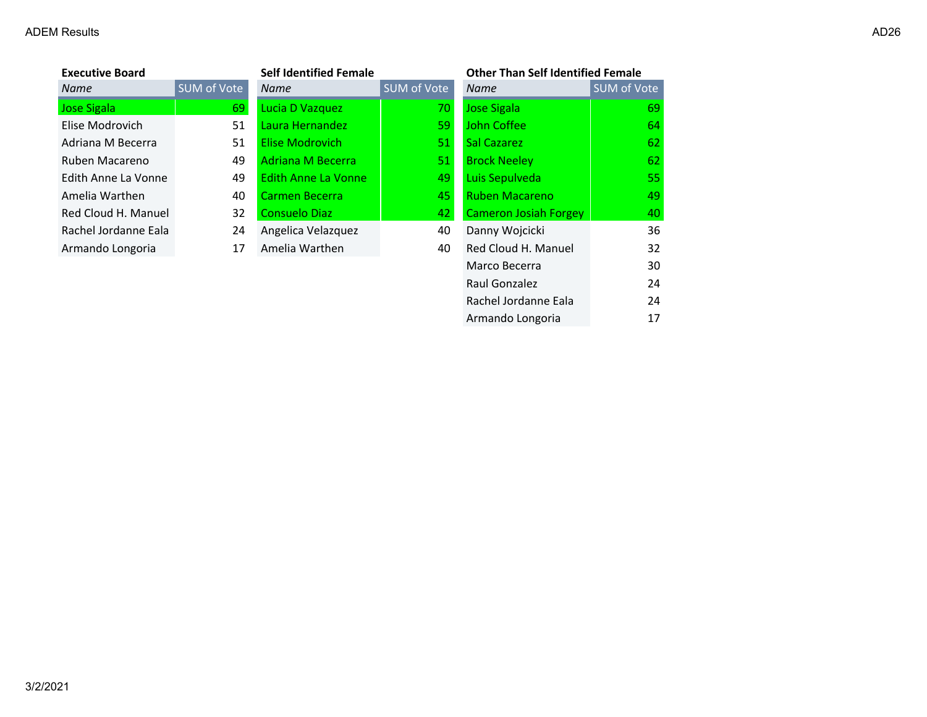×

| <b>Executive Board</b> |             | <b>Self Identified Female</b> |             | <b>Other Than Self Identified Female</b> |             |
|------------------------|-------------|-------------------------------|-------------|------------------------------------------|-------------|
| Name                   | SUM of Vote | <b>Name</b>                   | SUM of Vote | <b>Name</b>                              | SUM of Vote |
| <b>Jose Sigala</b>     | 69          | Lucia D Vazquez               | 70          | <b>Jose Sigala</b>                       | 69          |
| Elise Modrovich        | 51          | Laura Hernandez               | 59          | John Coffee                              | 64          |
| Adriana M Becerra      | 51          | <b>Elise Modrovich</b>        | 51          | Sal Cazarez                              | 62          |
| Ruben Macareno         | 49          | <b>Adriana M Becerra</b>      | 51          | <b>Brock Neeley</b>                      | 62          |
| Edith Anne La Vonne    | 49          | Edith Anne La Vonne           | 49          | Luis Sepulveda                           | 55          |
| Amelia Warthen         | 40          | Carmen Becerra                | 45          | <b>Ruben Macareno</b>                    | 49          |
| Red Cloud H. Manuel    | 32          | <b>Consuelo Diaz</b>          | 42          | <b>Cameron Josiah Forgey</b>             | 40          |
| Rachel Jordanne Eala   | 24          | Angelica Velazquez            | 40          | Danny Wojcicki                           | 36          |
| Armando Longoria       | 17          | Amelia Warthen                | 40          | Red Cloud H. Manuel                      | 32          |
|                        |             |                               |             | Marco Becerra                            | 30          |
|                        |             |                               |             | Raul Gonzalez                            | 24          |
|                        |             |                               |             | Rachel Jordanne Eala                     | 24          |

Armando Longoria 17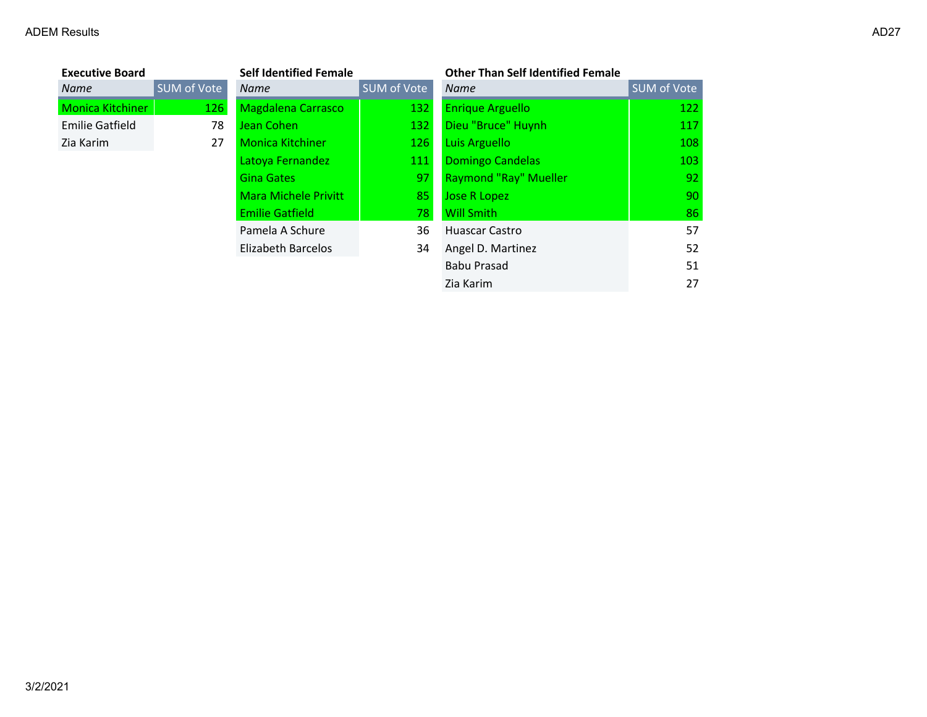| <b>Executive Board</b> |             | <b>Self Identified Female</b> |             | <b>Other Than Self Identified Female</b> |             |
|------------------------|-------------|-------------------------------|-------------|------------------------------------------|-------------|
| Name                   | SUM of Vote | <b>Name</b>                   | SUM of Vote | <b>Name</b>                              | SUM of Vote |
| Monica Kitchiner       | 126         | <b>Magdalena Carrasco</b>     | 132         | <b>Enrique Arguello</b>                  | 122         |
| Emilie Gatfield        | 78          | Jean Cohen                    | 132         | Dieu "Bruce" Huynh                       | 117         |
| Zia Karim              | 27          | <b>Monica Kitchiner</b>       | 126         | Luis Arguello                            | 108         |
|                        |             | Latoya Fernandez              | 111         | <b>Domingo Candelas</b>                  | 103         |
|                        |             | <b>Gina Gates</b>             | 97          | <b>Raymond "Ray" Mueller</b>             | 92          |
|                        |             | <b>Mara Michele Privitt</b>   | 85          | Jose R Lopez                             | 90          |
|                        |             | <b>Emilie Gatfield</b>        | 78          | <b>Will Smith</b>                        | 86          |
|                        |             | Pamela A Schure               | 36          | <b>Huascar Castro</b>                    | 57          |
|                        |             | Elizabeth Barcelos            | 34          | Angel D. Martinez                        | 52          |
|                        |             |                               |             | <b>Babu Prasad</b>                       | 51          |
|                        |             |                               |             | Zia Karim                                | 27          |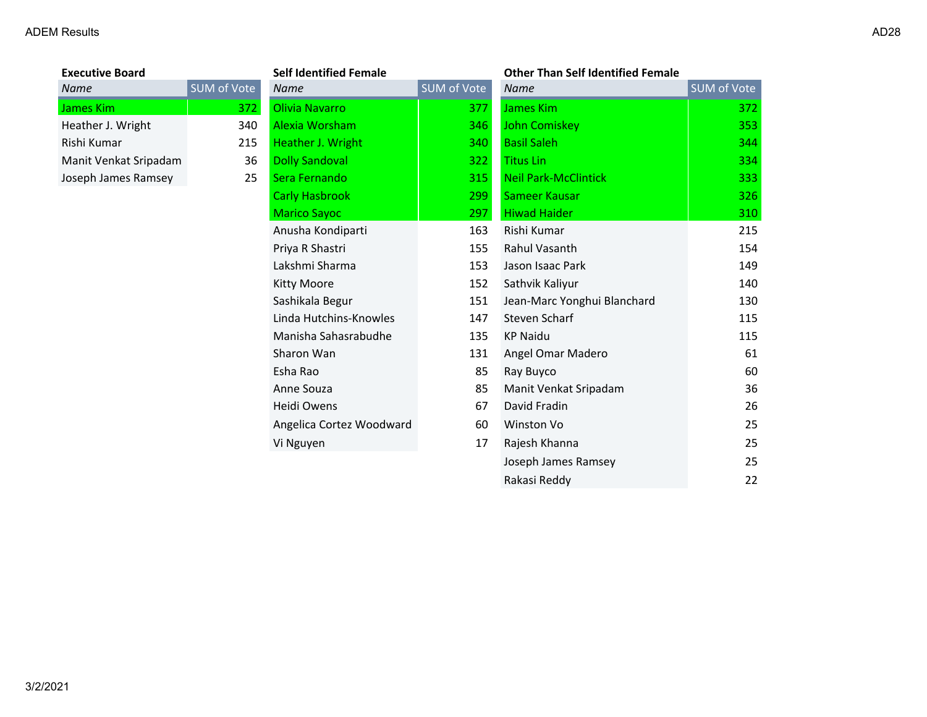# **Executive Board**<br>**Name SUM** of Vote Heather J. Wright 340 Manit Venkat Sripadam 36 Joseph James Ramsey 25

| <b>Executive Board</b> |                    | <b>Self Identified Female</b> | <b>Other Than Self Identified Female</b> |                             |             |
|------------------------|--------------------|-------------------------------|------------------------------------------|-----------------------------|-------------|
| Name                   | <b>SUM of Vote</b> | <b>Name</b>                   | <b>SUM of Vote</b>                       | <b>Name</b>                 | SUM of Vote |
| James Kim              | 372                | Olivia Navarro                | 377                                      | James Kim                   | 372         |
| Heather J. Wright      | 340                | Alexia Worsham                | 346                                      | John Comiskey               | 353         |
| Rishi Kumar            | 215                | Heather J. Wright             | 340                                      | <b>Basil Saleh</b>          | 344         |
| Manit Venkat Sripadam  | 36                 | <b>Dolly Sandoval</b>         | 322                                      | <b>Titus Lin</b>            | 334         |
| Joseph James Ramsey    | 25                 | Sera Fernando                 | 315                                      | <b>Neil Park-McClintick</b> | 333         |
|                        |                    | <b>Carly Hasbrook</b>         | 299                                      | Sameer Kausar               | 326         |
|                        |                    | <b>Marico Sayoc</b>           | 297                                      | <b>Hiwad Haider</b>         | 310         |
|                        |                    | Anusha Kondiparti             | 163                                      | Rishi Kumar                 | 215         |
|                        |                    | Priya R Shastri               | 155                                      | Rahul Vasanth               | 154         |
|                        |                    | Lakshmi Sharma                | 153                                      | Jason Isaac Park            | 149         |
|                        |                    | <b>Kitty Moore</b>            | 152                                      | Sathvik Kaliyur             | 140         |
|                        |                    | Sashikala Begur               | 151                                      | Jean-Marc Yonghui Blanchard | 130         |
|                        |                    | Linda Hutchins-Knowles        | 147                                      | Steven Scharf               | 115         |
|                        |                    | Manisha Sahasrabudhe          | 135                                      | <b>KP Naidu</b>             | 115         |
|                        |                    | Sharon Wan                    | 131                                      | Angel Omar Madero           | 61          |
|                        |                    | Esha Rao                      | 85                                       | Ray Buyco                   | 60          |
|                        |                    | Anne Souza                    | 85                                       | Manit Venkat Sripadam       | 36          |
|                        |                    | Heidi Owens                   | 67                                       | David Fradin                | 26          |
|                        |                    | Angelica Cortez Woodward      | 60                                       | Winston Vo                  | 25          |
|                        |                    | Vi Nguyen                     | 17                                       | Rajesh Khanna               | 25          |
|                        |                    |                               |                                          | Joseph James Ramsey         | 25          |
|                        |                    |                               |                                          | Rakasi Reddy                | 22          |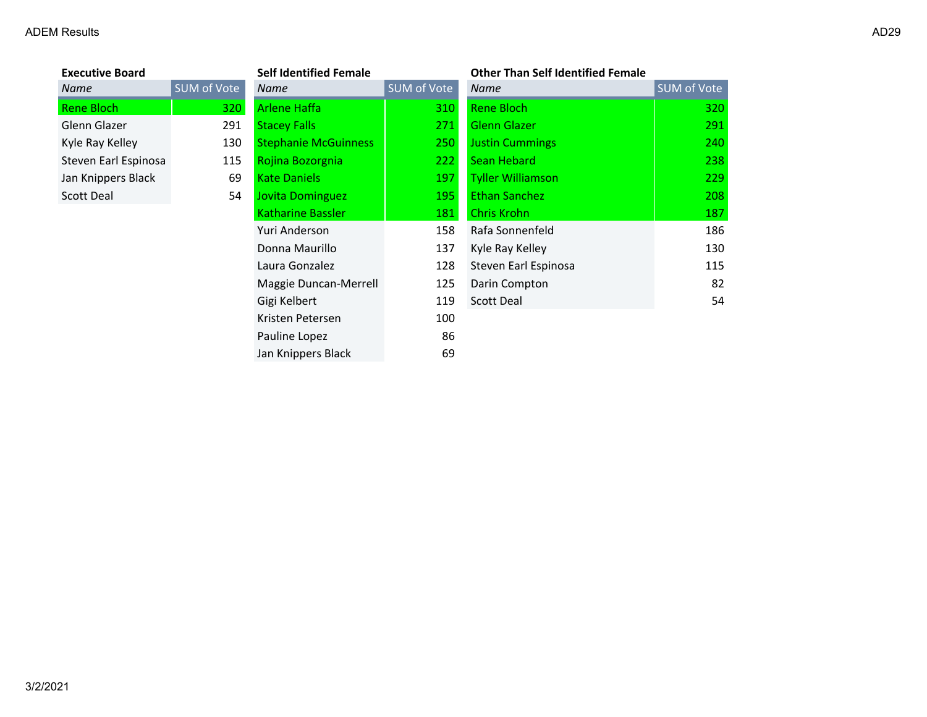| <b>Executive Board</b> |                  |
|------------------------|------------------|
| Name                   | <b>SUM of Vo</b> |
| Rene Bloch             | 3                |
| Glenn Glazer           | 2                |
| Kyle Ray Kelley        | 1                |
| Steven Earl Espinosa   | 1                |
| Jan Knippers Black     |                  |
| <b>Scott Deal</b>      |                  |
|                        |                  |

| <b>Executive Board</b> |             | <b>Self Identified Female</b> |             | <b>Other Than Self Identified Female</b> |             |
|------------------------|-------------|-------------------------------|-------------|------------------------------------------|-------------|
| Name                   | SUM of Vote | Name                          | SUM of Vote | Name                                     | SUM of Vote |
| Rene Bloch             | 320         | <b>Arlene Haffa</b>           | 310         | Rene Bloch                               | 320         |
| Glenn Glazer           | 291         | <b>Stacey Falls</b>           | 271         | <b>Glenn Glazer</b>                      | 291         |
| Kyle Ray Kelley        | 130         | <b>Stephanie McGuinness</b>   | 250         | <b>Justin Cummings</b>                   | 240         |
| Steven Earl Espinosa   | 115         | Rojina Bozorgnia              | 222         | Sean Hebard                              | 238         |
| Jan Knippers Black     | 69          | <b>Kate Daniels</b>           | 197         | <b>Tyller Williamson</b>                 | 229         |
| Scott Deal             | 54          | Jovita Dominguez              | 195         | <b>Ethan Sanchez</b>                     | 208         |
|                        |             | Katharine Bassler             | 181         | <b>Chris Krohn</b>                       | 187         |
|                        |             | Yuri Anderson                 | 158         | Rafa Sonnenfeld                          | 186         |
|                        |             | Donna Maurillo                | 137         | Kyle Ray Kelley                          | 130         |
|                        |             | Laura Gonzalez                | 128         | Steven Earl Espinosa                     | 115         |
|                        |             | Maggie Duncan-Merrell         | 125         | Darin Compton                            | 82          |
|                        |             | Gigi Kelbert                  | 119         | Scott Deal                               | 54          |
|                        |             | Kristen Petersen              | 100         |                                          |             |
|                        |             | Pauline Lopez                 | 86          |                                          |             |
|                        |             | Jan Knippers Black            | 69          |                                          |             |

| Self Identified Female                |             | Other Than Self Identified Female |             |  |
|---------------------------------------|-------------|-----------------------------------|-------------|--|
| Name                                  | SUM of Vote | <b>Name</b>                       | SUM of Vote |  |
| Arlene Haffa                          | 310         | Rene Bloch                        | 320         |  |
| <b>Stacey Falls</b>                   | 271         | <b>Glenn Glazer</b>               | 291         |  |
| <b>Stephanie McGuinness</b>           | 250         | <b>Justin Cummings</b>            | 240         |  |
| Rojina Bozorgnia                      | 222         | Sean Hebard                       | 238         |  |
| <b>Kate Daniels</b>                   | 197         | <b>Tyller Williamson</b>          | 229         |  |
| Jovita Dominguez                      | 195         | <b>Ethan Sanchez</b>              | 208         |  |
| <b>Katharine Bassler</b>              | 181         | <b>Chris Krohn</b>                | 187         |  |
| Yuri Anderson                         | 158         | Rafa Sonnenfeld                   | 186         |  |
| Donna Maurillo                        | 137         | Kyle Ray Kelley                   | 130         |  |
| Laura Gonzalez                        | 128         | Steven Earl Espinosa              | 115         |  |
| Maggie Duncan-Merrell                 | 125         | Darin Compton                     | 82          |  |
| Gigi Kelbert                          | 119         | <b>Scott Deal</b>                 | 54          |  |
| <i><u><b>Matahan Dahanaan</b></u></i> | 1 O.O       |                                   |             |  |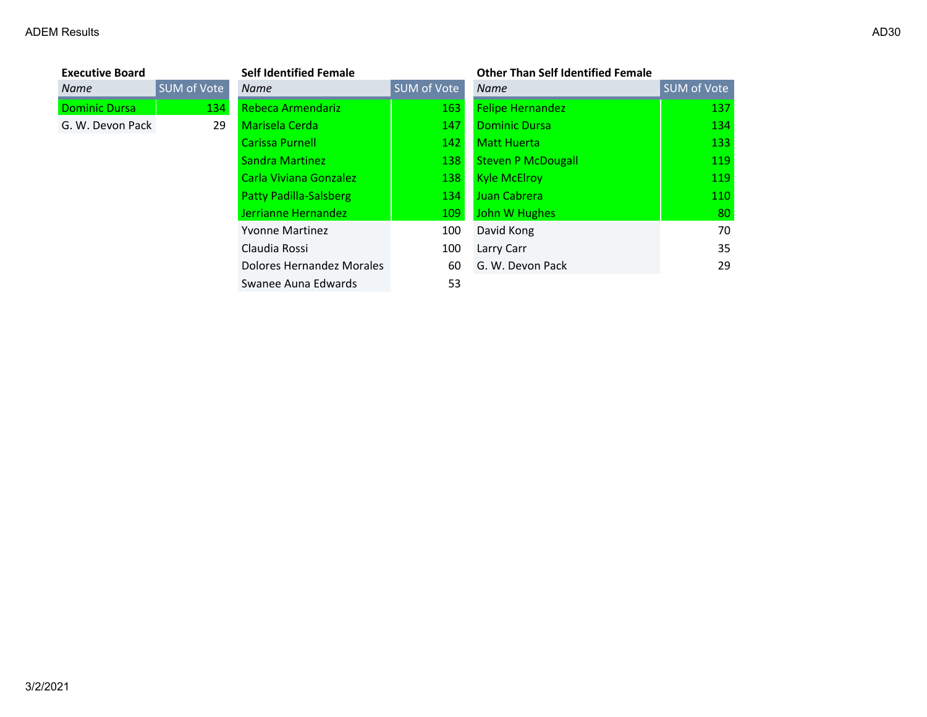| <b>Executive Board</b> |             | <b>Self Identified Female</b> |             | <b>Other Than Self Identified Female</b> |                    |
|------------------------|-------------|-------------------------------|-------------|------------------------------------------|--------------------|
| <b>Name</b>            | SUM of Vote | <b>Name</b>                   | SUM of Vote | <b>Name</b>                              | <b>SUM of Vote</b> |
| <b>Dominic Dursa</b>   | 134         | Rebeca Armendariz             | 163         | <b>Felipe Hernandez</b>                  | 137                |
| G. W. Devon Pack       | 29          | Marisela Cerda                | 147         | <b>Dominic Dursa</b>                     | 134                |
|                        |             | Carissa Purnell               | 142         | <b>Matt Huerta</b>                       | 133                |
|                        |             | Sandra Martinez               | 138         | <b>Steven P McDougall</b>                | 119                |
|                        |             | Carla Viviana Gonzalez        | 138         | <b>Kyle McElroy</b>                      | 119                |
|                        |             | Patty Padilla-Salsberg        | 134         | Juan Cabrera                             | 110                |
|                        |             | Jerrianne Hernandez           | 109         | John W Hughes                            | 80                 |
|                        |             | <b>Yvonne Martinez</b>        | 100         | David Kong                               | 70                 |
|                        |             | Claudia Rossi                 | 100         | Larry Carr                               | 35                 |
|                        |             | Dolores Hernandez Morales     | 60          | G. W. Devon Pack                         | 29                 |
|                        |             | Swanee Auna Edwards           | 53          |                                          |                    |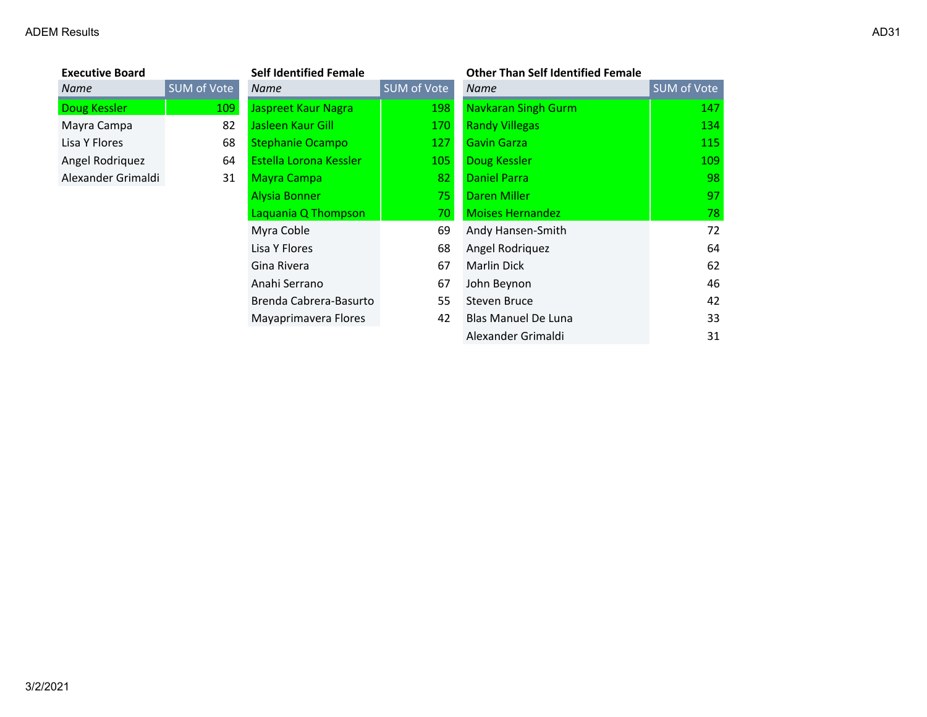# **Executive Board**<br>**Name** Alexander Grimaldi 31

| <b>Executive Board</b> |             | <b>Self Identified Female</b> |             | <b>Other Than Self Identified Female</b> |             |
|------------------------|-------------|-------------------------------|-------------|------------------------------------------|-------------|
| <b>Name</b>            | SUM of Vote | Name                          | SUM of Vote | <b>Name</b>                              | SUM of Vote |
| Doug Kessler           | 109         | Jaspreet Kaur Nagra           | 198         | <b>Navkaran Singh Gurm</b>               | 147         |
| Mayra Campa            | 82          | Jasleen Kaur Gill             | 170         | <b>Randy Villegas</b>                    | 134         |
| Lisa Y Flores          | 68          | <b>Stephanie Ocampo</b>       | 127         | <b>Gavin Garza</b>                       | 115         |
| Angel Rodriquez        | 64          | Estella Lorona Kessler        | 105         | Doug Kessler                             | 109         |
| Alexander Grimaldi     | 31          | <b>Mayra Campa</b>            | 82          | <b>Daniel Parra</b>                      | 98          |
|                        |             | <b>Alysia Bonner</b>          | 75          | Daren Miller                             | 97          |
|                        |             | Laquania Q Thompson           | 70          | <b>Moises Hernandez</b>                  | 78          |
|                        |             | Myra Coble                    | 69          | Andy Hansen-Smith                        | 72          |
|                        |             | Lisa Y Flores                 | 68          | Angel Rodriquez                          | 64          |
|                        |             | Gina Rivera                   | 67          | Marlin Dick                              | 62          |
|                        |             | Anahi Serrano                 | 67          | John Beynon                              | 46          |
|                        |             | Brenda Cabrera-Basurto        | 55          | Steven Bruce                             | 42          |
|                        |             | Mayaprimavera Flores          | 42          | <b>Blas Manuel De Luna</b>               | 33          |
|                        |             |                               |             | Alexander Grimaldi                       | 31          |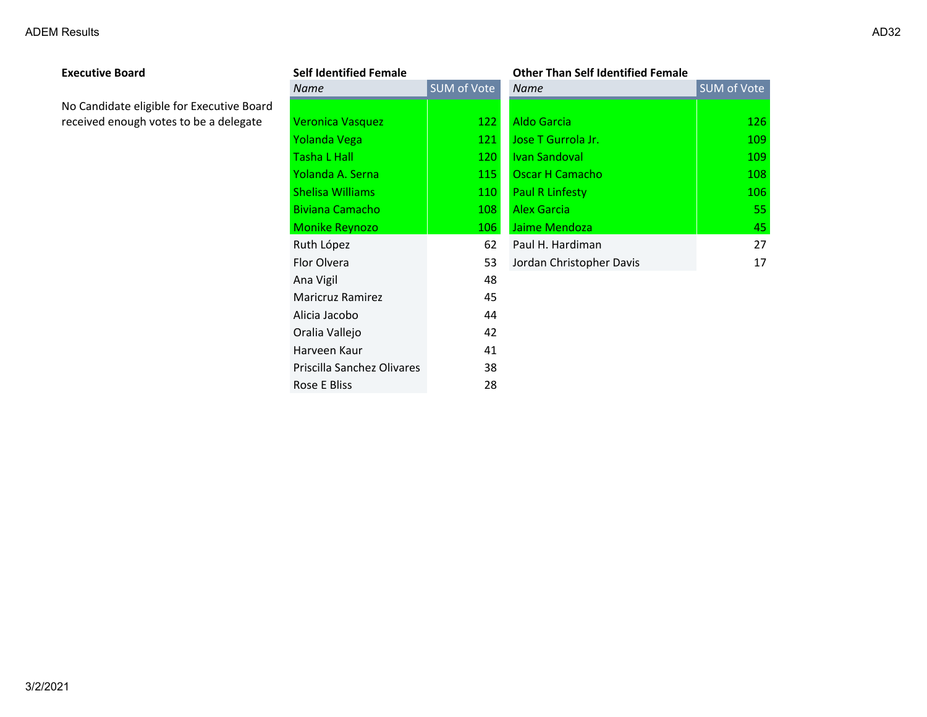| <b>Executive Board</b>                    | <b>Self Identified Female</b> |             | <b>Other Than Self Identified Female</b> |             |
|-------------------------------------------|-------------------------------|-------------|------------------------------------------|-------------|
|                                           | <b>Name</b>                   | SUM of Vote | <b>Name</b>                              | SUM of Vote |
| No Candidate eligible for Executive Board |                               |             |                                          |             |
| received enough votes to be a delegate    | <b>Veronica Vasquez</b>       | 122         | <b>Aldo Garcia</b>                       | 126         |
|                                           | Yolanda Vega                  | 121         | Jose T Gurrola Jr.                       | 109         |
|                                           | <b>Tasha L Hall</b>           | 120         | Ivan Sandoval                            | 109         |
|                                           | Yolanda A. Serna              | 115         | Oscar H Camacho                          | 108         |
|                                           | <b>Shelisa Williams</b>       | 110         | <b>Paul R Linfesty</b>                   | 106         |
|                                           | <b>Biviana Camacho</b>        | 108         | <b>Alex Garcia</b>                       | 55          |
|                                           | <b>Monike Reynozo</b>         | 106         | Jaime Mendoza                            | 45          |
|                                           | Ruth López                    | 62          | Paul H. Hardiman                         | 27          |
|                                           | Flor Olvera                   | 53          | Jordan Christopher Davis                 | 17          |
|                                           | Ana Vigil                     | 48          |                                          |             |
|                                           | <b>Maricruz Ramirez</b>       | 45          |                                          |             |
|                                           | Alicia Jacobo                 | 44          |                                          |             |
|                                           | Oralia Vallejo                | 42          |                                          |             |
|                                           | Harveen Kaur                  | 41          |                                          |             |
|                                           | Priscilla Sanchez Olivares    | 38          |                                          |             |
|                                           | Rose E Bliss                  | 28          |                                          |             |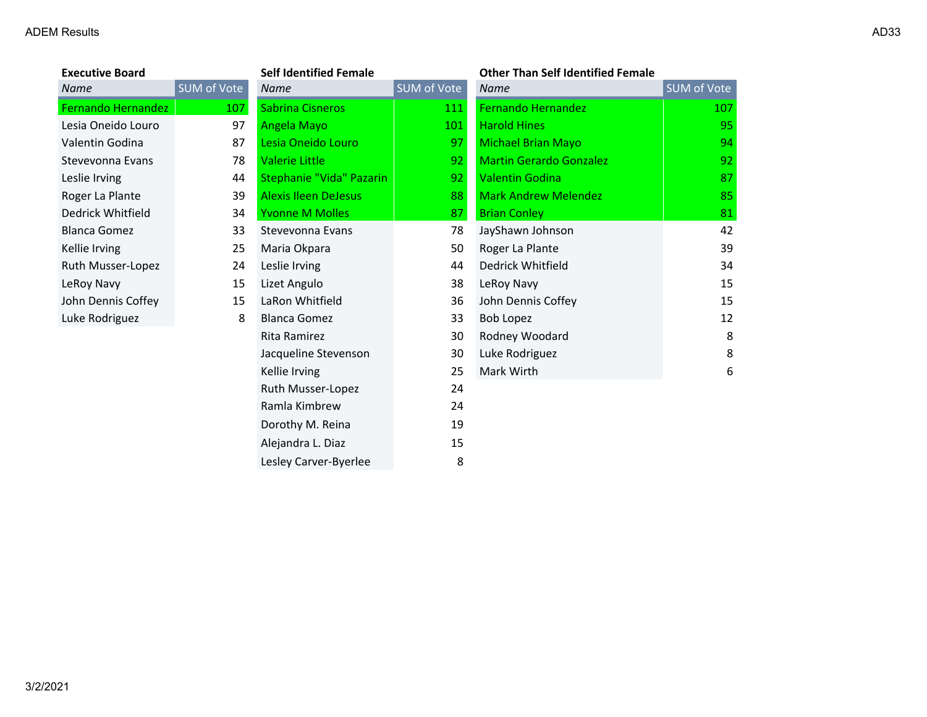| <b>Executive Board</b>    |                   |
|---------------------------|-------------------|
| Name                      | <b>SUM of Vot</b> |
| <b>Fernando Hernandez</b> | 10                |
| Lesia Oneido Louro        |                   |
| Valentin Godina           | ξ                 |
| Stevevonna Evans          |                   |
| Leslie Irving             | Ĺ                 |
| Roger La Plante           | ί                 |
| Dedrick Whitfield         | Í                 |
| Blanca Gomez              | $\ddot{\cdot}$    |
| Kellie Irving             |                   |
| Ruth Musser-Lopez         |                   |
| LeRoy Navy                |                   |
| John Dennis Coffey        |                   |
| Luke Rodriguez            |                   |
|                           |                   |

| <b>Executive Board</b>    |             | <b>Self Identified Female</b> |             | <b>Other Than Self Identified Female</b> |             |
|---------------------------|-------------|-------------------------------|-------------|------------------------------------------|-------------|
| Name                      | SUM of Vote | <b>Name</b>                   | SUM of Vote | <b>Name</b>                              | SUM of Vote |
| <b>Fernando Hernandez</b> | 107         | <b>Sabrina Cisneros</b>       | 111         | Fernando Hernandez                       | 107         |
| Lesia Oneido Louro        | 97          | Angela Mayo                   | 101         | <b>Harold Hines</b>                      | 95          |
| Valentin Godina           | 87          | Lesia Oneido Louro            | 97          | <b>Michael Brian Mayo</b>                | 94          |
| Stevevonna Evans          | 78          | <b>Valerie Little</b>         | 92          | <b>Martin Gerardo Gonzalez</b>           | 92          |
| Leslie Irving             | 44          | Stephanie "Vida" Pazarin      | 92          | <b>Valentin Godina</b>                   | 87          |
| Roger La Plante           | 39          | <b>Alexis Ileen DeJesus</b>   | 88          | <b>Mark Andrew Melendez</b>              | 85          |
| Dedrick Whitfield         | 34          | <b>Yvonne M Molles</b>        | 87          | <b>Brian Conley</b>                      | 81          |
| <b>Blanca Gomez</b>       | 33          | Stevevonna Evans              | 78          | JayShawn Johnson                         | 42          |
| Kellie Irving             | 25          | Maria Okpara                  | 50          | Roger La Plante                          | 39          |
| Ruth Musser-Lopez         | 24          | Leslie Irving                 | 44          | Dedrick Whitfield                        | 34          |
| LeRoy Navy                | 15          | Lizet Angulo                  | 38          | LeRoy Navy                               | 15          |
| John Dennis Coffey        | 15          | LaRon Whitfield               | 36          | John Dennis Coffey                       | 15          |
| Luke Rodriguez            | 8           | <b>Blanca Gomez</b>           | 33          | <b>Bob Lopez</b>                         | 12          |
|                           |             | Rita Ramirez                  | 30          | Rodney Woodard                           | 8           |
|                           |             | Jacqueline Stevenson          | 30          | Luke Rodriguez                           | 8           |
|                           |             | Kellie Irving                 | 25          | Mark Wirth                               | 6           |
|                           |             | Ruth Musser-Lopez             | 24          |                                          |             |
|                           |             | Ramla Kimbrew                 | 24          |                                          |             |
|                           |             | Dorothy M. Reina              | 19          |                                          |             |
|                           |             | Alejandra L. Diaz             | 15          |                                          |             |
|                           |             | Lesley Carver-Byerlee         | 8           |                                          |             |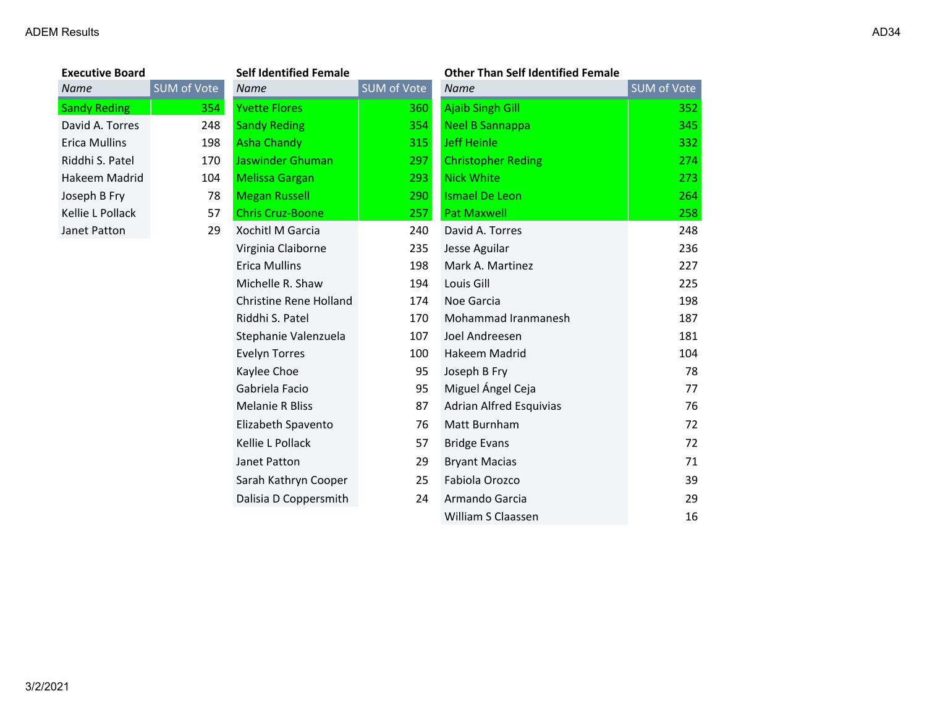| <b>Executive Board</b> |             | <b>Self Identified Female</b> |             | <b>Other Than Self Identified Female</b> |             |
|------------------------|-------------|-------------------------------|-------------|------------------------------------------|-------------|
| <b>Name</b>            | SUM of Vote | Name                          | SUM of Vote | Name                                     | SUM of Vote |
| <b>Sandy Reding</b>    | 354         | <b>Yvette Flores</b>          | 360         | Ajaib Singh Gill                         | 352         |
| David A. Torres        | 248         | <b>Sandy Reding</b>           | 354         | Neel B Sannappa                          | 345         |
| Erica Mullins          | 198         | Asha Chandy                   | 315         | Jeff Heinle                              | 332         |
| Riddhi S. Patel        | 170         | Jaswinder Ghuman              | 297         | <b>Christopher Reding</b>                | 274         |
| Hakeem Madrid          | 104         | <b>Melissa Gargan</b>         | 293         | <b>Nick White</b>                        | 273         |
| Joseph B Fry           | 78          | <b>Megan Russell</b>          | <b>290</b>  | <b>Ismael De Leon</b>                    | 264         |
| Kellie L Pollack       | 57          | <b>Chris Cruz-Boone</b>       | 257         | <b>Pat Maxwell</b>                       | 258         |
| Janet Patton           | 29          | Xochitl M Garcia              | 240         | David A. Torres                          | 248         |
|                        |             | Virginia Claiborne            | 235         | Jesse Aguilar                            | 236         |
|                        |             | Erica Mullins                 | 198         | Mark A. Martinez                         | 227         |
|                        |             | Michelle R. Shaw              | 194         | Louis Gill                               | 225         |
|                        |             | Christine Rene Holland        | 174         | Noe Garcia                               | 198         |
|                        |             | Riddhi S. Patel               | 170         | Mohammad Iranmanesh                      | 187         |

| Erica Mullins    | 198 | <b>Asha Chandy</b>      | 315 | <b>Jeff Heinle</b>        | 332 |
|------------------|-----|-------------------------|-----|---------------------------|-----|
| Riddhi S. Patel  | 170 | Jaswinder Ghuman        | 297 | <b>Christopher Reding</b> | 274 |
| Hakeem Madrid    | 104 | <b>Melissa Gargan</b>   | 293 | <b>Nick White</b>         | 273 |
| Joseph B Fry     | 78  | <b>Megan Russell</b>    | 290 | Ismael De Leon            | 264 |
| Kellie L Pollack | 57  | <b>Chris Cruz-Boone</b> | 257 | <b>Pat Maxwell</b>        | 258 |
| Janet Patton     | 29  | Xochitl M Garcia        | 240 | David A. Torres           | 248 |
|                  |     | Virginia Claiborne      | 235 | Jesse Aguilar             | 236 |
|                  |     | Erica Mullins           | 198 | Mark A. Martinez          | 227 |
|                  |     | Michelle R. Shaw        | 194 | Louis Gill                | 225 |
|                  |     | Christine Rene Holland  | 174 | Noe Garcia                | 198 |
|                  |     | Riddhi S. Patel         | 170 | Mohammad Iranmanesh       | 187 |
|                  |     | Stephanie Valenzuela    | 107 | Joel Andreesen            | 181 |
|                  |     | Evelyn Torres           | 100 | Hakeem Madrid             | 104 |
|                  |     | Kaylee Choe             | 95  | Joseph B Fry              | 78  |
|                  |     | Gabriela Facio          | 95  | Miguel Ángel Ceja         | 77  |
|                  |     | <b>Melanie R Bliss</b>  | 87  | Adrian Alfred Esquivias   | 76  |
|                  |     | Elizabeth Spavento      | 76  | Matt Burnham              | 72  |
|                  |     | Kellie L Pollack        | 57  | <b>Bridge Evans</b>       | 72  |
|                  |     | Janet Patton            | 29  | <b>Bryant Macias</b>      | 71  |
|                  |     | Sarah Kathryn Cooper    | 25  | Fabiola Orozco            | 39  |
|                  |     | Dalisia D Coppersmith   | 24  | Armando Garcia            | 29  |
|                  |     |                         |     | William S Claassen        | 16  |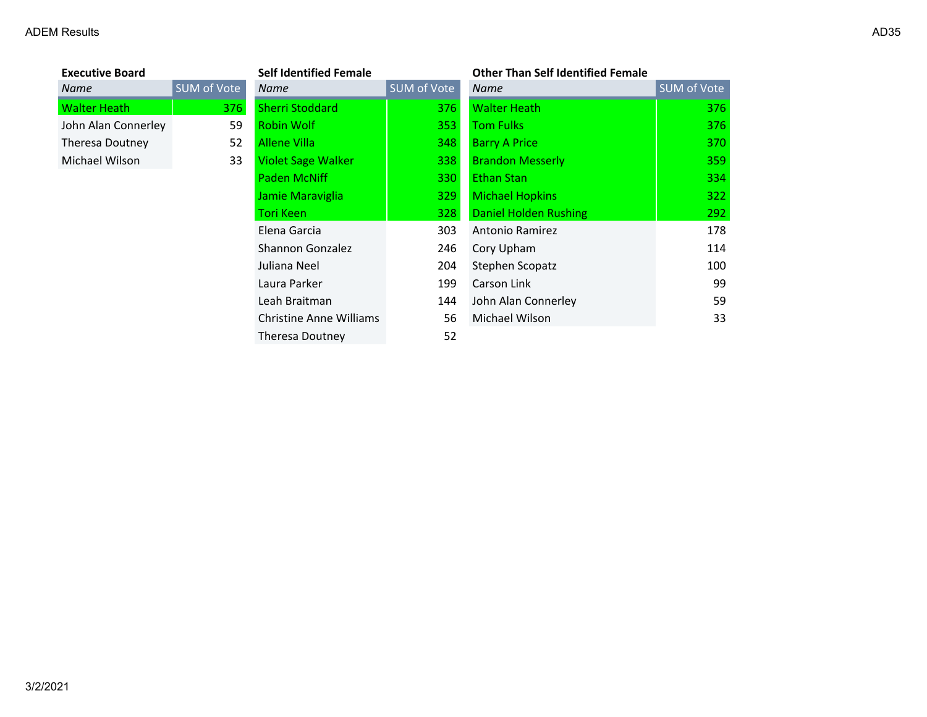# **Executive Board**<br>**Name**

| <b>Executive Board</b> |             | <b>Self Identified Female</b>  |                    | <b>Other Than Self Identified Female</b> |             |
|------------------------|-------------|--------------------------------|--------------------|------------------------------------------|-------------|
| <b>Name</b>            | SUM of Vote | Name                           | <b>SUM of Vote</b> | Name                                     | SUM of Vote |
| <b>Walter Heath</b>    | 376         | <b>Sherri Stoddard</b>         | 376                | <b>Walter Heath</b>                      | 376         |
| John Alan Connerley    | 59          | <b>Robin Wolf</b>              | 353                | <b>Tom Fulks</b>                         | 376         |
| Theresa Doutney        | 52          | Allene Villa                   | 348                | <b>Barry A Price</b>                     | 370         |
| Michael Wilson         | 33          | <b>Violet Sage Walker</b>      | 338                | <b>Brandon Messerly</b>                  | 359         |
|                        |             | <b>Paden McNiff</b>            | 330                | <b>Ethan Stan</b>                        | 334         |
|                        |             | Jamie Maraviglia               | 329                | <b>Michael Hopkins</b>                   | 322         |
|                        |             | <b>Tori Keen</b>               | 328                | <b>Daniel Holden Rushing</b>             | 292         |
|                        |             | Elena Garcia                   | 303                | Antonio Ramirez                          | 178         |
|                        |             | <b>Shannon Gonzalez</b>        | 246                | Cory Upham                               | 114         |
|                        |             | Juliana Neel                   | 204                | Stephen Scopatz                          | 100         |
|                        |             | Laura Parker                   | 199                | Carson Link                              | 99          |
|                        |             | Leah Braitman                  | 144                | John Alan Connerley                      | 59          |
|                        |             | <b>Christine Anne Williams</b> | 56                 | Michael Wilson                           | 33          |
|                        |             | Theresa Doutney                | 52                 |                                          |             |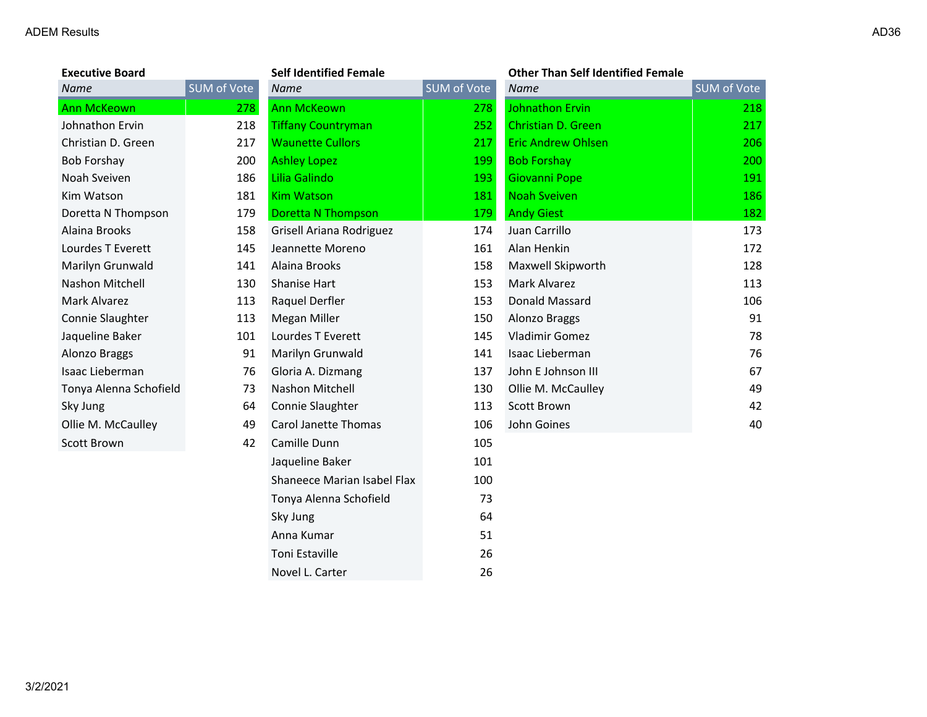| <b>Executive Board</b> |             | <b>Self Identified Female</b> |             | <b>Other Than Self Identified Female</b> |                    |
|------------------------|-------------|-------------------------------|-------------|------------------------------------------|--------------------|
| <b>Name</b>            | SUM of Vote | <b>Name</b>                   | SUM of Vote | <b>Name</b>                              | <b>SUM of Vote</b> |
| <b>Ann McKeown</b>     | 278         | <b>Ann McKeown</b>            | 278         | <b>Johnathon Ervin</b>                   | 218                |
| Johnathon Ervin        | 218         | <b>Tiffany Countryman</b>     | 252         | Christian D. Green                       | 217                |
| Christian D. Green     | 217         | <b>Waunette Cullors</b>       | 217         | <b>Eric Andrew Ohlsen</b>                | 206                |
| <b>Bob Forshay</b>     | 200         | <b>Ashley Lopez</b>           | 199         | <b>Bob Forshay</b>                       | 200                |
| Noah Sveiven           | 186         | Lilia Galindo                 | 193         | Giovanni Pope                            | 191                |
| Kim Watson             | 181         | <b>Kim Watson</b>             | 181         | <b>Noah Sveiven</b>                      | 186                |
| Doretta N Thompson     | 179         | <b>Doretta N Thompson</b>     | 179         | <b>Andy Giest</b>                        | 182                |
| Alaina Brooks          | 158         | Grisell Ariana Rodriguez      | 174         | Juan Carrillo                            | 173                |
| Lourdes T Everett      | 145         | Jeannette Moreno              | 161         | Alan Henkin                              | 172                |
| Marilyn Grunwald       | 141         | Alaina Brooks                 | 158         | Maxwell Skipworth                        | 128                |
| Nashon Mitchell        | 130         | Shanise Hart                  | 153         | Mark Alvarez                             | 113                |
| Mark Alvarez           | 113         | Raquel Derfler                | 153         | Donald Massard                           | 106                |
| Connie Slaughter       | 113         | Megan Miller                  | 150         | Alonzo Braggs                            | 91                 |
| Jaqueline Baker        | 101         | Lourdes T Everett             | 145         | <b>Vladimir Gomez</b>                    | 78                 |
| Alonzo Braggs          | 91          | Marilyn Grunwald              | 141         | Isaac Lieberman                          | 76                 |
| Isaac Lieberman        | 76          | Gloria A. Dizmang             | 137         | John E Johnson III                       | 67                 |
| Tonya Alenna Schofield | 73          | Nashon Mitchell               | 130         | Ollie M. McCaulley                       | 49                 |
| Sky Jung               | 64          | Connie Slaughter              | 113         | Scott Brown                              | 42                 |
| Ollie M. McCaulley     | 49          | <b>Carol Janette Thomas</b>   | 106         | John Goines                              | 40                 |
| Scott Brown            | 42          | Camille Dunn                  | 105         |                                          |                    |
|                        |             | Jaqueline Baker               | 101         |                                          |                    |
|                        |             | Shaneece Marian Isabel Flax   | 100         |                                          |                    |
|                        |             | Tonya Alenna Schofield        | 73          |                                          |                    |
|                        |             | Sky Jung                      | 64          |                                          |                    |
|                        |             | Anna Kumar                    | 51          |                                          |                    |
|                        |             | Toni Estaville                | 26          |                                          |                    |
|                        |             | Novel L. Carter               | 26          |                                          |                    |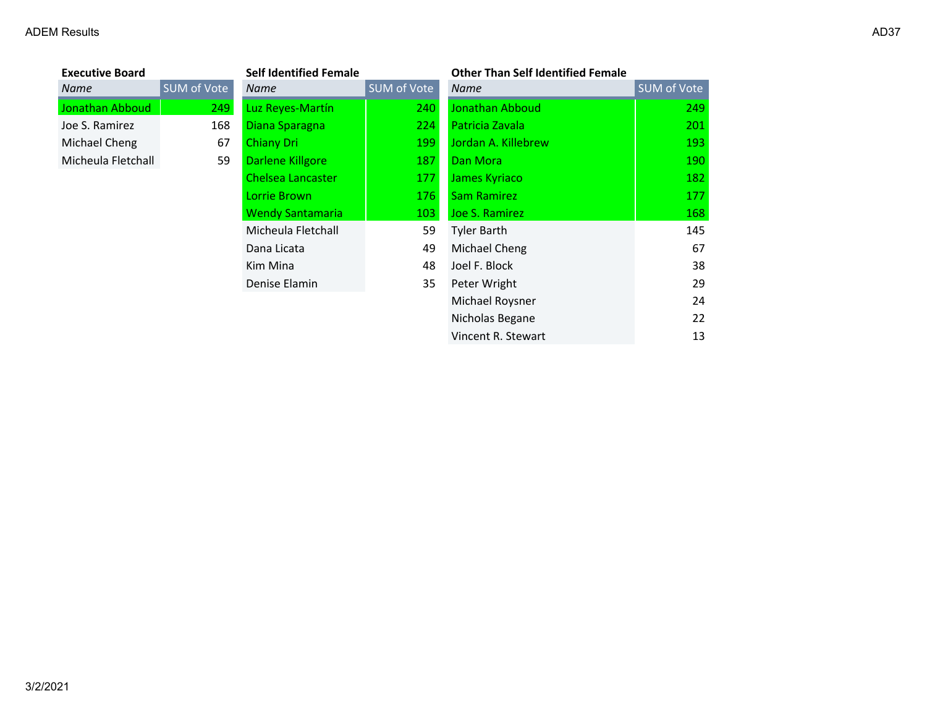| <b>Executive Board</b> |             | <b>Self Identified Female</b> |             | <b>Other Than Self Identified Female</b> |             |
|------------------------|-------------|-------------------------------|-------------|------------------------------------------|-------------|
| Name                   | SUM of Vote | Name                          | SUM of Vote | <b>Name</b>                              | SUM of Vote |
| Jonathan Abboud        | 249         | Luz Reyes-Martín              | 240         | Jonathan Abboud                          | 249         |
| Joe S. Ramirez         | 168         | Diana Sparagna                | 224         | Patricia Zavala                          | 201         |
| Michael Cheng          | 67          | <b>Chiany Dri</b>             | 199         | Jordan A. Killebrew                      | 193         |
| Micheula Fletchall     | 59          | Darlene Killgore              | 187         | Dan Mora                                 | 190         |
|                        |             | <b>Chelsea Lancaster</b>      | 177         | James Kyriaco                            | 182         |
|                        |             | Lorrie Brown                  | 176         | <b>Sam Ramirez</b>                       | 177         |
|                        |             | <b>Wendy Santamaria</b>       | 103         | Joe S. Ramirez                           | 168         |
|                        |             | Micheula Fletchall            | 59          | <b>Tyler Barth</b>                       | 145         |
|                        |             | Dana Licata                   | 49          | Michael Cheng                            | 67          |
|                        |             | Kim Mina                      | 48          | Joel F. Block                            | 38          |
|                        |             | Denise Elamin                 | 35          | Peter Wright                             | 29          |
|                        |             |                               |             | Michael Roysner                          | 24          |
|                        |             |                               |             | Nicholas Begane                          | 22          |

Vincent R. Stewart 13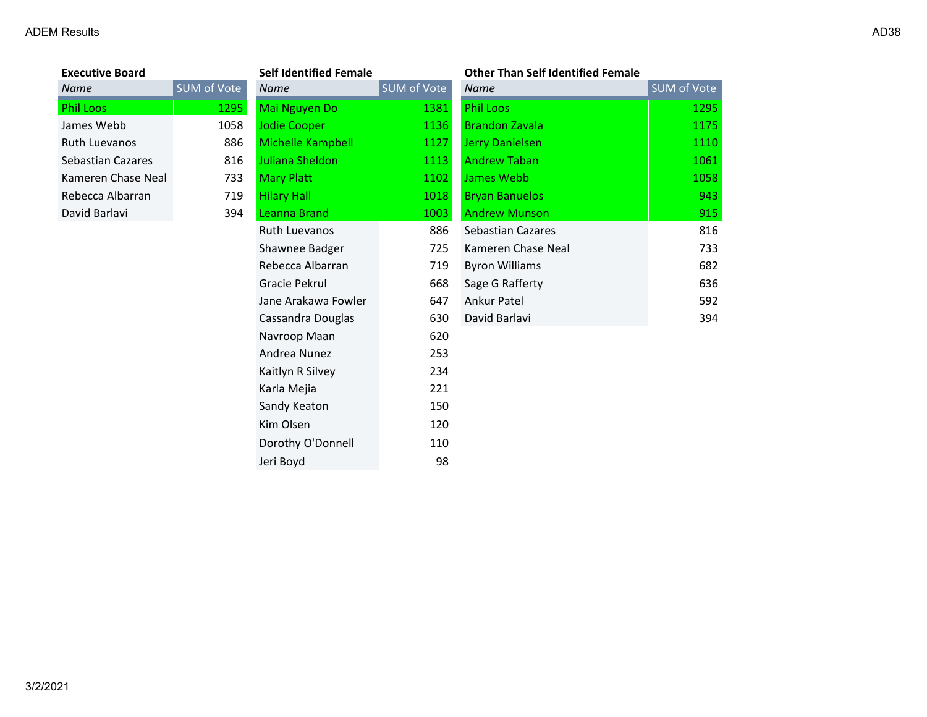# *Name* SUM of Vote Ruth Luevanos 886 Sebastian Cazares 816 Kameren Chase Neal 1102 733 Rebecca Albarran 119

| <b>Executive Board</b>   |                    | <b>Self Identified Female</b> |             | <b>Other Than Self Identified Female</b> |
|--------------------------|--------------------|-------------------------------|-------------|------------------------------------------|
| <b>Name</b>              | <b>SUM of Vote</b> | <b>Name</b>                   | SUM of Vote | <b>Name</b>                              |
| <b>Phil Loos</b>         | 1295               | Mai Nguyen Do                 | 1381        | <b>Phil Loos</b>                         |
| James Webb               | 1058               | <b>Jodie Cooper</b>           | 1136        | <b>Brandon Zavala</b>                    |
| <b>Ruth Luevanos</b>     | 886                | Michelle Kampbell             | 1127        | Jerry Danielsen                          |
| <b>Sebastian Cazares</b> | 816                | Juliana Sheldon               | 1113        | <b>Andrew Taban</b>                      |
| Kameren Chase Neal       | 733                | <b>Mary Platt</b>             | 1102        | James Webb                               |
| Rebecca Albarran         | 719                | <b>Hilary Hall</b>            | 1018        | <b>Bryan Banuelos</b>                    |
| David Barlavi            | 394                | <b>Leanna Brand</b>           | 1003        | <b>Andrew Munson</b>                     |
|                          |                    | Ruth Luevanos                 | 886         | <b>Sebastian Cazares</b>                 |
|                          |                    | Shawnee Badger                | 725         | Kameren Chase Neal                       |
|                          |                    | Rebecca Albarran              | 719         | <b>Byron Williams</b>                    |
|                          |                    | Gracie Pekrul                 | 668         | Sage G Rafferty                          |
|                          |                    | Jane Arakawa Fowler           | 647         | Ankur Patel                              |
|                          |                    | Cassandra Douglas             | 630         | David Barlavi                            |
|                          |                    | Navroop Maan                  | 620         |                                          |
|                          |                    | Andrea Nunez                  | 253         |                                          |
|                          |                    | Kaitlyn R Silvey              | 234         |                                          |
|                          |                    | Karla Mejia                   | 221         |                                          |
|                          |                    | Sandy Keaton                  | 150         |                                          |
|                          |                    | Kim Olsen                     | 120         |                                          |
|                          |                    | Dorothy O'Donnell             | 110         |                                          |
|                          |                    | Jeri Boyd                     | 98          |                                          |

| Name                 | SUM of Vote | Name                     | <b>SUM of Vote</b> | <b>Name</b>              | SUM of Vote |  |
|----------------------|-------------|--------------------------|--------------------|--------------------------|-------------|--|
| Phil Loos            | 1295        | Mai Nguyen Do            | 1381               | <b>Phil Loos</b>         | 1295        |  |
| James Webb           | 1058        | <b>Jodie Cooper</b>      | 1136               | <b>Brandon Zavala</b>    | 1175        |  |
| <b>Ruth Luevanos</b> | 886         | <b>Michelle Kampbell</b> | 1127               | Jerry Danielsen          | 1110        |  |
| Sebastian Cazares    | 816         | Juliana Sheldon          | 1113               | <b>Andrew Taban</b>      | 1061        |  |
| Kameren Chase Neal   | 733         | <b>Mary Platt</b>        | 1102               | James Webb               | 1058        |  |
| Rebecca Albarran     | 719         | <b>Hilary Hall</b>       | 1018               | <b>Bryan Banuelos</b>    | 943         |  |
| David Barlavi        | 394         | Leanna Brand             | 1003               | <b>Andrew Munson</b>     | 915         |  |
|                      |             | <b>Ruth Luevanos</b>     | 886                | <b>Sebastian Cazares</b> | 816         |  |
|                      |             | Shawnee Badger           | 725                | Kameren Chase Neal       | 733         |  |
|                      |             | Rebecca Albarran         | 719                | <b>Byron Williams</b>    | 682         |  |
|                      |             | Gracie Pekrul            | 668                | Sage G Rafferty          | 636         |  |
|                      |             | Jane Arakawa Fowler      | 647                | Ankur Patel              | 592         |  |
|                      |             | Cassandra Douglas        | 630                | David Barlavi            | 394         |  |
|                      |             |                          |                    |                          |             |  |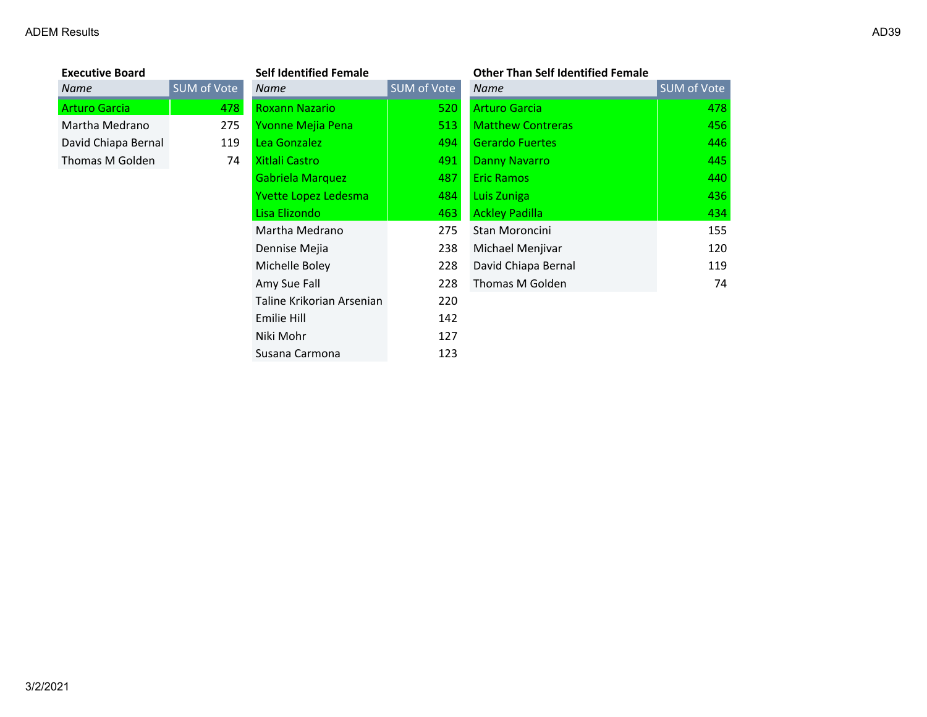| <b>Executive Board</b> |             | <b>Self Identified Female</b> |             | <b>Other Than Self Identified Female</b> |                    |
|------------------------|-------------|-------------------------------|-------------|------------------------------------------|--------------------|
| <b>Name</b>            | SUM of Vote | Name                          | SUM of Vote | <b>Name</b>                              | <b>SUM of Vote</b> |
| <b>Arturo Garcia</b>   | 478         | <b>Roxann Nazario</b>         | 520         | <b>Arturo Garcia</b>                     | 478                |
| Martha Medrano         | 275         | Yvonne Mejia Pena             | 513         | <b>Matthew Contreras</b>                 | 456                |
| David Chiapa Bernal    | 119         | Lea Gonzalez                  | 494         | <b>Gerardo Fuertes</b>                   | 446                |
| Thomas M Golden        | 74          | Xitlali Castro                | 491         | <b>Danny Navarro</b>                     | 445                |
|                        |             | Gabriela Marquez              | 487         | <b>Eric Ramos</b>                        | 440                |
|                        |             | Yvette Lopez Ledesma          | 484         | Luis Zuniga                              | 436                |
|                        |             | Lisa Elizondo                 | 463         | <b>Ackley Padilla</b>                    | 434                |
|                        |             | Martha Medrano                | 275         | Stan Moroncini                           | 155                |
|                        |             | Dennise Mejia                 | 238         | Michael Menjivar                         | 120                |
|                        |             | Michelle Boley                | 228         | David Chiapa Bernal                      | 119                |
|                        |             | Amy Sue Fall                  | 228         | Thomas M Golden                          | 74                 |
|                        |             | Taline Krikorian Arsenian     | 220         |                                          |                    |
|                        |             | Emilie Hill                   | 142         |                                          |                    |
|                        |             | Niki Mohr                     | 127         |                                          |                    |
|                        |             | Susana Carmona                | 123         |                                          |                    |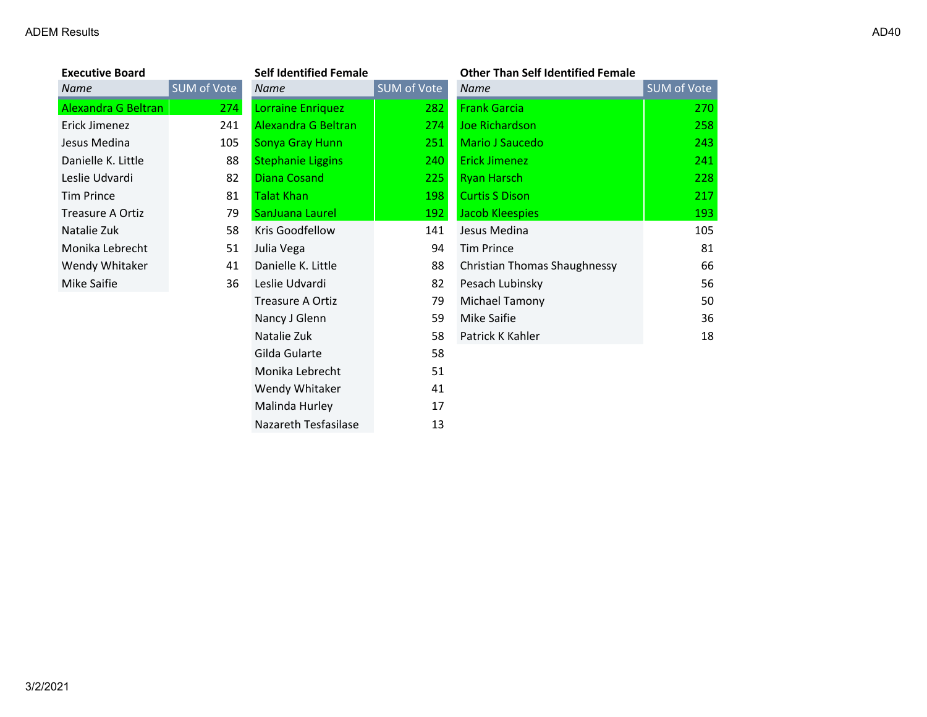| <b>Executive Board</b> |             | <b>Self Identified Female</b> |             | <b>Other Than Self Identified Female</b> |                    |
|------------------------|-------------|-------------------------------|-------------|------------------------------------------|--------------------|
| Name                   | SUM of Vote | Name                          | SUM of Vote | Name                                     | <b>SUM of Vote</b> |
| Alexandra G Beltran    | 274         | Lorraine Enriquez             | 282         | <b>Frank Garcia</b>                      | 270                |
| Erick Jimenez          | 241         | Alexandra G Beltran           | 274         | Joe Richardson                           | 258                |
| Jesus Medina           | 105         | Sonya Gray Hunn               | 251         | Mario J Saucedo                          | 243                |
| Danielle K. Little     | 88          | <b>Stephanie Liggins</b>      | 240         | <b>Erick Jimenez</b>                     | 241                |
| Leslie Udvardi         | 82          | <b>Diana Cosand</b>           | 225         | <b>Ryan Harsch</b>                       | 228                |
| <b>Tim Prince</b>      | 81          | <b>Talat Khan</b>             | 198         | <b>Curtis S Dison</b>                    | 217                |
| Treasure A Ortiz       | 79          | SanJuana Laurel               | 192         | Jacob Kleespies                          | 193                |
| Natalie Zuk            | 58          | Kris Goodfellow               | 141         | Jesus Medina                             | 105                |
| Monika Lebrecht        | 51          | Julia Vega                    | 94          | <b>Tim Prince</b>                        | 81                 |
| Wendy Whitaker         | 41          | Danielle K. Little            | 88          | Christian Thomas Shaughnessy             | 66                 |
| Mike Saifie            | 36          | Leslie Udvardi                | 82          | Pesach Lubinsky                          | 56                 |
|                        |             | <b>Treasure A Ortiz</b>       | 79          | Michael Tamony                           | 50                 |
|                        |             | Nancy J Glenn                 | 59          | Mike Saifie                              | 36                 |
|                        |             | Natalie Zuk                   | 58          | Patrick K Kahler                         | 18                 |
|                        |             | Gilda Gularte                 | 58          |                                          |                    |
|                        |             | Monika Lebrecht               | 51          |                                          |                    |
|                        |             | Wendy Whitaker                | 41          |                                          |                    |
|                        |             | Malinda Hurley                | 17          |                                          |                    |

Nazareth Tesfasilase 13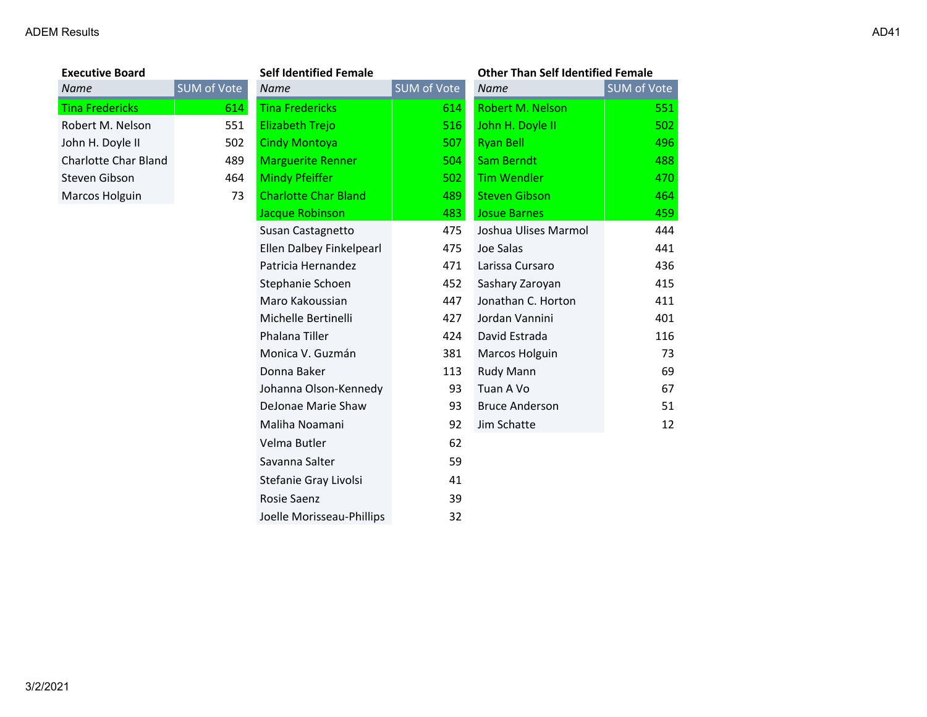# **Executive Board Self Identified Female Other Than Self Identified Female**

| <b>Name</b>                 | SUM of Vote | <b>Name</b>                 | <b>SUM of Vote</b> | <b>Name</b>           | SUM of Vote |
|-----------------------------|-------------|-----------------------------|--------------------|-----------------------|-------------|
| <b>Tina Fredericks</b>      | 614         | <b>Tina Fredericks</b>      | 614                | Robert M. Nelson      | 551         |
| Robert M. Nelson            | 551         | <b>Elizabeth Trejo</b>      | 516                | John H. Doyle II      | 502         |
| John H. Doyle II            | 502         | <b>Cindy Montoya</b>        | 507                | <b>Ryan Bell</b>      | 496         |
| <b>Charlotte Char Bland</b> | 489         | <b>Marguerite Renner</b>    | 504                | <b>Sam Berndt</b>     | 488         |
| Steven Gibson               | 464         | <b>Mindy Pfeiffer</b>       | 502                | <b>Tim Wendler</b>    | 470         |
| Marcos Holguin              | 73          | <b>Charlotte Char Bland</b> | 489                | <b>Steven Gibson</b>  | 464         |
|                             |             | Jacque Robinson             | 483                | <b>Josue Barnes</b>   | 459         |
|                             |             | Susan Castagnetto           | 475                | Joshua Ulises Marmol  | 444         |
|                             |             | Ellen Dalbey Finkelpearl    | 475                | Joe Salas             | 441         |
|                             |             | Patricia Hernandez          | 471                | Larissa Cursaro       | 436         |
|                             |             | Stephanie Schoen            | 452                | Sashary Zaroyan       | 415         |
|                             |             | Maro Kakoussian             | 447                | Jonathan C. Horton    | 411         |
|                             |             | Michelle Bertinelli         | 427                | Jordan Vannini        | 401         |
|                             |             | Phalana Tiller              | 424                | David Estrada         | 116         |
|                             |             | Monica V. Guzmán            | 381                | Marcos Holguin        | 73          |
|                             |             | Donna Baker                 | 113                | Rudy Mann             | 69          |
|                             |             | Johanna Olson-Kennedy       | 93                 | Tuan A Vo             | 67          |
|                             |             | DeJonae Marie Shaw          | 93                 | <b>Bruce Anderson</b> | 51          |
|                             |             | Maliha Noamani              | 92                 | Jim Schatte           | 12          |
|                             |             | Velma Butler                | 62                 |                       |             |
|                             |             | Savanna Salter              | 59                 |                       |             |
|                             |             | Stefanie Gray Livolsi       | 41                 |                       |             |
|                             |             | Rosie Saenz                 | 39                 |                       |             |
|                             |             | Joelle Morisseau-Phillips   | 32                 |                       |             |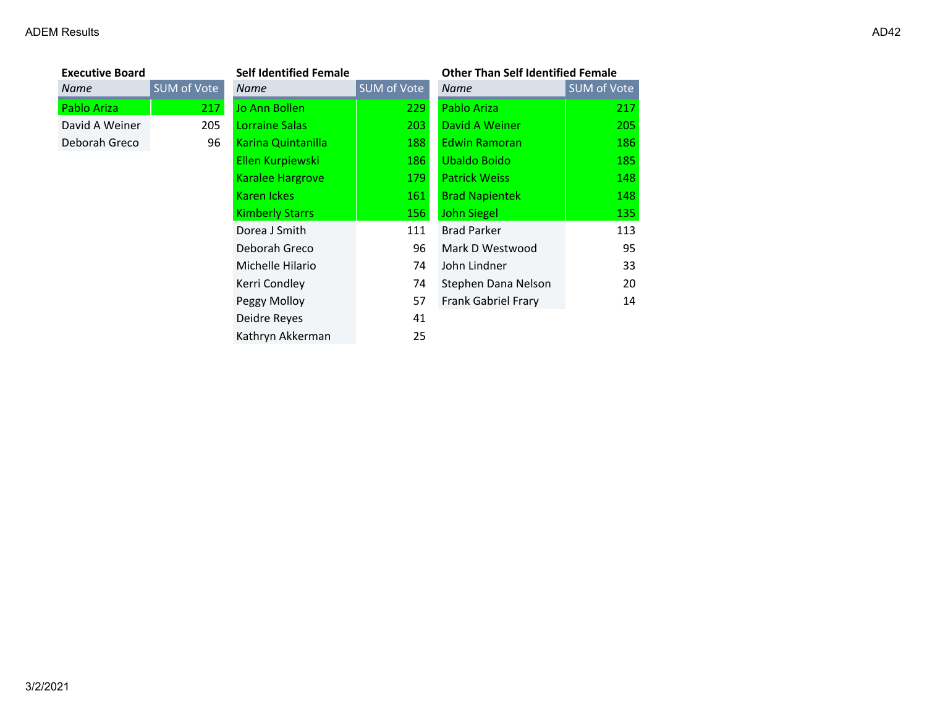|             | <b>Self Identified Female</b> |             |                            | <b>Other Than Self Identified Female</b> |  |
|-------------|-------------------------------|-------------|----------------------------|------------------------------------------|--|
| SUM of Vote | <b>Name</b>                   | SUM of Vote | <b>Name</b>                | SUM of Vote                              |  |
| 217         | Jo Ann Bollen                 | 229         | Pablo Ariza                | 217                                      |  |
| 205         | Lorraine Salas                | 203         | David A Weiner             | 205                                      |  |
| 96          | <b>Karina Quintanilla</b>     | 188         | <b>Edwin Ramoran</b>       | 186                                      |  |
|             | Ellen Kurpiewski              | 186         | Ubaldo Boido               | 185                                      |  |
|             | <b>Karalee Hargrove</b>       | 179         | <b>Patrick Weiss</b>       | 148                                      |  |
|             | Karen Ickes                   | 161         | <b>Brad Napientek</b>      | 148                                      |  |
|             | <b>Kimberly Starrs</b>        | 156         | <b>John Siegel</b>         | 135                                      |  |
|             | Dorea J Smith                 | 111         | <b>Brad Parker</b>         | 113                                      |  |
|             | Deborah Greco                 | 96          | Mark D Westwood            | 95                                       |  |
|             | Michelle Hilario              | 74          | John Lindner               | 33                                       |  |
|             | Kerri Condley                 | 74          | Stephen Dana Nelson        | 20                                       |  |
|             | Peggy Molloy                  | 57          | <b>Frank Gabriel Frary</b> | 14                                       |  |
|             | Deidre Reyes                  | 41          |                            |                                          |  |
|             | Kathryn Akkerman              | 25          |                            |                                          |  |
|             |                               |             |                            |                                          |  |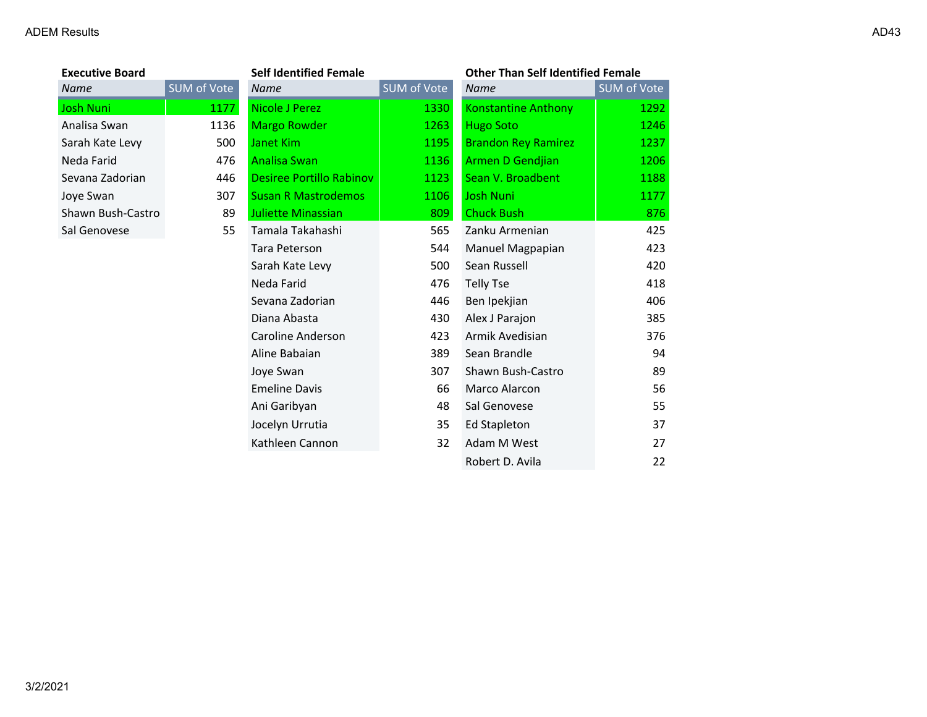| Executive Board   |                    |
|-------------------|--------------------|
| Name              | <b>SUM</b> of Vote |
| Josh Nuni         | 117                |
| Analisa Swan      | 113                |
| Sarah Kate Levy   | 50                 |
| Neda Farid        | 47                 |
| Sevana Zadorian   | 44                 |
| Joye Swan         | 30                 |
| Shawn Bush-Castro | 8                  |
| Sal Genovese      | 5.                 |
|                   |                    |

| <b>Executive Board</b> | <b>Self Identified Female</b> |                                 | <b>Other Than Self Identified Female</b> |                            |             |
|------------------------|-------------------------------|---------------------------------|------------------------------------------|----------------------------|-------------|
| Name                   | SUM of Vote                   | <b>Name</b>                     | SUM of Vote                              | <b>Name</b>                | SUM of Vote |
| Josh Nuni              | 1177                          | <b>Nicole J Perez</b>           | 1330                                     | <b>Konstantine Anthony</b> | 1292        |
| Analisa Swan           | 1136                          | <b>Margo Rowder</b>             | 1263                                     | <b>Hugo Soto</b>           | 1246        |
| Sarah Kate Levy        | 500                           | Janet Kim                       | 1195                                     | <b>Brandon Rey Ramirez</b> | 1237        |
| Neda Farid             | 476                           | <b>Analisa Swan</b>             | 1136                                     | Armen D Gendjian           | 1206        |
| Sevana Zadorian        | 446                           | <b>Desiree Portillo Rabinov</b> | 1123                                     | Sean V. Broadbent          | 1188        |
| Joye Swan              | 307                           | <b>Susan R Mastrodemos</b>      | 1106                                     | <b>Josh Nuni</b>           | 1177        |
| Shawn Bush-Castro      | 89                            | Juliette Minassian              | 809                                      | <b>Chuck Bush</b>          | 876         |
| Sal Genovese           | 55                            | Tamala Takahashi                | 565                                      | Zanku Armenian             | 425         |
|                        |                               | Tara Peterson                   | 544                                      | Manuel Magpapian           | 423         |
|                        |                               | Sarah Kate Levy                 | 500                                      | Sean Russell               | 420         |
|                        |                               | Neda Farid                      | 476                                      | <b>Telly Tse</b>           | 418         |
|                        |                               | Sevana Zadorian                 | 446                                      | Ben Ipekjian               | 406         |
|                        |                               | Diana Abasta                    | 430                                      | Alex J Parajon             | 385         |
|                        |                               | Caroline Anderson               | 423                                      | Armik Avedisian            | 376         |
|                        |                               | Aline Babaian                   | 389                                      | Sean Brandle               | 94          |
|                        |                               | Joye Swan                       | 307                                      | Shawn Bush-Castro          | 89          |
|                        |                               | <b>Emeline Davis</b>            | 66                                       | Marco Alarcon              | 56          |
|                        |                               | Ani Garibyan                    | 48                                       | Sal Genovese               | 55          |
|                        |                               | Jocelyn Urrutia                 | 35                                       | <b>Ed Stapleton</b>        | 37          |
|                        |                               | Kathleen Cannon                 | 32                                       | Adam M West                | 27          |
|                        |                               |                                 |                                          | Robert D. Avila            | 22          |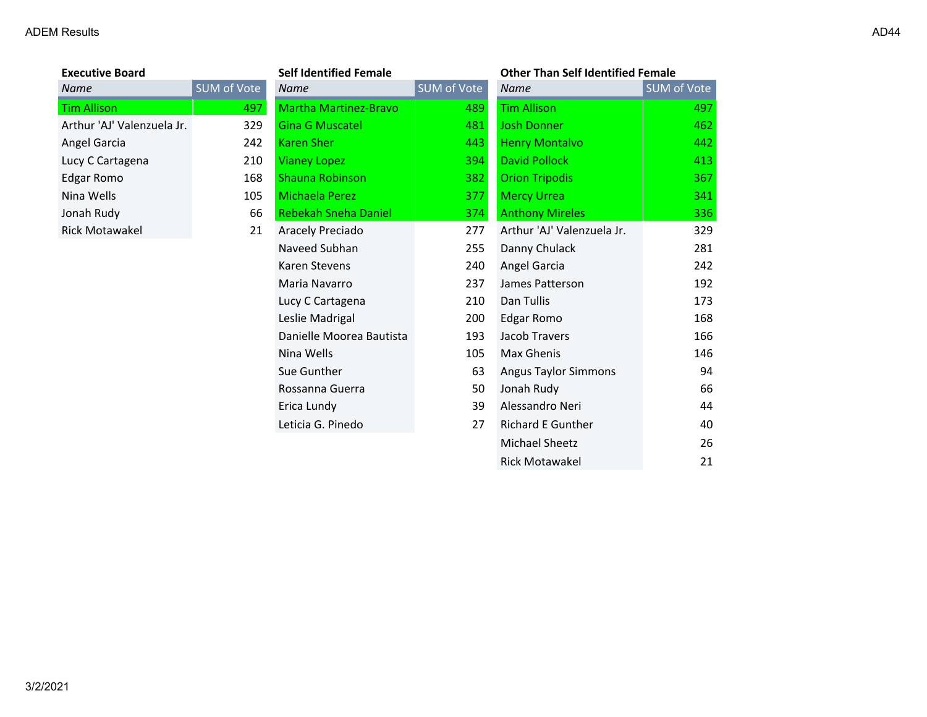| <b>Executive Board</b>     |        |
|----------------------------|--------|
| Name                       | SUM of |
| <b>Tim Allison</b>         |        |
| Arthur 'AJ' Valenzuela Jr. |        |
| Angel Garcia               |        |
| Lucy C Cartagena           |        |
| Edgar Romo                 |        |
| Nina Wells                 |        |
| Jonah Rudy                 |        |
| Rick Motawakel             |        |
|                            |        |

| <b>Executive Board</b>     |             | <b>Self Identified Female</b> | <b>Other Than Self Identified Female</b> |                             |                    |
|----------------------------|-------------|-------------------------------|------------------------------------------|-----------------------------|--------------------|
| Name                       | SUM of Vote | <b>Name</b>                   | SUM of Vote                              | <b>Name</b>                 | <b>SUM of Vote</b> |
| <b>Tim Allison</b>         | 497         | <b>Martha Martinez-Bravo</b>  | 489                                      | <b>Tim Allison</b>          | 497                |
| Arthur 'AJ' Valenzuela Jr. | 329         | <b>Gina G Muscatel</b>        | 481                                      | <b>Josh Donner</b>          | 462                |
| Angel Garcia               | 242         | <b>Karen Sher</b>             | 443                                      | <b>Henry Montalvo</b>       | 442                |
| Lucy C Cartagena           | 210         | <b>Vianey Lopez</b>           | 394                                      | <b>David Pollock</b>        | 413                |
| <b>Edgar Romo</b>          | 168         | <b>Shauna Robinson</b>        | 382                                      | <b>Orion Tripodis</b>       | 367                |
| Nina Wells                 | 105         | Michaela Perez                | 377                                      | <b>Mercy Urrea</b>          | 341                |
| Jonah Rudy                 | 66          | <b>Rebekah Sneha Daniel</b>   | 374                                      | <b>Anthony Mireles</b>      | 336                |
| <b>Rick Motawakel</b>      | 21          | Aracely Preciado              | 277                                      | Arthur 'AJ' Valenzuela Jr.  | 329                |
|                            |             | Naveed Subhan                 | 255                                      | Danny Chulack               | 281                |
|                            |             | Karen Stevens                 | 240                                      | Angel Garcia                | 242                |
|                            |             | Maria Navarro                 | 237                                      | James Patterson             | 192                |
|                            |             | Lucy C Cartagena              | 210                                      | Dan Tullis                  | 173                |
|                            |             | Leslie Madrigal               | 200                                      | Edgar Romo                  | 168                |
|                            |             | Danielle Moorea Bautista      | 193                                      | Jacob Travers               | 166                |
|                            |             | Nina Wells                    | 105                                      | Max Ghenis                  | 146                |
|                            |             | Sue Gunther                   | 63                                       | <b>Angus Taylor Simmons</b> | 94                 |
|                            |             | Rossanna Guerra               | 50                                       | Jonah Rudy                  | 66                 |
|                            |             | Erica Lundy                   | 39                                       | Alessandro Neri             | 44                 |
|                            |             | Leticia G. Pinedo             | 27                                       | <b>Richard E Gunther</b>    | 40                 |
|                            |             |                               |                                          | Michael Sheetz              | 26                 |
|                            |             |                               |                                          | <b>Rick Motawakel</b>       | 21                 |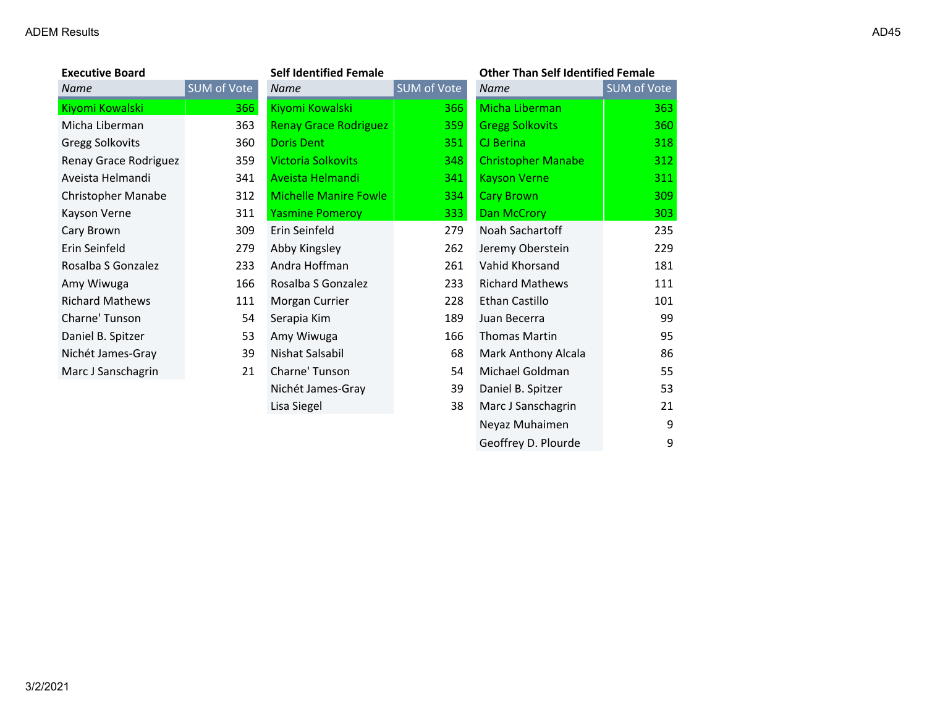| <b>Executive Board</b>    |             | <b>Self Identified Female</b> | <b>Other Than Self Identified Female</b> |                           |             |
|---------------------------|-------------|-------------------------------|------------------------------------------|---------------------------|-------------|
| <b>Name</b>               | SUM of Vote | <b>Name</b>                   | SUM of Vote                              | Name                      | SUM of Vote |
| Kiyomi Kowalski           | 366         | Kiyomi Kowalski               | 366                                      | Micha Liberman            | 363         |
| Micha Liberman            | 363         | <b>Renay Grace Rodriguez</b>  | 359                                      | <b>Gregg Solkovits</b>    | 360         |
| <b>Gregg Solkovits</b>    | 360         | <b>Doris Dent</b>             | 351                                      | CJ Berina                 | 318         |
| Renay Grace Rodriguez     | 359         | <b>Victoria Solkovits</b>     | 348                                      | <b>Christopher Manabe</b> | 312         |
| Aveista Helmandi          | 341         | Aveista Helmandi              | 341                                      | <b>Kayson Verne</b>       | 311         |
| <b>Christopher Manabe</b> | 312         | <b>Michelle Manire Fowle</b>  | 334                                      | <b>Cary Brown</b>         | 309         |
| Kayson Verne              | 311         | <b>Yasmine Pomeroy</b>        | 333                                      | Dan McCrory               | 303         |
| Cary Brown                | 309         | Erin Seinfeld                 | 279                                      | Noah Sachartoff           | 235         |
| Erin Seinfeld             | 279         | Abby Kingsley                 | 262                                      | Jeremy Oberstein          | 229         |
| Rosalba S Gonzalez        | 233         | Andra Hoffman                 | 261                                      | Vahid Khorsand            | 181         |
| Amy Wiwuga                | 166         | Rosalba S Gonzalez            | 233                                      | <b>Richard Mathews</b>    | 111         |
| <b>Richard Mathews</b>    | 111         | Morgan Currier                | 228                                      | Ethan Castillo            | 101         |
| Charne' Tunson            | 54          | Serapia Kim                   | 189                                      | Juan Becerra              | 99          |
| Daniel B. Spitzer         | 53          | Amy Wiwuga                    | 166                                      | <b>Thomas Martin</b>      | 95          |
| Nichét James-Gray         | 39          | Nishat Salsabil               | 68                                       | Mark Anthony Alcala       | 86          |
| Marc J Sanschagrin        | 21          | Charne' Tunson                | 54                                       | Michael Goldman           | 55          |
|                           |             | Nichét James-Gray             | 39                                       | Daniel B. Spitzer         | 53          |
|                           |             | Lisa Siegel                   | 38                                       | Marc J Sanschagrin        | 21          |
|                           |             |                               |                                          | Neyaz Muhaimen            | 9           |

Geoffrey D. Plourde 9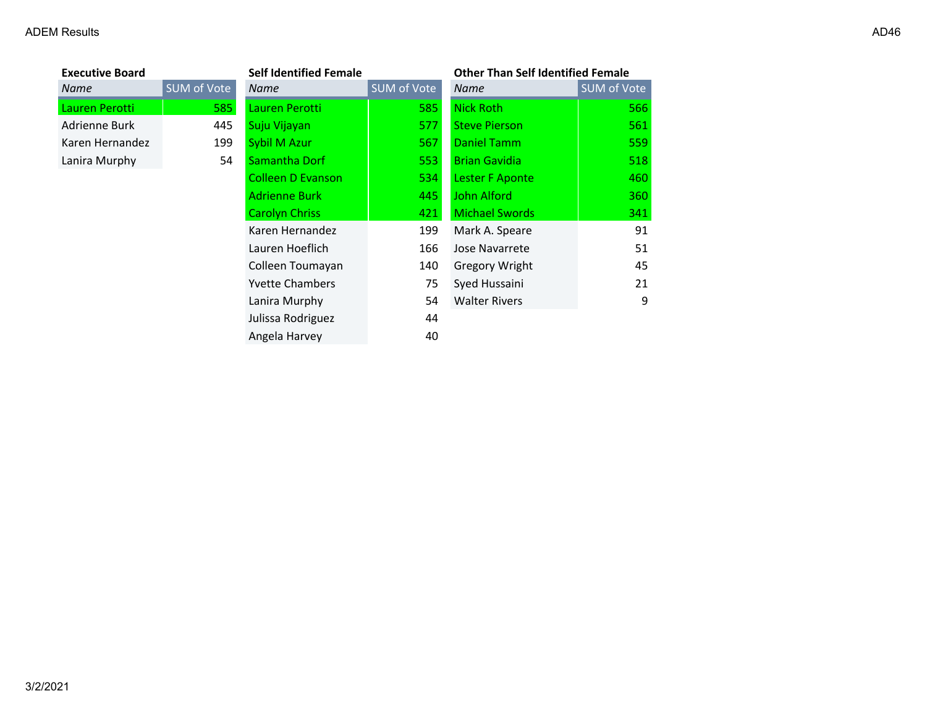| <b>Executive Board</b> |          |
|------------------------|----------|
| Name                   | SUM of \ |
| Lauren Perotti         |          |
| Adrienne Burk          |          |
| Karen Hernandez        |          |
| Lanira Murphy          |          |

| <b>Executive Board</b> |             | <b>Self Identified Female</b> |             | <b>Other Than Self Identified Female</b> |             |
|------------------------|-------------|-------------------------------|-------------|------------------------------------------|-------------|
| Name                   | SUM of Vote | Name                          | SUM of Vote | Name                                     | SUM of Vote |
| Lauren Perotti         | 585         | Lauren Perotti                | 585         | Nick Roth                                | 566         |
| Adrienne Burk          | 445         | Suju Vijayan                  | 577         | <b>Steve Pierson</b>                     | 561         |
| Karen Hernandez        | 199         | Sybil M Azur                  | 567         | Daniel Tamm                              | 559         |
| Lanira Murphy          | 54          | Samantha Dorf                 | 553         | <b>Brian Gavidia</b>                     | 518         |
|                        |             | <b>Colleen D Evanson</b>      | 534         | Lester F Aponte                          | 460         |
|                        |             | <b>Adrienne Burk</b>          | 445         | John Alford                              | 360         |
|                        |             | <b>Carolyn Chriss</b>         | 421         | <b>Michael Swords</b>                    | 341         |
|                        |             | Karen Hernandez               | 199         | Mark A. Speare                           | 91          |
|                        |             | Lauren Hoeflich               | 166         | Jose Navarrete                           | 51          |
|                        |             | Colleen Toumayan              | 140         | Gregory Wright                           | 45          |
|                        |             | <b>Yvette Chambers</b>        | 75          | Syed Hussaini                            | 21          |
|                        |             | Lanira Murphy                 | 54          | <b>Walter Rivers</b>                     | 9           |
|                        |             | Julissa Rodriguez             | 44          |                                          |             |
|                        |             | Angela Harvey                 | 40          |                                          |             |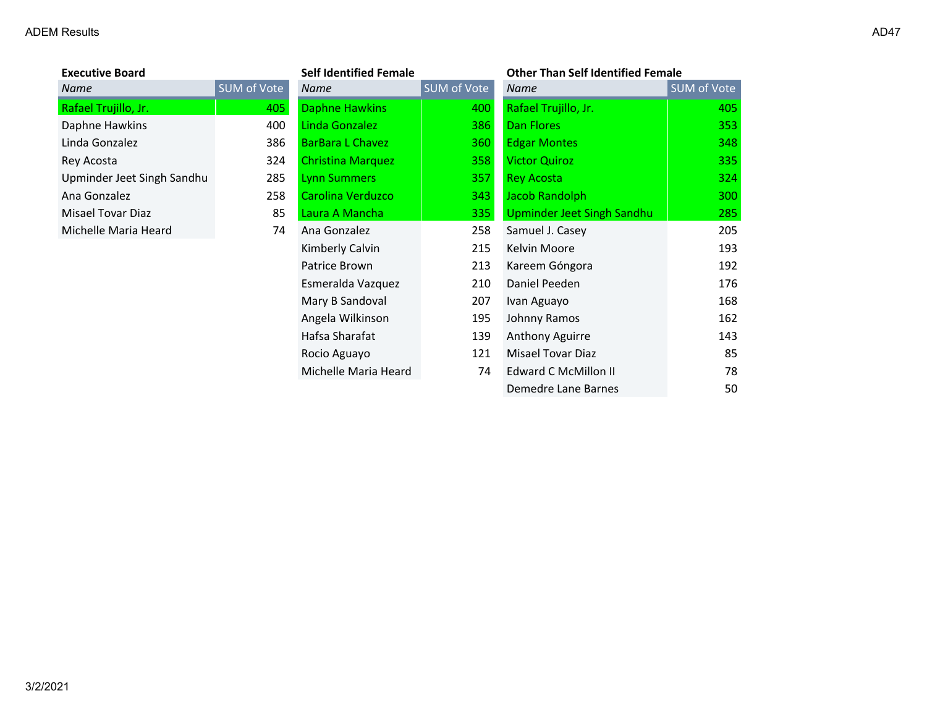| <b>Executive Board</b>     |                    | Se  |
|----------------------------|--------------------|-----|
| <b>Name</b>                | <b>SUM of Vote</b> | Nc  |
| Rafael Trujillo, Jr.       | 405                | Da  |
| Daphne Hawkins             | 400                | Lir |
| Linda Gonzalez             | 386                | Ba  |
| Rey Acosta                 | 324                | Ch  |
| Upminder Jeet Singh Sandhu | 285                | Ly  |
| Ana Gonzalez               | 258                | Ca  |
| Misael Tovar Diaz          | 85                 | La  |
| Michelle Maria Heard       | 74                 | An  |
|                            |                    | Kir |
|                            |                    |     |

| <b>Executive Board</b>     |                    | <b>Self Identified Female</b> |             | <b>Other Than Self Identified Female</b> |             |
|----------------------------|--------------------|-------------------------------|-------------|------------------------------------------|-------------|
| Name                       | <b>SUM of Vote</b> | Name                          | SUM of Vote | Name                                     | SUM of Vote |
| Rafael Trujillo, Jr.       | 405                | <b>Daphne Hawkins</b>         | 400         | Rafael Trujillo, Jr.                     | 405         |
| Daphne Hawkins             | 400                | Linda Gonzalez                | 386         | <b>Dan Flores</b>                        | 353         |
| Linda Gonzalez             | 386                | <b>BarBara L Chavez</b>       | 360         | <b>Edgar Montes</b>                      | 348         |
| Rey Acosta                 | 324                | <b>Christina Marquez</b>      | 358         | <b>Victor Quiroz</b>                     | 335         |
| Upminder Jeet Singh Sandhu | 285                | <b>Lynn Summers</b>           | 357         | <b>Rey Acosta</b>                        | 324         |
| Ana Gonzalez               | 258                | Carolina Verduzco             | 343         | Jacob Randolph                           | 300         |
| Misael Tovar Diaz          | 85                 | Laura A Mancha                | 335         | Upminder Jeet Singh Sandhu               | 285         |
| Michelle Maria Heard       | 74                 | Ana Gonzalez                  | 258         | Samuel J. Casey                          | 205         |
|                            |                    | Kimberly Calvin               | 215         | Kelvin Moore                             | 193         |
|                            |                    | Patrice Brown                 | 213         | Kareem Góngora                           | 192         |
|                            |                    | Esmeralda Vazquez             | 210         | Daniel Peeden                            | 176         |
|                            |                    | Mary B Sandoval               | 207         | Ivan Aguayo                              | 168         |
|                            |                    | Angela Wilkinson              | 195         | Johnny Ramos                             | 162         |
|                            |                    | Hafsa Sharafat                | 139         | Anthony Aguirre                          | 143         |
|                            |                    | Rocio Aguayo                  | 121         | Misael Tovar Diaz                        | 85          |
|                            |                    | Michelle Maria Heard          | 74          | <b>Edward C McMillon II</b>              | 78          |
|                            |                    |                               |             | Demedre Lane Barnes                      | 50          |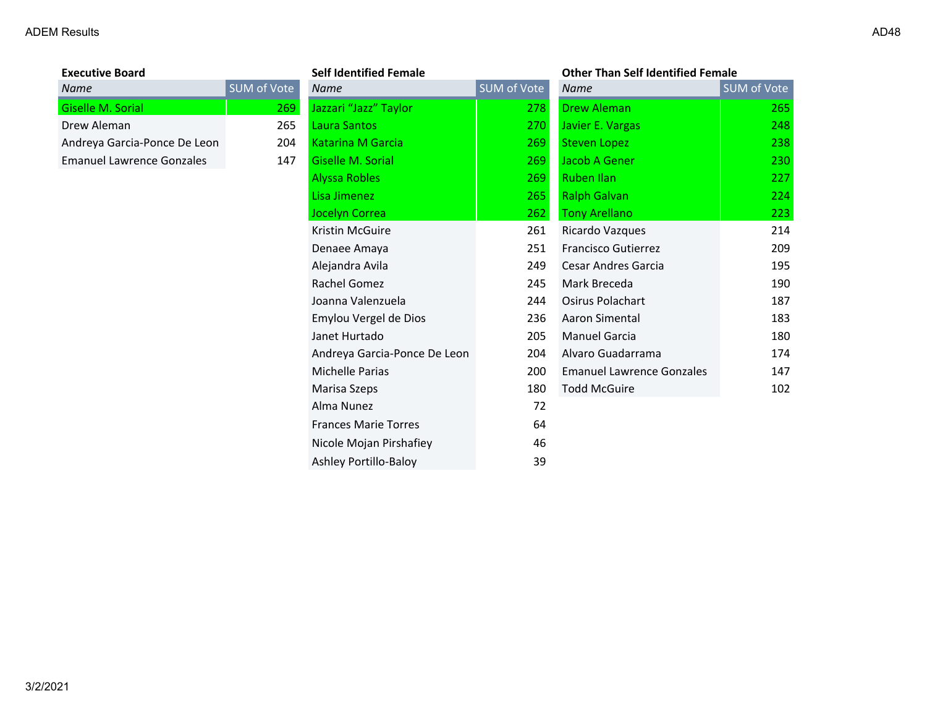| <b>Executive Board</b>       |          |
|------------------------------|----------|
| <b>Name</b>                  | SUM of ' |
| Giselle M. Sorial            |          |
| Drew Aleman                  |          |
| Andreya Garcia-Ponce De Leon |          |
| Emanuel Lawrence Gonzales    |          |

| <b>Executive Board</b>           |             | <b>Self Identified Female</b> |             | <b>Other Than Self Identified Female</b> |             |
|----------------------------------|-------------|-------------------------------|-------------|------------------------------------------|-------------|
| <b>Name</b>                      | SUM of Vote | <b>Name</b>                   | SUM of Vote | <b>Name</b>                              | SUM of Vote |
| Giselle M. Sorial                | 269         | Jazzari "Jazz" Taylor         | 278         | <b>Drew Aleman</b>                       | 265         |
| Drew Aleman                      | 265         | Laura Santos                  | 270         | Javier E. Vargas                         | 248         |
| Andreya Garcia-Ponce De Leon     | 204         | <b>Katarina M Garcia</b>      | 269         | <b>Steven Lopez</b>                      | 238         |
| <b>Emanuel Lawrence Gonzales</b> | 147         | Giselle M. Sorial             | 269         | Jacob A Gener                            | 230         |
|                                  |             | <b>Alyssa Robles</b>          | 269         | <b>Ruben Ilan</b>                        | 227         |
|                                  |             | Lisa Jimenez                  | 265         | <b>Ralph Galvan</b>                      | 224         |
|                                  |             | Jocelyn Correa                | 262         | <b>Tony Arellano</b>                     | 223         |
|                                  |             | Kristin McGuire               | 261         | Ricardo Vazques                          | 214         |
|                                  |             | Denaee Amaya                  | 251         | Francisco Gutierrez                      | 209         |
|                                  |             | Alejandra Avila               | 249         | Cesar Andres Garcia                      | 195         |
|                                  |             | Rachel Gomez                  | 245         | Mark Breceda                             | 190         |
|                                  |             | Joanna Valenzuela             | 244         | <b>Osirus Polachart</b>                  | 187         |
|                                  |             | Emylou Vergel de Dios         | 236         | Aaron Simental                           | 183         |
|                                  |             | Janet Hurtado                 | 205         | <b>Manuel Garcia</b>                     | 180         |
|                                  |             | Andreya Garcia-Ponce De Leon  | 204         | Alvaro Guadarrama                        | 174         |
|                                  |             | <b>Michelle Parias</b>        | 200         | <b>Emanuel Lawrence Gonzales</b>         | 147         |
|                                  |             | Marisa Szeps                  | 180         | <b>Todd McGuire</b>                      | 102         |
|                                  |             | Alma Nunez                    | 72          |                                          |             |
|                                  |             | <b>Frances Marie Torres</b>   | 64          |                                          |             |
|                                  |             | Nicole Mojan Pirshafiey       | 46          |                                          |             |
|                                  |             | Ashley Portillo-Baloy         | 39          |                                          |             |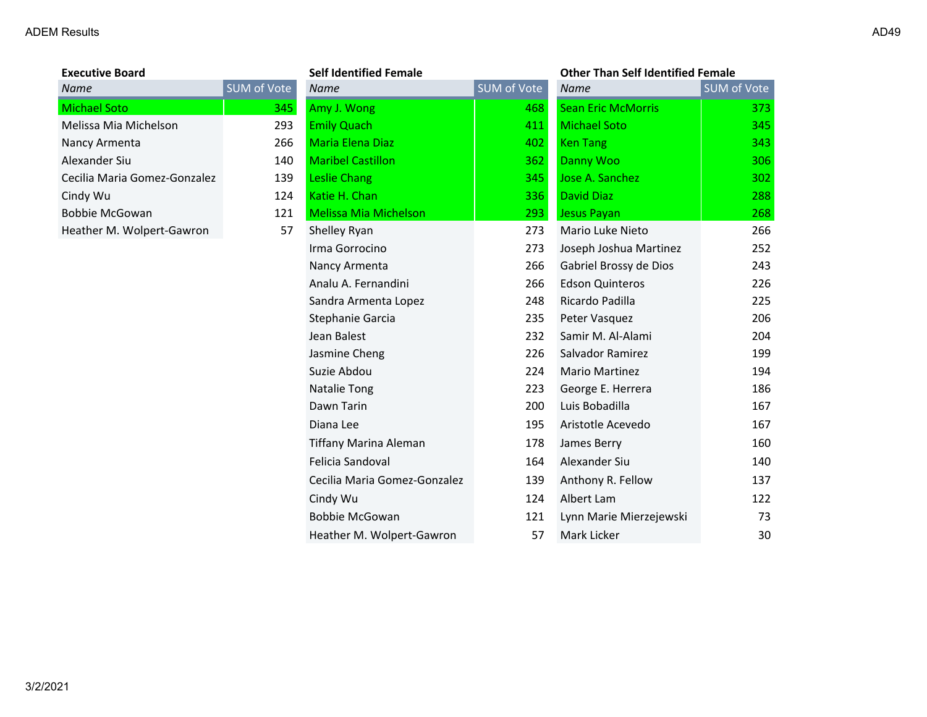| <b>Executive Board</b>       |        |
|------------------------------|--------|
| Name                         | SUM of |
| Michael Soto                 |        |
| Melissa Mia Michelson        |        |
| Nancy Armenta                |        |
| Alexander Siu                |        |
| Cecilia Maria Gomez-Gonzalez |        |
| Cindy Wu                     |        |
| Bobbie McGowan               |        |
| Heather M. Wolpert-Gawron    |        |

| <b>Executive Board</b>       |             | <b>Self Identified Female</b> |             | <b>Other Than Self Identified Female</b> |             |
|------------------------------|-------------|-------------------------------|-------------|------------------------------------------|-------------|
| Name                         | SUM of Vote | <b>Name</b>                   | SUM of Vote | <b>Name</b>                              | SUM of Vote |
| <b>Michael Soto</b>          | 345         | Amy J. Wong                   | 468         | <b>Sean Eric McMorris</b>                | 373         |
| Melissa Mia Michelson        | 293         | <b>Emily Quach</b>            | 411         | <b>Michael Soto</b>                      | 345         |
| Nancy Armenta                | 266         | <b>Maria Elena Diaz</b>       | 402         | <b>Ken Tang</b>                          | 343         |
| Alexander Siu                | 140         | <b>Maribel Castillon</b>      | 362         | Danny Woo                                | 306         |
| Cecilia Maria Gomez-Gonzalez | 139         | Leslie Chang                  | 345         | Jose A. Sanchez                          | 302         |
| Cindy Wu                     | 124         | Katie H. Chan                 | 336         | <b>David Diaz</b>                        | 288         |
| <b>Bobbie McGowan</b>        | 121         | <b>Melissa Mia Michelson</b>  | 293         | <b>Jesus Payan</b>                       | 268         |
| Heather M. Wolpert-Gawron    | 57          | Shelley Ryan                  | 273         | Mario Luke Nieto                         | 266         |
|                              |             | Irma Gorrocino                | 273         | Joseph Joshua Martinez                   | 252         |
|                              |             | Nancy Armenta                 | 266         | Gabriel Brossy de Dios                   | 243         |
|                              |             | Analu A. Fernandini           | 266         | <b>Edson Quinteros</b>                   | 226         |
|                              |             | Sandra Armenta Lopez          | 248         | Ricardo Padilla                          | 225         |
|                              |             | Stephanie Garcia              | 235         | Peter Vasquez                            | 206         |
|                              |             | Jean Balest                   | 232         | Samir M. Al-Alami                        | 204         |
|                              |             | Jasmine Cheng                 | 226         | Salvador Ramirez                         | 199         |
|                              |             | Suzie Abdou                   | 224         | Mario Martinez                           | 194         |
|                              |             | Natalie Tong                  | 223         | George E. Herrera                        | 186         |
|                              |             | Dawn Tarin                    | 200         | Luis Bobadilla                           | 167         |
|                              |             | Diana Lee                     | 195         | Aristotle Acevedo                        | 167         |
|                              |             | Tiffany Marina Aleman         | 178         | James Berry                              | 160         |
|                              |             | Felicia Sandoval              | 164         | Alexander Siu                            | 140         |
|                              |             | Cecilia Maria Gomez-Gonzalez  | 139         | Anthony R. Fellow                        | 137         |
|                              |             | Cindy Wu                      | 124         | Albert Lam                               | 122         |
|                              |             | <b>Bobbie McGowan</b>         | 121         | Lynn Marie Mierzejewski                  | 73          |
|                              |             | Heather M. Wolpert-Gawron     | 57          | Mark Licker                              | 30          |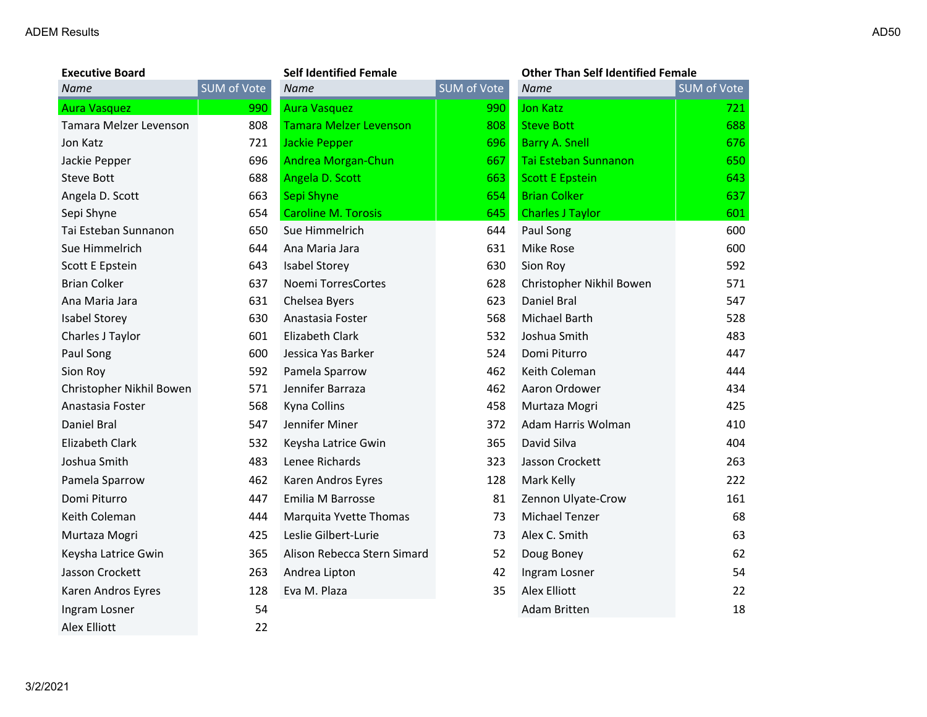3/2/2021

| <b>Executive Board</b>   |             | <b>Self Identified Female</b> |             | <b>Other Than Self Identified Female</b> |             |
|--------------------------|-------------|-------------------------------|-------------|------------------------------------------|-------------|
| <b>Name</b>              | SUM of Vote | <b>Name</b>                   | SUM of Vote | <b>Name</b>                              | SUM of Vote |
| <b>Aura Vasquez</b>      | 990         | <b>Aura Vasquez</b>           | 990         | <b>Jon Katz</b>                          | 721         |
| Tamara Melzer Levenson   | 808         | <b>Tamara Melzer Levenson</b> | 808         | <b>Steve Bott</b>                        | 688         |
| Jon Katz                 | 721         | <b>Jackie Pepper</b>          | 696         | <b>Barry A. Snell</b>                    | 676         |
| Jackie Pepper            | 696         | Andrea Morgan-Chun            | 667         | Tai Esteban Sunnanon                     | 650         |
| <b>Steve Bott</b>        | 688         | Angela D. Scott               | 663         | <b>Scott E Epstein</b>                   | 643         |
| Angela D. Scott          | 663         | Sepi Shyne                    | 654         | <b>Brian Colker</b>                      | 637         |
| Sepi Shyne               | 654         | <b>Caroline M. Torosis</b>    | 645         | <b>Charles J Taylor</b>                  | 601         |
| Tai Esteban Sunnanon     | 650         | Sue Himmelrich                | 644         | Paul Song                                | 600         |
| Sue Himmelrich           | 644         | Ana Maria Jara                | 631         | <b>Mike Rose</b>                         | 600         |
| Scott E Epstein          | 643         | <b>Isabel Storey</b>          | 630         | Sion Roy                                 | 592         |
| <b>Brian Colker</b>      | 637         | Noemi TorresCortes            | 628         | Christopher Nikhil Bowen                 | 571         |
| Ana Maria Jara           | 631         | Chelsea Byers                 | 623         | Daniel Bral                              | 547         |
| <b>Isabel Storey</b>     | 630         | Anastasia Foster              | 568         | Michael Barth                            | 528         |
| Charles J Taylor         | 601         | Elizabeth Clark               | 532         | Joshua Smith                             | 483         |
| Paul Song                | 600         | Jessica Yas Barker            | 524         | Domi Piturro                             | 447         |
| Sion Roy                 | 592         | Pamela Sparrow                | 462         | Keith Coleman                            | 444         |
| Christopher Nikhil Bowen | 571         | Jennifer Barraza              | 462         | Aaron Ordower                            | 434         |
| Anastasia Foster         | 568         | Kyna Collins                  | 458         | Murtaza Mogri                            | 425         |
| Daniel Bral              | 547         | Jennifer Miner                | 372         | Adam Harris Wolman                       | 410         |
| Elizabeth Clark          | 532         | Keysha Latrice Gwin           | 365         | David Silva                              | 404         |
| Joshua Smith             | 483         | Lenee Richards                | 323         | Jasson Crockett                          | 263         |
| Pamela Sparrow           | 462         | Karen Andros Eyres            | 128         | Mark Kelly                               | 222         |
| Domi Piturro             | 447         | Emilia M Barrosse             | 81          | Zennon Ulyate-Crow                       | 161         |
| Keith Coleman            | 444         | Marquita Yvette Thomas        | 73          | Michael Tenzer                           | 68          |
| Murtaza Mogri            | 425         | Leslie Gilbert-Lurie          | 73          | Alex C. Smith                            | 63          |
| Keysha Latrice Gwin      | 365         | Alison Rebecca Stern Simard   | 52          | Doug Boney                               | 62          |
| Jasson Crockett          | 263         | Andrea Lipton                 | 42          | Ingram Losner                            | 54          |
| Karen Andros Eyres       | 128         | Eva M. Plaza                  | 35          | <b>Alex Elliott</b>                      | 22          |
| Ingram Losner            | 54          |                               |             | Adam Britten                             | 18          |
| <b>Alex Elliott</b>      | 22          |                               |             |                                          |             |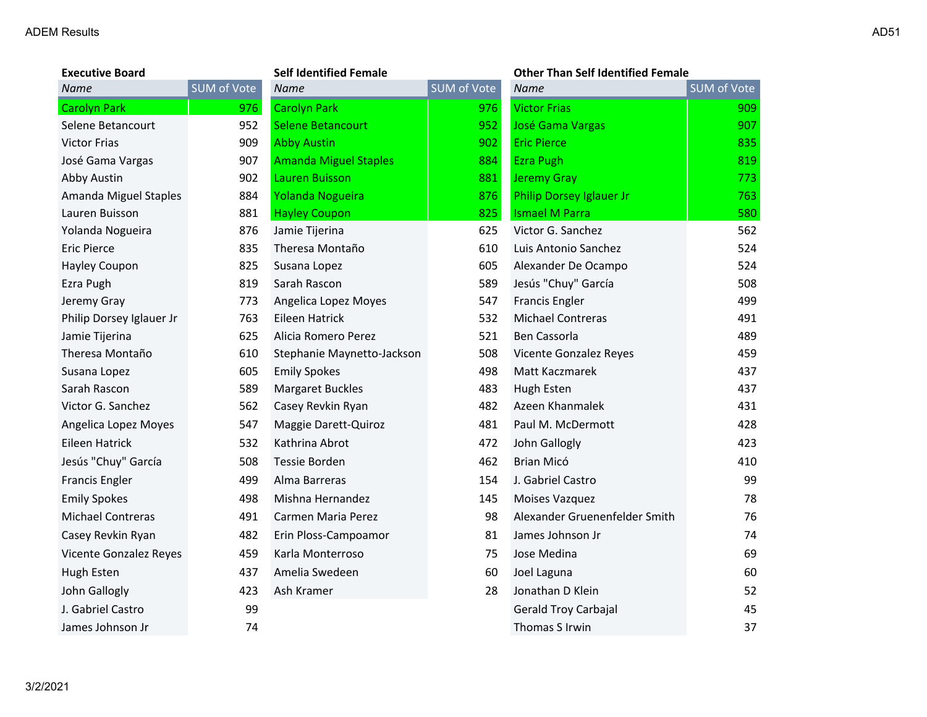3/2/2021

| <b>Executive Board</b>   | <b>Self Identified Female</b> |                              | <b>Other Than Self Identified Female</b> |                               |                    |
|--------------------------|-------------------------------|------------------------------|------------------------------------------|-------------------------------|--------------------|
| <b>Name</b>              | <b>SUM of Vote</b>            | Name                         | SUM of Vote                              | <b>Name</b>                   | <b>SUM of Vote</b> |
| Carolyn Park             | 976                           | <b>Carolyn Park</b>          | 976                                      | <b>Victor Frias</b>           | 909                |
| Selene Betancourt        | 952                           | <b>Selene Betancourt</b>     | 952                                      | <b>José Gama Vargas</b>       | 907                |
| <b>Victor Frias</b>      | 909                           | <b>Abby Austin</b>           | 902                                      | <b>Eric Pierce</b>            | 835                |
| José Gama Vargas         | 907                           | <b>Amanda Miguel Staples</b> | 884                                      | <b>Ezra Pugh</b>              | 819                |
| Abby Austin              | 902                           | Lauren Buisson               | 881                                      | <b>Jeremy Gray</b>            | 773                |
| Amanda Miguel Staples    | 884                           | Yolanda Nogueira             | 876                                      | Philip Dorsey Iglauer Jr      | 763                |
| Lauren Buisson           | 881                           | <b>Hayley Coupon</b>         | 825                                      | <b>Ismael M Parra</b>         | 580                |
| Yolanda Nogueira         | 876                           | Jamie Tijerina               | 625                                      | Victor G. Sanchez             | 562                |
| <b>Eric Pierce</b>       | 835                           | Theresa Montaño              | 610                                      | Luis Antonio Sanchez          | 524                |
| Hayley Coupon            | 825                           | Susana Lopez                 | 605                                      | Alexander De Ocampo           | 524                |
| Ezra Pugh                | 819                           | Sarah Rascon                 | 589                                      | Jesús "Chuy" García           | 508                |
| Jeremy Gray              | 773                           | Angelica Lopez Moyes         | 547                                      | <b>Francis Engler</b>         | 499                |
| Philip Dorsey Iglauer Jr | 763                           | Eileen Hatrick               | 532                                      | <b>Michael Contreras</b>      | 491                |
| Jamie Tijerina           | 625                           | Alicia Romero Perez          | 521                                      | Ben Cassorla                  | 489                |
| Theresa Montaño          | 610                           | Stephanie Maynetto-Jackson   | 508                                      | Vicente Gonzalez Reyes        | 459                |
| Susana Lopez             | 605                           | <b>Emily Spokes</b>          | 498                                      | Matt Kaczmarek                | 437                |
| Sarah Rascon             | 589                           | <b>Margaret Buckles</b>      | 483                                      | Hugh Esten                    | 437                |
| Victor G. Sanchez        | 562                           | Casey Revkin Ryan            | 482                                      | Azeen Khanmalek               | 431                |
| Angelica Lopez Moyes     | 547                           | Maggie Darett-Quiroz         | 481                                      | Paul M. McDermott             | 428                |
| Eileen Hatrick           | 532                           | Kathrina Abrot               | 472                                      | John Gallogly                 | 423                |
| Jesús "Chuy" García      | 508                           | Tessie Borden                | 462                                      | Brian Micó                    | 410                |
| Francis Engler           | 499                           | Alma Barreras                | 154                                      | J. Gabriel Castro             | 99                 |
| <b>Emily Spokes</b>      | 498                           | Mishna Hernandez             | 145                                      | Moises Vazquez                | 78                 |
| <b>Michael Contreras</b> | 491                           | Carmen Maria Perez           | 98                                       | Alexander Gruenenfelder Smith | 76                 |
| Casey Revkin Ryan        | 482                           | Erin Ploss-Campoamor         | 81                                       | James Johnson Jr              | 74                 |
| Vicente Gonzalez Reyes   | 459                           | Karla Monterroso             | 75                                       | Jose Medina                   | 69                 |
| Hugh Esten               | 437                           | Amelia Swedeen               | 60                                       | Joel Laguna                   | 60                 |
| John Gallogly            | 423                           | Ash Kramer                   | 28                                       | Jonathan D Klein              | 52                 |
| J. Gabriel Castro        | 99                            |                              |                                          | Gerald Troy Carbajal          | 45                 |
| James Johnson Jr         | 74                            |                              |                                          | Thomas S Irwin                | 37                 |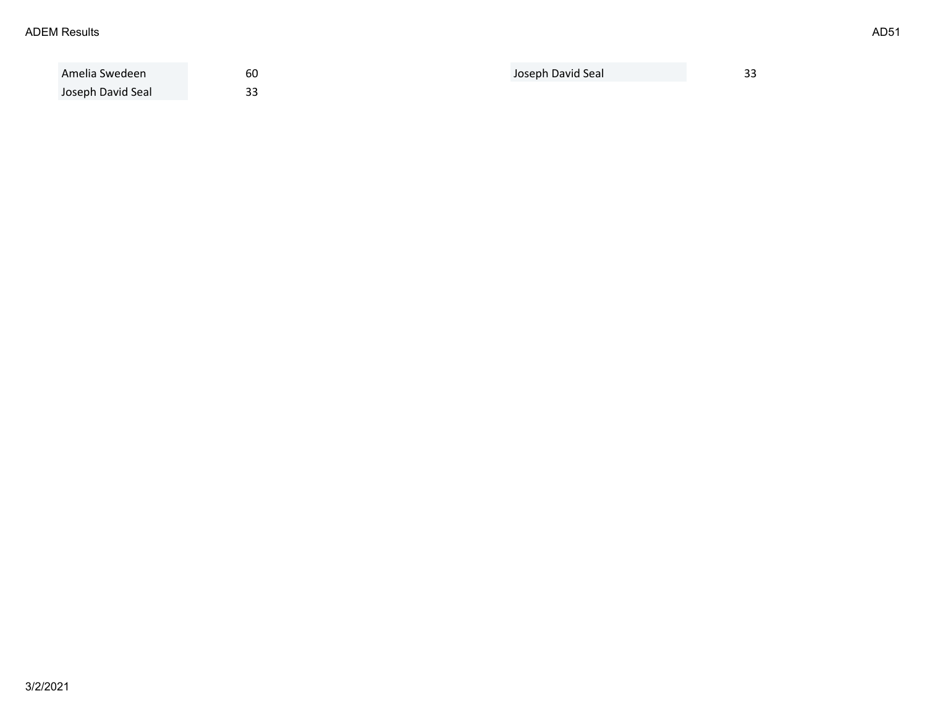| Amelia Swedeen    | 60                      | Joseph David Seal | $\sim$<br>-- |
|-------------------|-------------------------|-------------------|--------------|
| Joseph David Seal | $\mathbin{\lnot}$<br>၁၁ |                   |              |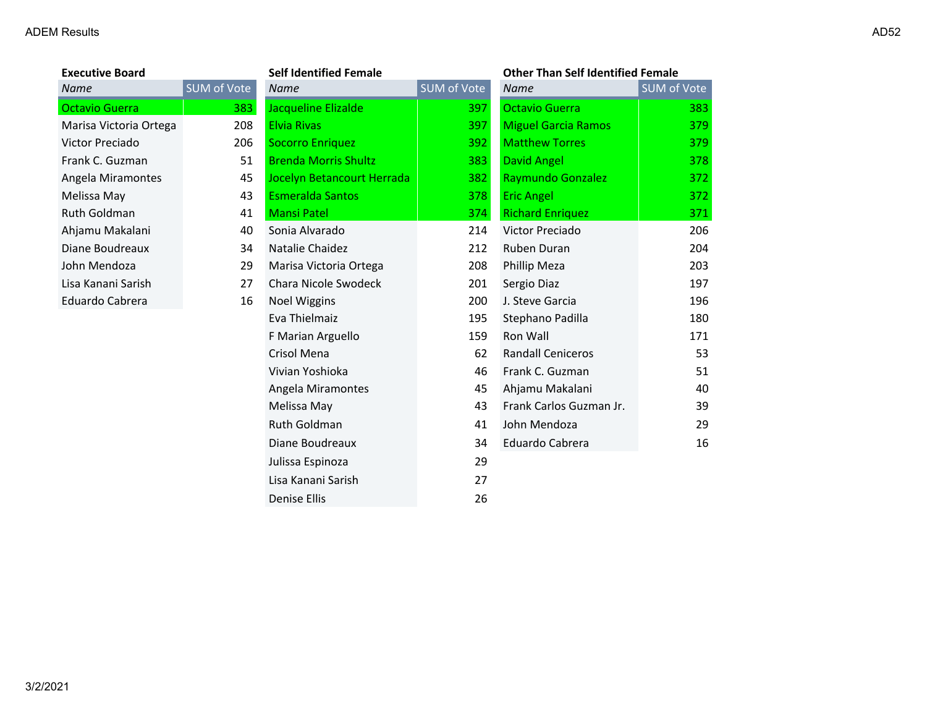| <b>Executive Board</b> |                    | <b>Self Identified Female</b> |                    | <b>Other Than Self Identified Female</b> |                    |
|------------------------|--------------------|-------------------------------|--------------------|------------------------------------------|--------------------|
| <b>Name</b>            | <b>SUM of Vote</b> | <b>Name</b>                   | <b>SUM of Vote</b> | <b>Name</b>                              | <b>SUM of Vote</b> |
| <b>Octavio Guerra</b>  | 383                | Jacqueline Elizalde           | 397                | Octavio Guerra                           | 383                |
| Marisa Victoria Ortega | 208                | Elvia Rivas                   | 397                | <b>Miguel Garcia Ramos</b>               | 379                |
| Victor Preciado        | 206                | Socorro Enriquez              | 392                | <b>Matthew Torres</b>                    | 379                |
| Frank C. Guzman        | 51                 | <b>Brenda Morris Shultz</b>   | 383                | David Angel                              | 378                |
| Angela Miramontes      | 45                 | Jocelyn Betancourt Herrada    | 382                | <b>Raymundo Gonzalez</b>                 | 372                |
| Melissa May            | 43                 | Esmeralda Santos              | 378                | <b>Eric Angel</b>                        | 372                |
| <b>Ruth Goldman</b>    | 41                 | <b>Mansi Patel</b>            | 374                | <b>Richard Enriquez</b>                  | 371                |
| Ahjamu Makalani        | 40                 | Sonia Alvarado                | 214                | Victor Preciado                          | 206                |
| Diane Boudreaux        | 34                 | Natalie Chaidez               | 212                | Ruben Duran                              | 204                |
|                        |                    |                               |                    |                                          |                    |

| 43<br><b>Esmeralda Santos</b><br>378<br><b>Eric Angel</b><br>Melissa May<br>Ruth Goldman<br>41<br><b>Mansi Patel</b><br>374<br><b>Richard Enriquez</b><br>Ahjamu Makalani<br>Sonia Alvarado<br>Victor Preciado<br>40<br>214 | 372<br>371<br>206<br>204<br>203 |
|-----------------------------------------------------------------------------------------------------------------------------------------------------------------------------------------------------------------------------|---------------------------------|
|                                                                                                                                                                                                                             |                                 |
|                                                                                                                                                                                                                             |                                 |
|                                                                                                                                                                                                                             |                                 |
| Natalie Chaidez<br>212<br>Diane Boudreaux<br>34<br>Ruben Duran                                                                                                                                                              |                                 |
| John Mendoza<br>208<br>29<br>Marisa Victoria Ortega<br>Phillip Meza                                                                                                                                                         |                                 |
| Lisa Kanani Sarish<br>Chara Nicole Swodeck<br>201<br>27<br>Sergio Diaz                                                                                                                                                      | 197                             |
| Eduardo Cabrera<br>200<br>16<br><b>Noel Wiggins</b><br>J. Steve Garcia                                                                                                                                                      | 196                             |
| Eva Thielmaiz<br>195<br>Stephano Padilla                                                                                                                                                                                    | 180                             |
| F Marian Arguello<br>159<br>Ron Wall                                                                                                                                                                                        | 171                             |
| Crisol Mena<br>62<br><b>Randall Ceniceros</b>                                                                                                                                                                               | 53                              |
| Vivian Yoshioka<br>46<br>Frank C. Guzman                                                                                                                                                                                    | 51                              |
| 45<br>Ahjamu Makalani<br>Angela Miramontes                                                                                                                                                                                  | 40                              |
| Frank Carlos Guzman Jr.<br>43<br>Melissa May                                                                                                                                                                                | 39                              |
| Ruth Goldman<br>41<br>John Mendoza                                                                                                                                                                                          | 29                              |
| Diane Boudreaux<br>Eduardo Cabrera<br>34                                                                                                                                                                                    | 16                              |
| Julissa Espinoza<br>29                                                                                                                                                                                                      |                                 |
| Lisa Kanani Sarish<br>27                                                                                                                                                                                                    |                                 |
| 26<br>Denise Ellis                                                                                                                                                                                                          |                                 |

# **In Self Identified Female**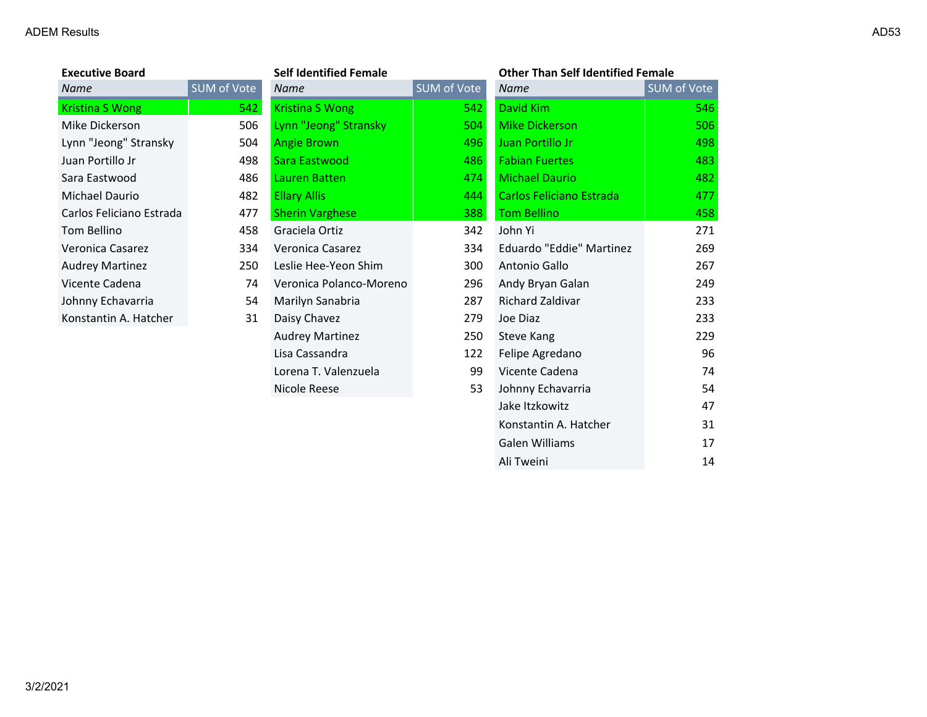| <b>Executive Board</b>   |             | <b>Self Identified Female</b> |             | <b>Other Than Self Identified Female</b> |             |
|--------------------------|-------------|-------------------------------|-------------|------------------------------------------|-------------|
| Name                     | SUM of Vote | <b>Name</b>                   | SUM of Vote | <b>Name</b>                              | SUM of Vote |
| Kristina S Wong          | 542         | Kristina S Wong               | 542         | David Kim                                | 546         |
| Mike Dickerson           | 506         | Lynn "Jeong" Stransky         | 504         | <b>Mike Dickerson</b>                    | 506         |
| Lynn "Jeong" Stransky    | 504         | <b>Angie Brown</b>            | 496         | Juan Portillo Jr                         | 498         |
| Juan Portillo Jr         | 498         | Sara Eastwood                 | 486         | <b>Fabian Fuertes</b>                    | 483         |
| Sara Eastwood            | 486         | Lauren Batten                 | 474         | <b>Michael Daurio</b>                    | 482         |
| Michael Daurio           | 482         | <b>Ellary Allis</b>           | 444         | Carlos Feliciano Estrada                 | 477         |
| Carlos Feliciano Estrada | 477         | <b>Sherin Varghese</b>        | 388         | <b>Tom Bellino</b>                       | 458         |
| Tom Bellino              | 458         | Graciela Ortiz                | 342         | John Yi                                  | 271         |
| Veronica Casarez         | 334         | Veronica Casarez              | 334         | Eduardo "Eddie" Martinez                 | 269         |
| <b>Audrey Martinez</b>   | 250         | Leslie Hee-Yeon Shim          | 300         | Antonio Gallo                            | 267         |
| Vicente Cadena           | 74          | Veronica Polanco-Moreno       | 296         | Andy Bryan Galan                         | 249         |
| Johnny Echavarria        | 54          | Marilyn Sanabria              | 287         | Richard Zaldivar                         | 233         |
| Konstantin A. Hatcher    | 31          | Daisy Chavez                  | 279         | Joe Diaz                                 | 233         |
|                          |             | <b>Audrey Martinez</b>        | 250         | Steve Kang                               | 229         |
|                          |             | Lisa Cassandra                | 122         | Felipe Agredano                          | 96          |
|                          |             | Lorena T. Valenzuela          | 99          | Vicente Cadena                           | 74          |
|                          |             | Nicole Reese                  | 53          | Johnny Echavarria                        | 54          |

Jake Itzkowitz 47 Konstantin A. Hatcher 31 Galen Williams 17 Ali Tweini 14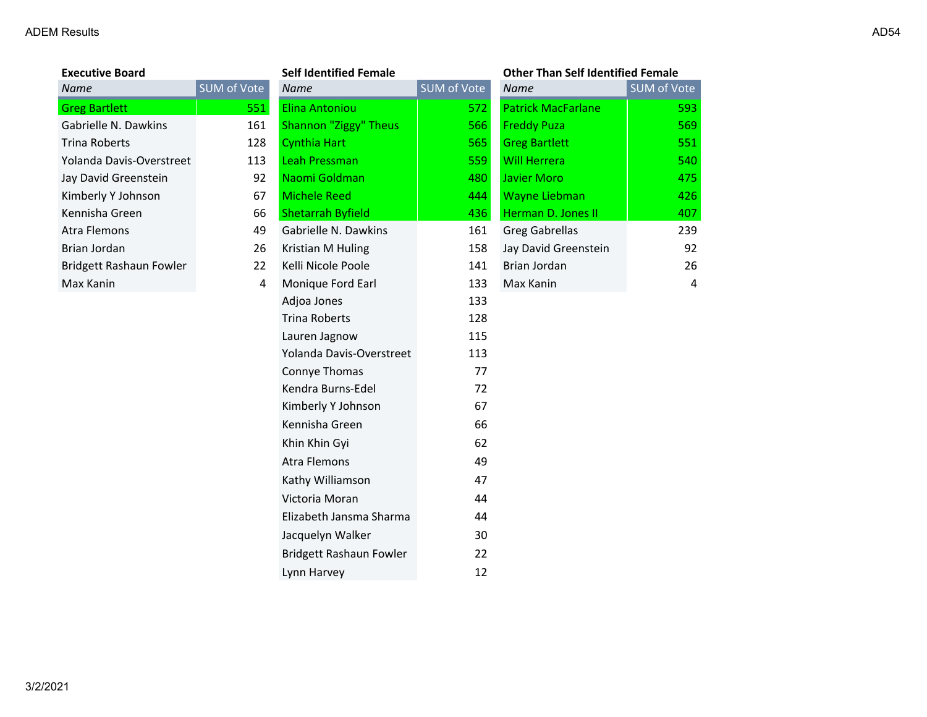3/2/2021

| <b>Executive Board</b>   |            |
|--------------------------|------------|
| Name                     | <b>SUM</b> |
| <b>Greg Bartlett</b>     |            |
| Gabrielle N. Dawkins     |            |
| Trina Roberts            |            |
| Yolanda Davis-Overstreet |            |
| Jay David Greenstein     |            |
| Kimberly Y Johnson       |            |
| Kennisha Green           |            |
| Atra Flemons             |            |
| Brian Jordan             |            |
| Bridgett Rashaun Fowler  |            |
| Max Kanin                |            |
|                          |            |

| <b>Executive Board</b>   |                    | <b>Self Identified Female</b> |             | <b>Other Than Self Identified Female</b> |                    |
|--------------------------|--------------------|-------------------------------|-------------|------------------------------------------|--------------------|
| Name                     | <b>SUM of Vote</b> | <b>Name</b>                   | SUM of Vote | <b>Name</b>                              | <b>SUM of Vote</b> |
| <b>Greg Bartlett</b>     | 551                | <b>Elina Antoniou</b>         | 572         | <b>Patrick MacFarlane</b>                | 593                |
| Gabrielle N. Dawkins     | 161                | Shannon "Ziggy" Theus         | 566         | <b>Freddy Puza</b>                       | 569                |
| <b>Trina Roberts</b>     | 128                | Cynthia Hart                  | 565         | <b>Greg Bartlett</b>                     | 551                |
| Yolanda Davis-Overstreet | 113                | Leah Pressman                 | 559         | <b>Will Herrera</b>                      | 540                |
| Jay David Greenstein     | 92                 | Naomi Goldman                 | 480         | <b>Javier Moro</b>                       | 475                |
| Kimberly Y Johnson       | 67                 | <b>Michele Reed</b>           | 444         | <b>Wayne Liebman</b>                     | 426                |
| Kennisha Green           | 66                 | <b>Shetarrah Byfield</b>      | 436         | Herman D. Jones II                       | 407                |
| Atra Flemons             | 49                 | Gabrielle N. Dawkins          | 161         | <b>Greg Gabrellas</b>                    | 239                |
| Brian Jordan             | 26                 | Kristian M Huling             | 158         | Jay David Greenstein                     | 92                 |
| Bridgett Rashaun Fowler  | 22                 | Kelli Nicole Poole            | 141         | Brian Jordan                             | 26                 |
| Max Kanin                | 4                  | Monique Ford Earl             | 133         | Max Kanin                                | $\overline{4}$     |
|                          |                    | Adjoa Jones                   | 133         |                                          |                    |
|                          |                    | <b>Trina Roberts</b>          | 128         |                                          |                    |
|                          |                    | Lauren Jagnow                 | 115         |                                          |                    |
|                          |                    | Yolanda Davis-Overstreet      | 113         |                                          |                    |
|                          |                    | Connye Thomas                 | 77          |                                          |                    |
|                          |                    | Kendra Burns-Edel             | 72          |                                          |                    |
|                          |                    | Kimberly Y Johnson            | 67          |                                          |                    |
|                          |                    | Kennisha Green                | 66          |                                          |                    |
|                          |                    | Khin Khin Gyi                 | 62          |                                          |                    |
|                          |                    | <b>Atra Flemons</b>           | 49          |                                          |                    |
|                          |                    | Kathy Williamson              | 47          |                                          |                    |
|                          |                    | Victoria Moran                | 44          |                                          |                    |
|                          |                    | Elizabeth Jansma Sharma       | 44          |                                          |                    |
|                          |                    | Jacquelyn Walker              | 30          |                                          |                    |
|                          |                    | Bridgett Rashaun Fowler       | 22          |                                          |                    |
|                          |                    | Lynn Harvey                   | 12          |                                          |                    |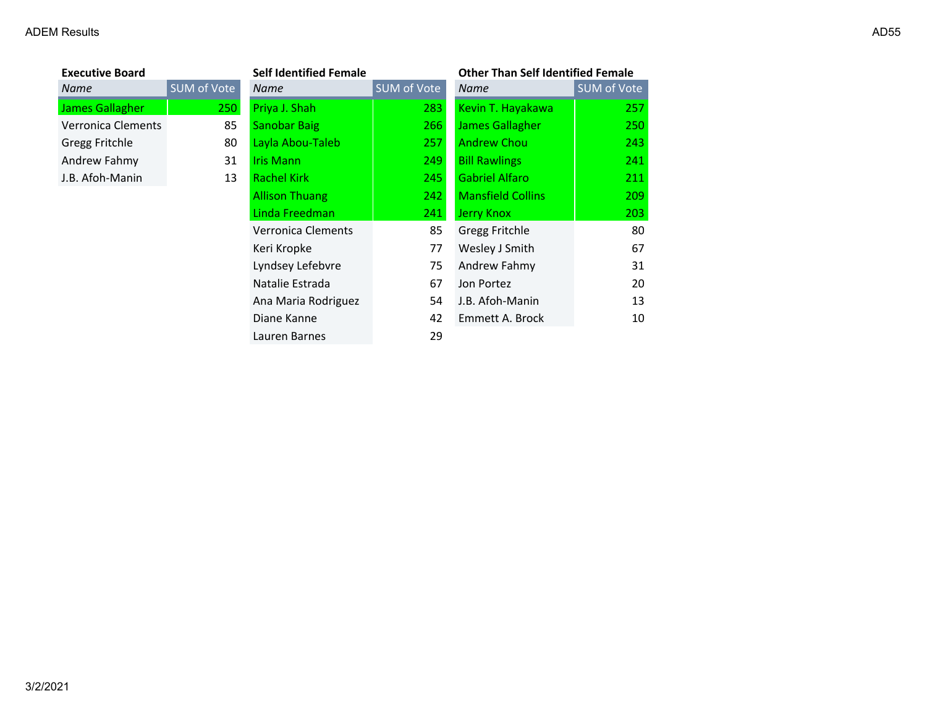| <b>Executive Board</b>    |                   |
|---------------------------|-------------------|
| Name                      | <b>SUM of Vot</b> |
| <b>James Gallagher</b>    | 21                |
| <b>Verronica Clements</b> | ۶                 |
| <b>Gregg Fritchle</b>     | ۶                 |
| Andrew Fahmy              |                   |
| J.B. Afoh-Manin           |                   |

| <b>Executive Board</b> |                    | <b>Self Identified Female</b> |             | <b>Other Than Self Identified Female</b> |             |
|------------------------|--------------------|-------------------------------|-------------|------------------------------------------|-------------|
| Name                   | <b>SUM of Vote</b> | <b>Name</b>                   | SUM of Vote | <b>Name</b>                              | SUM of Vote |
| James Gallagher        | <b>250</b>         | Priya J. Shah                 | 283         | Kevin T. Hayakawa                        | 257         |
| Verronica Clements     | 85                 | <b>Sanobar Baig</b>           | 266         | <b>James Gallagher</b>                   | 250         |
| Gregg Fritchle         | 80                 | Layla Abou-Taleb              | 257         | <b>Andrew Chou</b>                       | 243         |
| Andrew Fahmy           | 31                 | Iris Mann                     | 249         | <b>Bill Rawlings</b>                     | 241         |
| J.B. Afoh-Manin        | 13                 | <b>Rachel Kirk</b>            | 245         | <b>Gabriel Alfaro</b>                    | 211         |
|                        |                    | <b>Allison Thuang</b>         | 242         | <b>Mansfield Collins</b>                 | 209         |
|                        |                    | Linda Freedman                | 241         | <b>Jerry Knox</b>                        | 203         |
|                        |                    | <b>Verronica Clements</b>     | 85          | <b>Gregg Fritchle</b>                    | 80          |
|                        |                    | Keri Kropke                   | 77          | Wesley J Smith                           | 67          |
|                        |                    | Lyndsey Lefebvre              | 75          | Andrew Fahmy                             | 31          |
|                        |                    | Natalie Estrada               | 67          | Jon Portez                               | 20          |
|                        |                    | Ana Maria Rodriguez           | 54          | J.B. Afoh-Manin                          | 13          |
|                        |                    | Diane Kanne                   | 42          | Emmett A. Brock                          | 10          |
|                        |                    | Lauren Barnes                 | 29          |                                          |             |
|                        |                    |                               |             |                                          |             |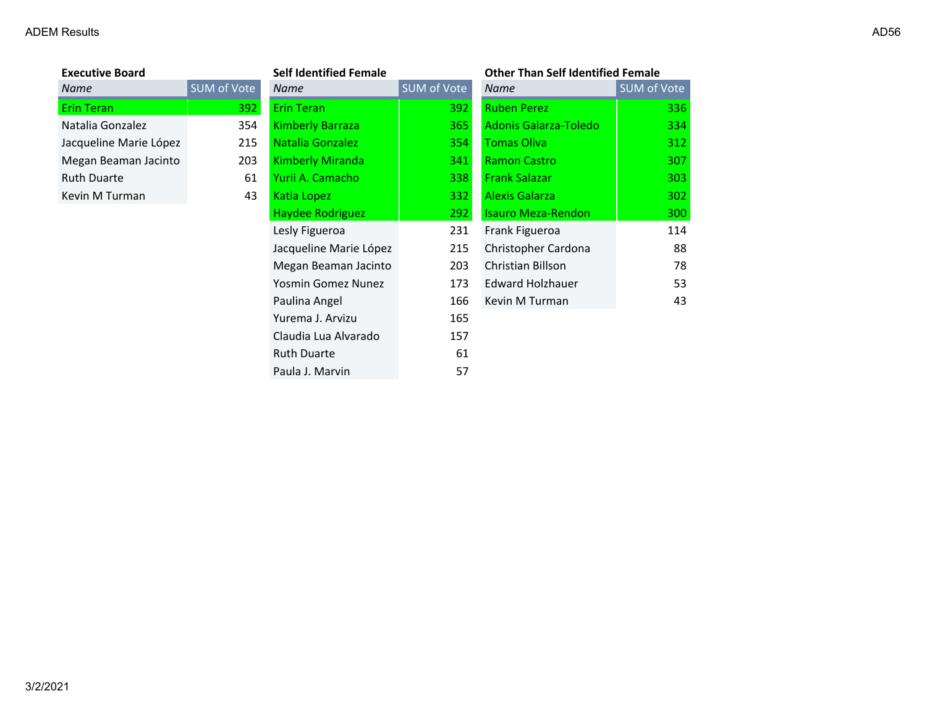| Name                   | SUM d |
|------------------------|-------|
| <b>Erin Teran</b>      |       |
| Natalia Gonzalez       |       |
| Jacqueline Marie López |       |
| Megan Beaman Jacinto   |       |
| <b>Ruth Duarte</b>     |       |
| Kevin M Turman         |       |

| <b>Executive Board</b> |                    | <b>Self Identified Female</b> |             | <b>Other Than Self Identified Female</b> |             |
|------------------------|--------------------|-------------------------------|-------------|------------------------------------------|-------------|
| Name                   | <b>SUM of Vote</b> | Name                          | SUM of Vote | <b>Name</b>                              | SUM of Vote |
| Erin Teran             | 392                | <b>Erin Teran</b>             | 392         | <b>Ruben Perez</b>                       | 336         |
| Natalia Gonzalez       | 354                | <b>Kimberly Barraza</b>       | 365         | Adonis Galarza-Toledo                    | 334         |
| Jacqueline Marie López | 215                | Natalia Gonzalez              | 354         | <b>Tomas Oliva</b>                       | 312         |
| Megan Beaman Jacinto   | 203                | <b>Kimberly Miranda</b>       | 341         | <b>Ramon Castro</b>                      | 307         |
| <b>Ruth Duarte</b>     | 61                 | Yurii A. Camacho              | 338         | <b>Frank Salazar</b>                     | 303         |
| Kevin M Turman         | 43                 | Katia Lopez                   | 332         | <b>Alexis Galarza</b>                    | 302         |
|                        |                    | Haydee Rodriguez              | 292         | <b>Isauro Meza-Rendon</b>                | 300         |
|                        |                    | Lesly Figueroa                | 231         | Frank Figueroa                           | 114         |
|                        |                    | Jacqueline Marie López        | 215         | Christopher Cardona                      | 88          |
|                        |                    | Megan Beaman Jacinto          | 203         | Christian Billson                        | 78          |
|                        |                    | Yosmin Gomez Nunez            | 173         | <b>Edward Holzhauer</b>                  | 53          |
|                        |                    | Paulina Angel                 | 166         | Kevin M Turman                           | 43          |
|                        |                    | Yurema J. Arvizu              | 165         |                                          |             |
|                        |                    | Claudia Lua Alvarado          | 157         |                                          |             |
|                        |                    | <b>Ruth Duarte</b>            | 61          |                                          |             |
|                        |                    | Paula J. Marvin               | 57          |                                          |             |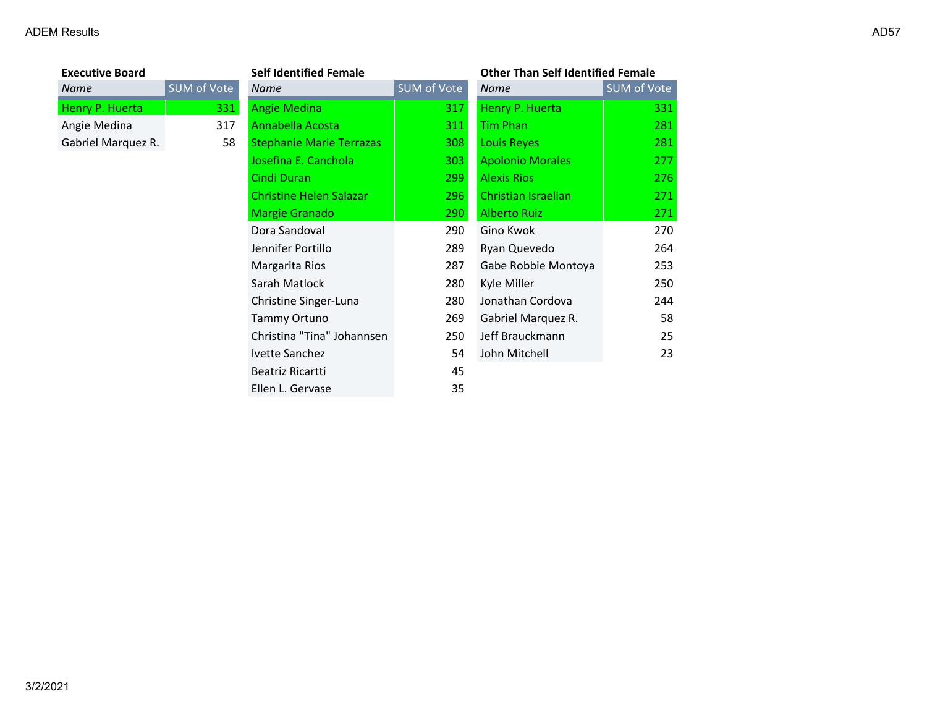# ADEM Results and the control of the control of the control of the control of the control of the control of the control of the control of the control of the control of the control of the control of the control of the contro

| ×<br>۰. |
|---------|
|---------|

| <b>Executive Board</b> |                    |  |  |
|------------------------|--------------------|--|--|
| <b>Name</b>            | <b>SUM</b> of Vote |  |  |
| Henry P. Huerta        | 331                |  |  |
| Angie Medina           | 317                |  |  |
| Gabriel Marquez R.     | 58                 |  |  |

| <b>Executive Board</b> |                    | <b>Self Identified Female</b>   |             | <b>Other Than Self Identified Female</b> |             |
|------------------------|--------------------|---------------------------------|-------------|------------------------------------------|-------------|
| Name                   | <b>SUM of Vote</b> | Name                            | SUM of Vote | Name                                     | SUM of Vote |
| Henry P. Huerta        | 331                | <b>Angie Medina</b>             | 317         | Henry P. Huerta                          | 331         |
| Angie Medina           | 317                | Annabella Acosta                | 311         | Tim Phan                                 | 281         |
| Gabriel Marquez R.     | 58                 | <b>Stephanie Marie Terrazas</b> | 308         | <b>Louis Reyes</b>                       | 281         |
|                        |                    | Josefina E. Canchola            | 303         | <b>Apolonio Morales</b>                  | 277         |
|                        |                    | Cindi Duran                     | 299         | <b>Alexis Rios</b>                       | 276         |
|                        |                    | <b>Christine Helen Salazar</b>  | 296         | Christian Israelian                      | 271         |
|                        |                    | <b>Margie Granado</b>           | 290         | <b>Alberto Ruiz</b>                      | 271         |
|                        |                    | Dora Sandoval                   | 290         | Gino Kwok                                | 270         |
|                        |                    | Jennifer Portillo               | 289         | Ryan Quevedo                             | 264         |
|                        |                    | Margarita Rios                  | 287         | Gabe Robbie Montoya                      | 253         |
|                        |                    | Sarah Matlock                   | 280         | Kyle Miller                              | 250         |
|                        |                    | Christine Singer-Luna           | 280         | Jonathan Cordova                         | 244         |
|                        |                    | Tammy Ortuno                    | 269         | Gabriel Marquez R.                       | 58          |
|                        |                    | Christina "Tina" Johannsen      | 250         | Jeff Brauckmann                          | 25          |
|                        |                    | Ivette Sanchez                  | 54          | John Mitchell                            | 23          |
|                        |                    | Beatriz Ricartti                | 45          |                                          |             |
|                        |                    | Ellen L. Gervase                | 35          |                                          |             |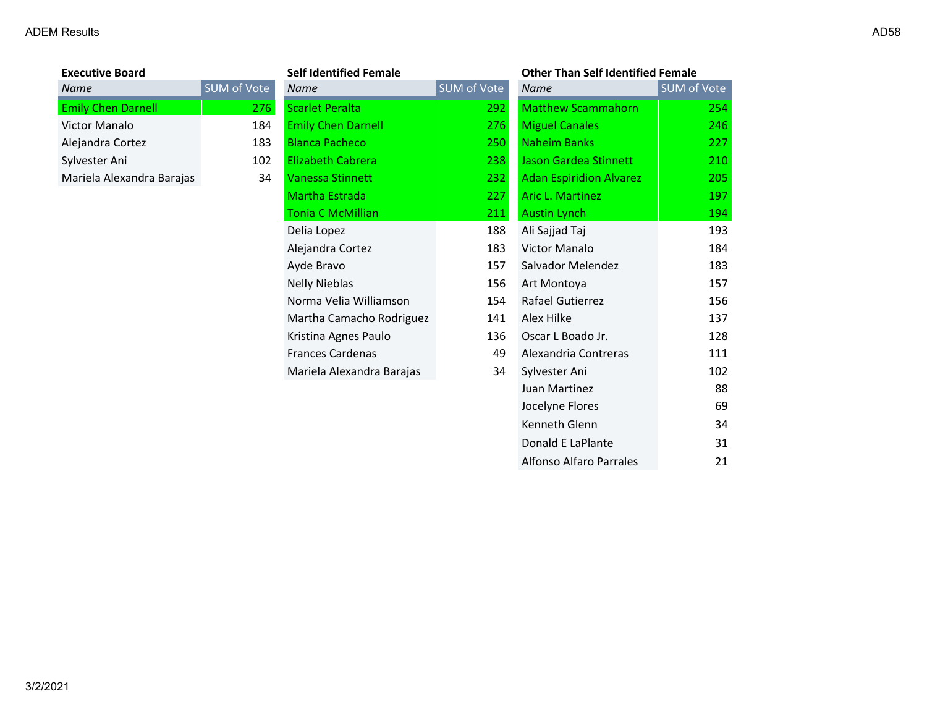| <b>Executive Board</b>    |        |
|---------------------------|--------|
| Name                      | SUM of |
| <b>Emily Chen Darnell</b> |        |
| Victor Manalo             |        |
| Alejandra Cortez          |        |
| Sylvester Ani             |        |
| Mariela Alexandra Barajas |        |
|                           |        |

| <b>Executive Board</b>    |             | <b>Self Identified Female</b> |             | <b>Other Than Self Identified Female</b> |             |
|---------------------------|-------------|-------------------------------|-------------|------------------------------------------|-------------|
| Name                      | SUM of Vote | <b>Name</b>                   | SUM of Vote | <b>Name</b>                              | SUM of Vote |
| <b>Emily Chen Darnell</b> | <b>276</b>  | <b>Scarlet Peralta</b>        | 292         | <b>Matthew Scammahorn</b>                | 254         |
| Victor Manalo             | 184         | <b>Emily Chen Darnell</b>     | 276         | <b>Miguel Canales</b>                    | 246         |
| Alejandra Cortez          | 183         | <b>Blanca Pacheco</b>         | 250         | <b>Naheim Banks</b>                      | 227         |
| Sylvester Ani             | 102         | <b>Elizabeth Cabrera</b>      | 238         | Jason Gardea Stinnett                    | 210         |
| Mariela Alexandra Barajas | 34          | <b>Vanessa Stinnett</b>       | 232         | <b>Adan Espiridion Alvarez</b>           | 205         |
|                           |             | Martha Estrada                | 227         | <b>Aric L. Martinez</b>                  | 197         |
|                           |             | <b>Tonia C McMillian</b>      | 211         | <b>Austin Lynch</b>                      | 194         |
|                           |             | Delia Lopez                   | 188         | Ali Sajjad Taj                           | 193         |
|                           |             | Alejandra Cortez              | 183         | Victor Manalo                            | 184         |
|                           |             | Ayde Bravo                    | 157         | Salvador Melendez                        | 183         |
|                           |             | <b>Nelly Nieblas</b>          | 156         | Art Montoya                              | 157         |
|                           |             | Norma Velia Williamson        | 154         | Rafael Gutierrez                         | 156         |
|                           |             | Martha Camacho Rodriguez      | 141         | Alex Hilke                               | 137         |
|                           |             | Kristina Agnes Paulo          | 136         | Oscar L Boado Jr.                        | 128         |
|                           |             | <b>Frances Cardenas</b>       | 49          | Alexandria Contreras                     | 111         |
|                           |             | Mariela Alexandra Barajas     | 34          | Sylvester Ani                            | 102         |
|                           |             |                               |             | Juan Martinez                            | 88          |
|                           |             |                               |             | Jocelyne Flores                          | 69          |
|                           |             |                               |             | Kenneth Glenn                            | 34          |
|                           |             |                               |             | Donald E LaPlante                        | 31          |

Alfonso Alfaro Parrales 21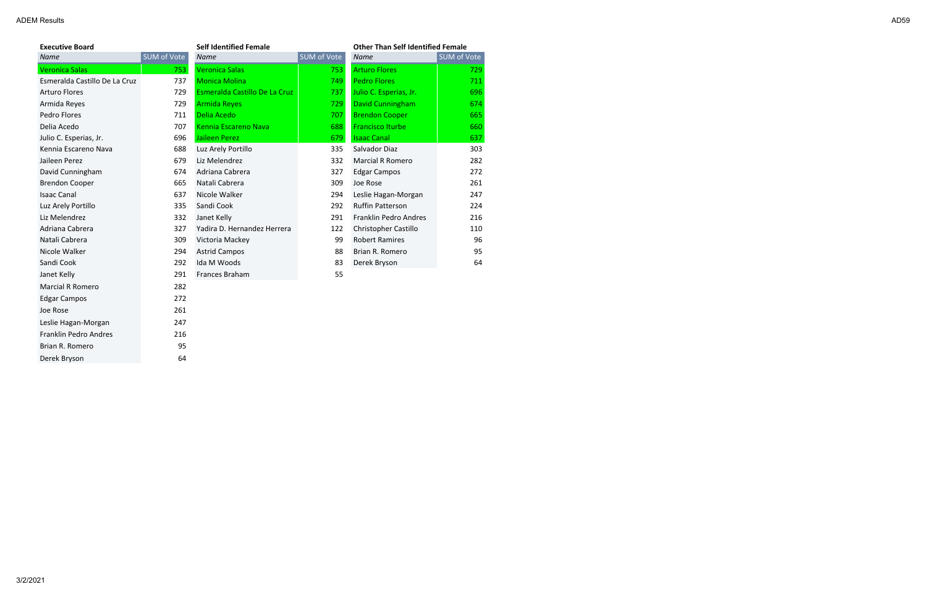| <b>Executive Board</b>        |                    | <b>Self Identified Female</b> |             | <b>Other Than Self Identified Female</b> |             |
|-------------------------------|--------------------|-------------------------------|-------------|------------------------------------------|-------------|
| Name                          | <b>SUM of Vote</b> | Name                          | SUM of Vote | <b>Name</b>                              | SUM of Vote |
| <b>Veronica Salas</b>         | 753                | <b>Veronica Salas</b>         | 753         | <b>Arturo Flores</b>                     | 729         |
| Esmeralda Castillo De La Cruz | 737                | <b>Monica Molina</b>          | 749         | <b>Pedro Flores</b>                      | 711         |
| <b>Arturo Flores</b>          | 729                | Esmeralda Castillo De La Cruz | 737         | Julio C. Esperias, Jr.                   | 696         |
| Armida Reyes                  | 729                | <b>Armida Reyes</b>           | 729         | David Cunningham                         | 674         |
| Pedro Flores                  | 711                | Delia Acedo                   | 707         | <b>Brendon Cooper</b>                    | 665         |
| Delia Acedo                   | 707                | Kennia Escareno Nava          | 688         | <b>Francisco Iturbe</b>                  | 660         |
| Julio C. Esperias, Jr.        | 696                | <b>Jaileen Perez</b>          | 679         | <b>Isaac Canal</b>                       | 637         |
| Kennia Escareno Nava          | 688                | Luz Arely Portillo            | 335         | Salvador Diaz                            | 303         |
| Jaileen Perez                 | 679                | Liz Melendrez                 | 332         | <b>Marcial R Romero</b>                  | 282         |
| David Cunningham              | 674                | Adriana Cabrera               | 327         | <b>Edgar Campos</b>                      | 272         |
| <b>Brendon Cooper</b>         | 665                | Natali Cabrera                | 309         | Joe Rose                                 | 261         |
| <b>Isaac Canal</b>            | 637                | Nicole Walker                 | 294         | Leslie Hagan-Morgan                      | 247         |
| Luz Arely Portillo            | 335                | Sandi Cook                    | 292         | <b>Ruffin Patterson</b>                  | 224         |
| Liz Melendrez                 | 332                | Janet Kelly                   | 291         | Franklin Pedro Andres                    | 216         |
| Adriana Cabrera               | 327                | Yadira D. Hernandez Herrera   | 122         | Christopher Castillo                     | 110         |
| Natali Cabrera                | 309                | Victoria Mackey               | 99          | <b>Robert Ramires</b>                    | 96          |
| Nicole Walker                 | 294                | <b>Astrid Campos</b>          | 88          | Brian R. Romero                          | 95          |
| Sandi Cook                    | 292                | Ida M Woods                   | 83          | Derek Bryson                             | 64          |
| Janet Kelly                   | 291                | Frances Braham                | 55          |                                          |             |
| <b>Marcial R Romero</b>       | 282                |                               |             |                                          |             |
| <b>Edgar Campos</b>           | 272                |                               |             |                                          |             |
| Joe Rose                      | 261                |                               |             |                                          |             |
| Leslie Hagan-Morgan           | 247                |                               |             |                                          |             |
| <b>Franklin Pedro Andres</b>  | 216                |                               |             |                                          |             |
| Brian R. Romero               | 95                 |                               |             |                                          |             |
| Derek Bryson                  | 64                 |                               |             |                                          |             |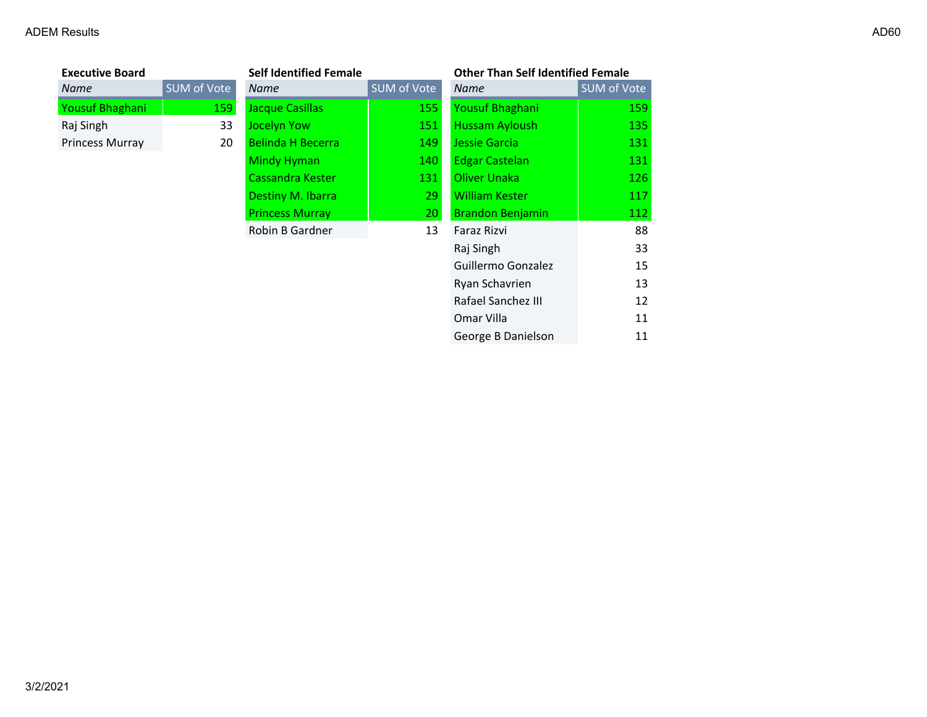| <b>Executive Board</b> |             | <b>Self Identified Female</b> |             | <b>Other Than Self Identified Female</b> |                    |
|------------------------|-------------|-------------------------------|-------------|------------------------------------------|--------------------|
| Name                   | SUM of Vote | <b>Name</b>                   | SUM of Vote | <b>Name</b>                              | <b>SUM of Vote</b> |
| Yousuf Bhaghani        | 159         | Jacque Casillas               | 155         | Yousuf Bhaghani                          | 159                |
| Raj Singh              | 33          | Jocelyn Yow                   | 151         | <b>Hussam Ayloush</b>                    | 135                |
| Princess Murray        | 20          | <b>Belinda H Becerra</b>      | 149         | Jessie Garcia                            | 131                |
|                        |             | <b>Mindy Hyman</b>            | 140         | <b>Edgar Castelan</b>                    | 131                |
|                        |             | Cassandra Kester              | 131         | Oliver Unaka                             | 126                |
|                        |             | Destiny M. Ibarra             | 29          | <b>William Kester</b>                    | 117                |
|                        |             | <b>Princess Murray</b>        | 20          | <b>Brandon Benjamin</b>                  | 112                |
|                        |             | Robin B Gardner               | 13          | Faraz Rizvi                              | 88                 |
|                        |             |                               |             | Raj Singh                                | 33                 |
|                        |             |                               |             | Guillermo Gonzalez                       | 15                 |
|                        |             |                               |             | Ryan Schavrien                           | 13                 |
|                        |             |                               |             | Rafael Sanchez III                       | 12                 |
|                        |             |                               |             | Omar Villa                               | 11                 |

George B Danielson 11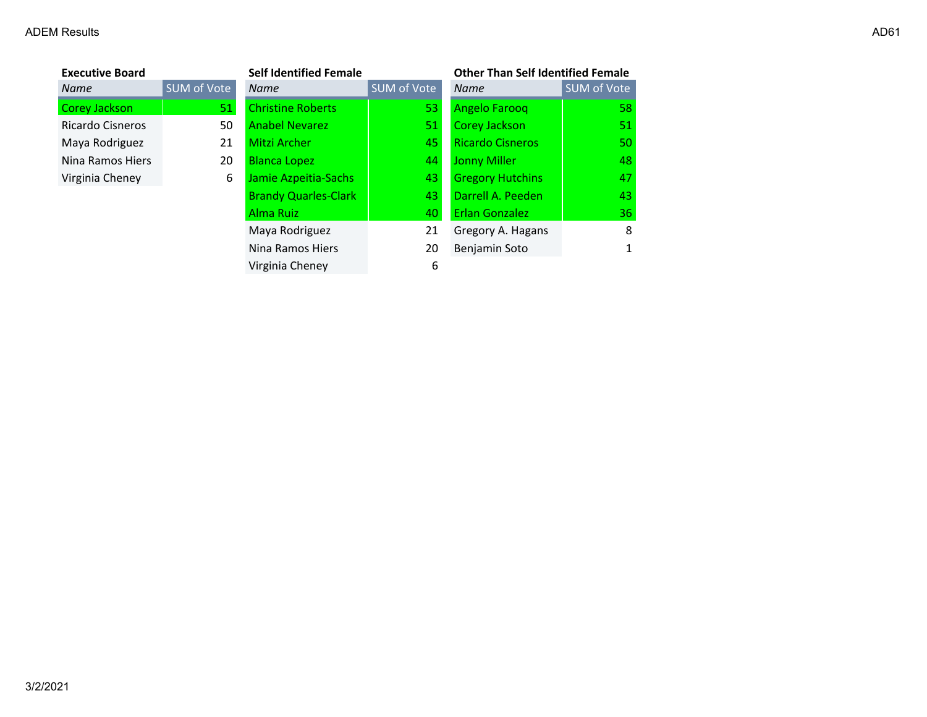| <b>Executive Board</b> |                    | <b>Self Identified Female</b> |                    | <b>Other Than Self Identified Female</b> |             |
|------------------------|--------------------|-------------------------------|--------------------|------------------------------------------|-------------|
| Name                   | <b>SUM of Vote</b> | <b>Name</b>                   | <b>SUM of Vote</b> | <b>Name</b>                              | SUM of Vote |
| Corey Jackson          | 51                 | <b>Christine Roberts</b>      | 53                 | Angelo Farooq                            | 58          |
| Ricardo Cisneros       | 50                 | <b>Anabel Nevarez</b>         | 51                 | Corey Jackson                            | 51          |
| Maya Rodriguez         | 21                 | <b>Mitzi Archer</b>           | 45                 | <b>Ricardo Cisneros</b>                  | 50          |
| Nina Ramos Hiers       | 20                 | <b>Blanca Lopez</b>           | 44                 | <b>Jonny Miller</b>                      | 48          |
| Virginia Cheney        | 6                  | Jamie Azpeitia-Sachs          | 43                 | <b>Gregory Hutchins</b>                  | 47          |
|                        |                    | <b>Brandy Quarles-Clark</b>   | 43                 | Darrell A. Peeden                        | 43          |
|                        |                    | Alma Ruiz                     | 40                 | <b>Erlan Gonzalez</b>                    | 36          |
|                        |                    | Maya Rodriguez                | 21                 | Gregory A. Hagans                        | 8           |
|                        |                    | Nina Ramos Hiers              | 20                 | Benjamin Soto                            | 1           |
|                        |                    | Virginia Cheney               | 6                  |                                          |             |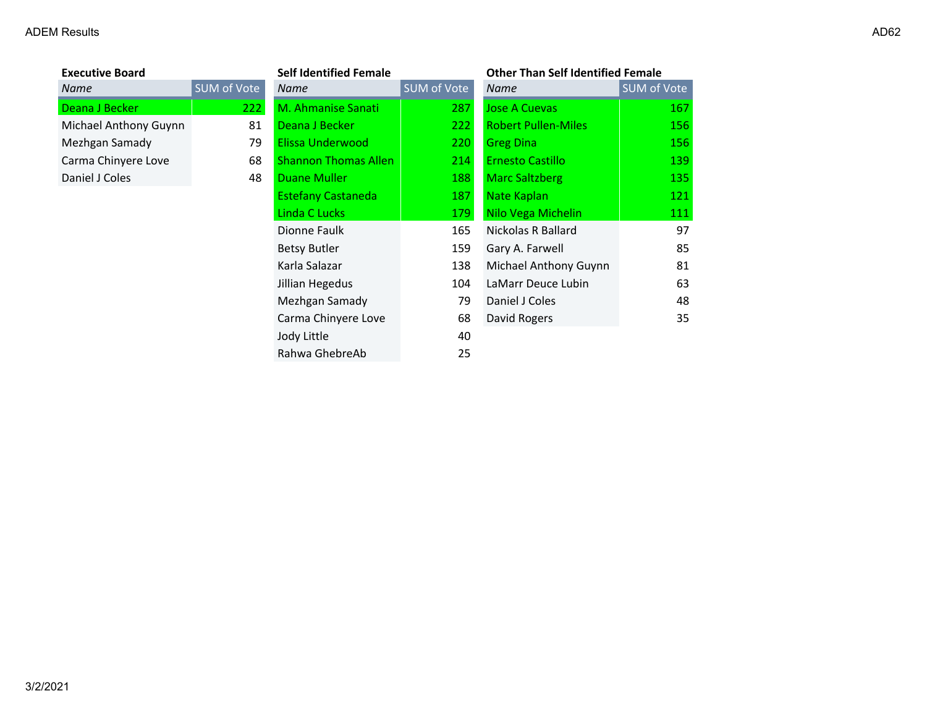| <b>Executive Board</b> |          |
|------------------------|----------|
| Name                   | SUM of \ |
| Deana J Becker         |          |
| Michael Anthony Guynn  |          |
| Mezhgan Samady         |          |
| Carma Chinyere Love    |          |
| Daniel J Coles         |          |
|                        |          |

| <b>Executive Board</b> |                    | <b>Self Identified Female</b> |             | <b>Other Than Self Identified Female</b> |                    |
|------------------------|--------------------|-------------------------------|-------------|------------------------------------------|--------------------|
| Name                   | <b>SUM of Vote</b> | <b>Name</b>                   | SUM of Vote | <b>Name</b>                              | <b>SUM of Vote</b> |
| Deana J Becker         | 222                | M. Ahmanise Sanati            | 287         | <b>Jose A Cuevas</b>                     | 167                |
| Michael Anthony Guynn  | 81                 | Deana J Becker                | 222         | <b>Robert Pullen-Miles</b>               | 156                |
| Mezhgan Samady         | 79                 | Elissa Underwood              | 220         | <b>Greg Dina</b>                         | 156                |
| Carma Chinyere Love    | 68                 | <b>Shannon Thomas Allen</b>   | 214         | <b>Ernesto Castillo</b>                  | 139                |
| Daniel J Coles         | 48                 | <b>Duane Muller</b>           | 188         | <b>Marc Saltzberg</b>                    | 135                |
|                        |                    | <b>Estefany Castaneda</b>     | 187         | Nate Kaplan                              | 121                |
|                        |                    | Linda C Lucks                 | 179         | Nilo Vega Michelin                       | 111                |
|                        |                    | Dionne Faulk                  | 165         | Nickolas R Ballard                       | 97                 |
|                        |                    | <b>Betsy Butler</b>           | 159         | Gary A. Farwell                          | 85                 |
|                        |                    | Karla Salazar                 | 138         | Michael Anthony Guynn                    | 81                 |
|                        |                    | Jillian Hegedus               | 104         | LaMarr Deuce Lubin                       | 63                 |
|                        |                    | Mezhgan Samady                | 79          | Daniel J Coles                           | 48                 |
|                        |                    | Carma Chinyere Love           | 68          | David Rogers                             | 35                 |
|                        |                    | Jody Little                   | 40          |                                          |                    |
|                        |                    | Rahwa GhebreAb                | 25          |                                          |                    |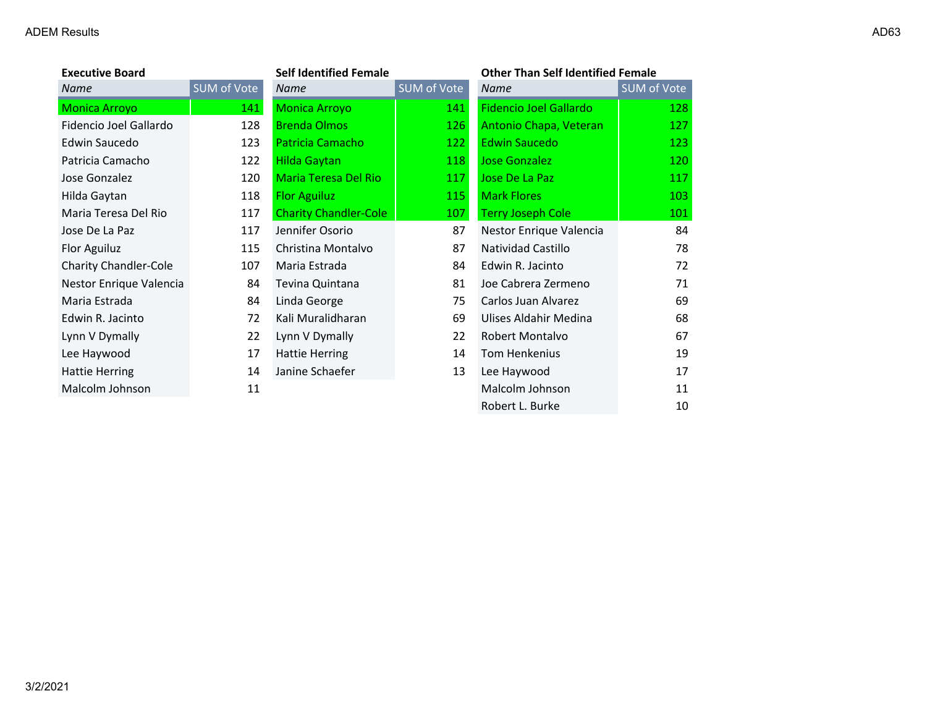| <b>Executive Board</b>       |             | <b>Self Identified Female</b> |             | <b>Other Than Self Identified Female</b> |             |
|------------------------------|-------------|-------------------------------|-------------|------------------------------------------|-------------|
| Name                         | SUM of Vote | Name                          | SUM of Vote | Name                                     | SUM of Vote |
| <b>Monica Arroyo</b>         | 141         | <b>Monica Arroyo</b>          | 141         | <b>Fidencio Joel Gallardo</b>            | 128         |
| Fidencio Joel Gallardo       | 128         | <b>Brenda Olmos</b>           | 126         | Antonio Chapa, Veteran                   | 127         |
| Edwin Saucedo                | 123         | Patricia Camacho              | 122         | <b>Edwin Saucedo</b>                     | 123         |
| Patricia Camacho             | 122         | <b>Hilda Gaytan</b>           | 118         | Jose Gonzalez                            | 120         |
| Jose Gonzalez                | 120         | Maria Teresa Del Rio          | 117         | Jose De La Paz                           | 117         |
| Hilda Gaytan                 | 118         | <b>Flor Aguiluz</b>           | 115         | <b>Mark Flores</b>                       | 103         |
| Maria Teresa Del Rio         | 117         | <b>Charity Chandler-Cole</b>  | 107         | <b>Terry Joseph Cole</b>                 | 101         |
| Jose De La Paz               | 117         | Jennifer Osorio               | 87          | Nestor Enrique Valencia                  | 84          |
| Flor Aguiluz                 | 115         | Christina Montalvo            | 87          | Natividad Castillo                       | 78          |
| <b>Charity Chandler-Cole</b> | 107         | Maria Estrada                 | 84          | Edwin R. Jacinto                         | 72          |
| Nestor Enrique Valencia      | 84          | Tevina Quintana               | 81          | Joe Cabrera Zermeno                      | 71          |
| Maria Estrada                | 84          | Linda George                  | 75          | Carlos Juan Alvarez                      | 69          |
| Edwin R. Jacinto             | 72          | Kali Muralidharan             | 69          | Ulises Aldahir Medina                    | 68          |
| Lynn V Dymally               | 22          | Lynn V Dymally                | 22          | Robert Montalvo                          | 67          |
| Lee Haywood                  | 17          | <b>Hattie Herring</b>         | 14          | Tom Henkenius                            | 19          |
| <b>Hattie Herring</b>        | 14          | Janine Schaefer               | 13          | Lee Haywood                              | 17          |
| Malcolm Johnson              | 11          |                               |             | Malcolm Johnson                          | 11          |
|                              |             |                               |             | Robert L. Burke                          | 10          |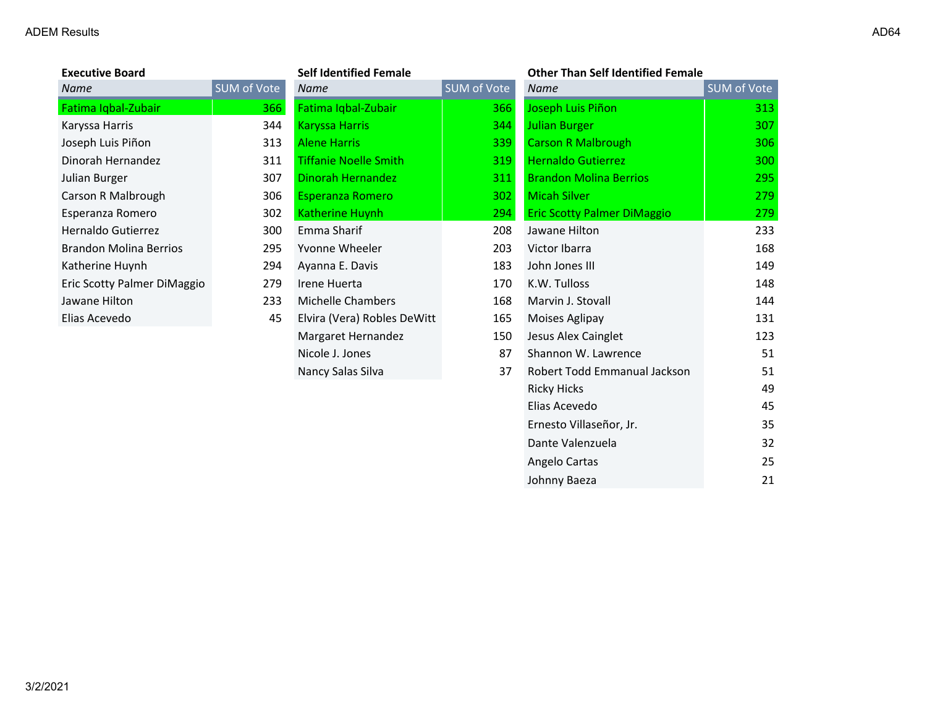| <b>Executive Board</b>        |                    | <b>Self Identified Female</b> |             | <b>Other Than Self Identified Female</b> |                    |
|-------------------------------|--------------------|-------------------------------|-------------|------------------------------------------|--------------------|
| Name                          | <b>SUM of Vote</b> | <b>Name</b>                   | SUM of Vote | <b>Name</b>                              | <b>SUM of Vote</b> |
| Fatima Iqbal-Zubair           | 366                | Fatima Iqbal-Zubair           | 366         | Joseph Luis Piñon                        | 313                |
| Karyssa Harris                | 344                | <b>Karyssa Harris</b>         | 344         | <b>Julian Burger</b>                     | 307                |
| Joseph Luis Piñon             | 313                | <b>Alene Harris</b>           | 339         | <b>Carson R Malbrough</b>                | 306                |
| Dinorah Hernandez             | 311                | <b>Tiffanie Noelle Smith</b>  | 319         | <b>Hernaldo Gutierrez</b>                | 300                |
| Julian Burger                 | 307                | Dinorah Hernandez             | 311         | <b>Brandon Molina Berrios</b>            | 295                |
| Carson R Malbrough            | 306                | <b>Esperanza Romero</b>       | 302         | <b>Micah Silver</b>                      | 279                |
| Esperanza Romero              | 302                | Katherine Huynh               | 294         | <b>Eric Scotty Palmer DiMaggio</b>       | 279                |
| Hernaldo Gutierrez            | 300                | Emma Sharif                   | 208         | Jawane Hilton                            | 233                |
| <b>Brandon Molina Berrios</b> | 295                | Yvonne Wheeler                | 203         | Victor Ibarra                            | 168                |
| Katherine Huynh               | 294                | Ayanna E. Davis               | 183         | John Jones III                           | 149                |
| Eric Scotty Palmer DiMaggio   | 279                | Irene Huerta                  | 170         | K.W. Tulloss                             | 148                |
| Jawane Hilton                 | 233                | <b>Michelle Chambers</b>      | 168         | Marvin J. Stovall                        | 144                |
| Elias Acevedo                 | 45                 | Elvira (Vera) Robles DeWitt   | 165         | Moises Aglipay                           | 131                |
|                               |                    | Margaret Hernandez            | 150         | Jesus Alex Cainglet                      | 123                |
|                               |                    | Nicole J. Jones               | 87          | Shannon W. Lawrence                      | 51                 |
|                               |                    | Nancy Salas Silva             | 37          | Robert Todd Emmanual Jackson             | 51                 |
|                               |                    |                               |             | <b>Ricky Hicks</b>                       | 49                 |
|                               |                    |                               |             | Elias Acevedo                            | 45                 |
|                               |                    |                               |             | Ernesto Villaseñor, Jr.                  | 35                 |

Dante Valenzuela 32 Angelo Cartas 25 Johnny Baeza 21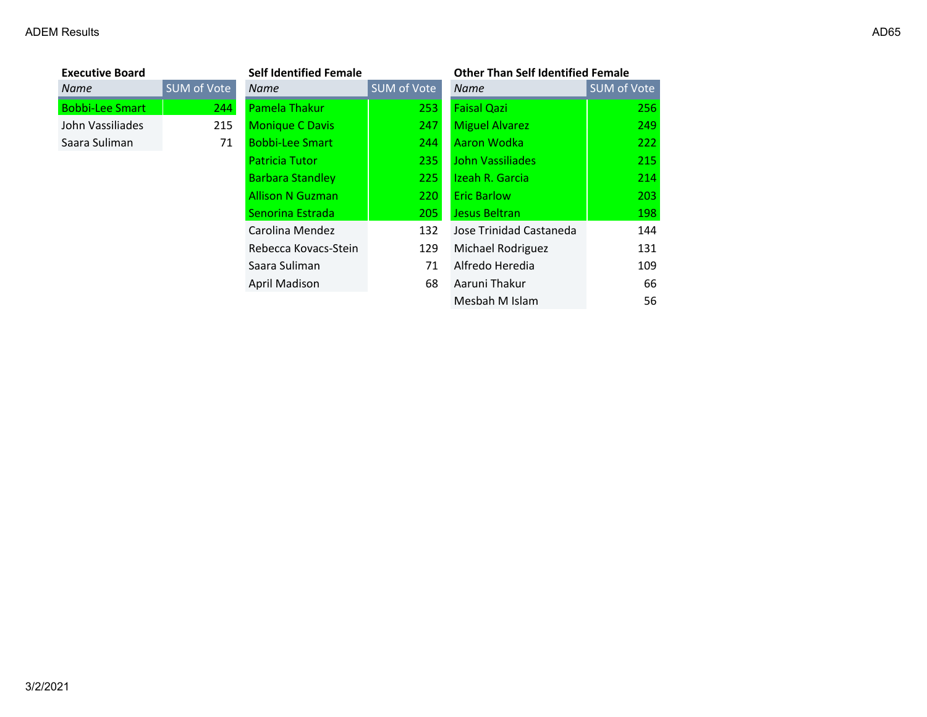| <b>Executive Board</b> |             | <b>Self Identified Female</b> |             | <b>Other Than Self Identified Female</b> |                    |
|------------------------|-------------|-------------------------------|-------------|------------------------------------------|--------------------|
| Name                   | SUM of Vote | <b>Name</b>                   | SUM of Vote | <b>Name</b>                              | <b>SUM of Vote</b> |
| <b>Bobbi-Lee Smart</b> | 244         | Pamela Thakur                 | 253         | <b>Faisal Qazi</b>                       | 256                |
| John Vassiliades       | 215         | <b>Monique C Davis</b>        | 247         | <b>Miguel Alvarez</b>                    | 249                |
| Saara Suliman          | 71          | <b>Bobbi-Lee Smart</b>        | 244         | Aaron Wodka                              | 222                |
|                        |             | <b>Patricia Tutor</b>         | 235         | John Vassiliades                         | 215                |
|                        |             | <b>Barbara Standley</b>       | 225         | Izeah R. Garcia                          | 214                |
|                        |             | <b>Allison N Guzman</b>       | 220         | <b>Eric Barlow</b>                       | 203                |
|                        |             | Senorina Estrada              | 205         | Jesus Beltran                            | 198                |
|                        |             | Carolina Mendez               | 132         | Jose Trinidad Castaneda                  | 144                |
|                        |             | Rebecca Kovacs-Stein          | 129         | Michael Rodriguez                        | 131                |
|                        |             | Saara Suliman                 | 71          | Alfredo Heredia                          | 109                |
|                        |             | April Madison                 | 68          | Aaruni Thakur                            | 66                 |
|                        |             |                               |             | Mesbah M Islam                           | 56                 |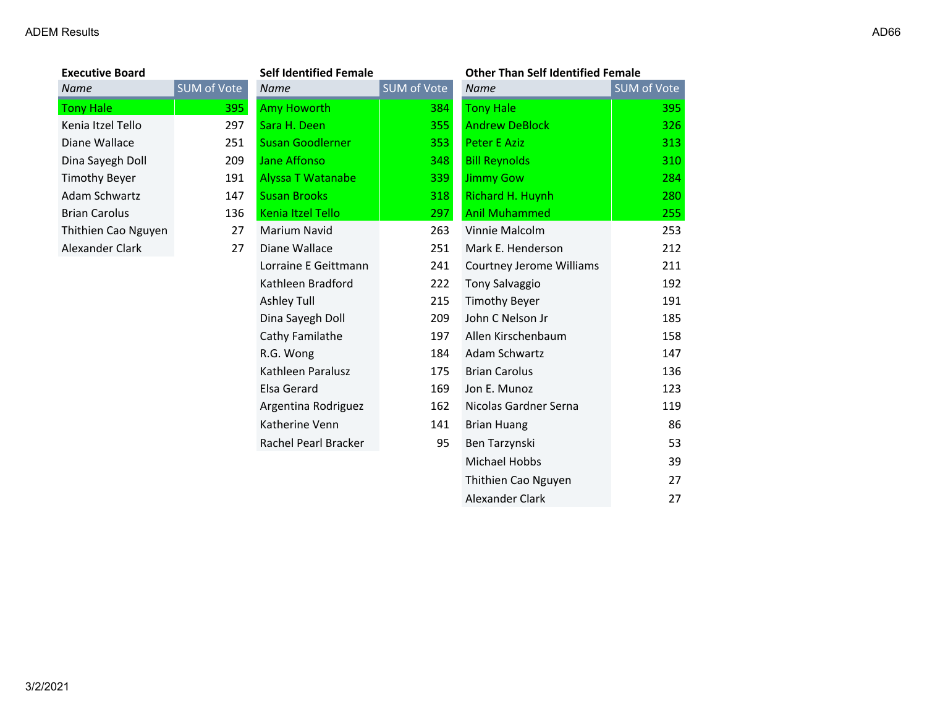| <b>Executive Board</b> |            |
|------------------------|------------|
| Name                   | <b>SUM</b> |
| <b>Tony Hale</b>       |            |
| Kenia Itzel Tello      |            |
| Diane Wallace          |            |
| Dina Sayegh Doll       |            |
| <b>Timothy Beyer</b>   |            |
| Adam Schwartz          |            |
| <b>Brian Carolus</b>   |            |
| Thithien Cao Nguyen    |            |
| Alexander Clark        |            |

| <b>Executive Board</b> |                    | <b>Self Identified Female</b> |                    | <b>Other Than Self Identified Female</b> |             |
|------------------------|--------------------|-------------------------------|--------------------|------------------------------------------|-------------|
| Name                   | <b>SUM of Vote</b> | <b>Name</b>                   | <b>SUM of Vote</b> | <b>Name</b>                              | SUM of Vote |
| <b>Tony Hale</b>       | <b>395</b>         | <b>Amy Howorth</b>            | 384                | <b>Tony Hale</b>                         | 395         |
| Kenia Itzel Tello      | 297                | Sara H. Deen                  | 355                | <b>Andrew DeBlock</b>                    | 326         |
| Diane Wallace          | 251                | <b>Susan Goodlerner</b>       | 353                | Peter E Aziz                             | 313         |
| Dina Sayegh Doll       | 209                | <b>Jane Affonso</b>           | 348                | <b>Bill Reynolds</b>                     | 310         |
| <b>Timothy Beyer</b>   | 191                | <b>Alyssa T Watanabe</b>      | 339                | <b>Jimmy Gow</b>                         | 284         |
| Adam Schwartz          | 147                | <b>Susan Brooks</b>           | 318                | Richard H. Huynh                         | 280         |
| <b>Brian Carolus</b>   | 136                | Kenia Itzel Tello             | 297                | <b>Anil Muhammed</b>                     | 255         |
| Thithien Cao Nguyen    | 27                 | Marium Navid                  | 263                | Vinnie Malcolm                           | 253         |
| Alexander Clark        | 27                 | Diane Wallace                 | 251                | Mark E. Henderson                        | 212         |
|                        |                    | Lorraine E Geittmann          | 241                | Courtney Jerome Williams                 | 211         |
|                        |                    | Kathleen Bradford             | 222                | <b>Tony Salvaggio</b>                    | 192         |
|                        |                    | Ashley Tull                   | 215                | <b>Timothy Beyer</b>                     | 191         |
|                        |                    | Dina Sayegh Doll              | 209                | John C Nelson Jr                         | 185         |
|                        |                    | Cathy Familathe               | 197                | Allen Kirschenbaum                       | 158         |
|                        |                    | R.G. Wong                     | 184                | Adam Schwartz                            | 147         |
|                        |                    | Kathleen Paralusz             | 175                | <b>Brian Carolus</b>                     | 136         |
|                        |                    | Elsa Gerard                   | 169                | Jon E. Munoz                             | 123         |
|                        |                    | Argentina Rodriguez           | 162                | Nicolas Gardner Serna                    | 119         |
|                        |                    | Katherine Venn                | 141                | <b>Brian Huang</b>                       | 86          |
|                        |                    | Rachel Pearl Bracker          | 95                 | Ben Tarzynski                            | 53          |
|                        |                    |                               |                    | Michael Hobbs                            | 39          |
|                        |                    |                               |                    | Thithien Cao Nguyen                      | 27          |
|                        |                    |                               |                    | Alexander Clark                          | 27          |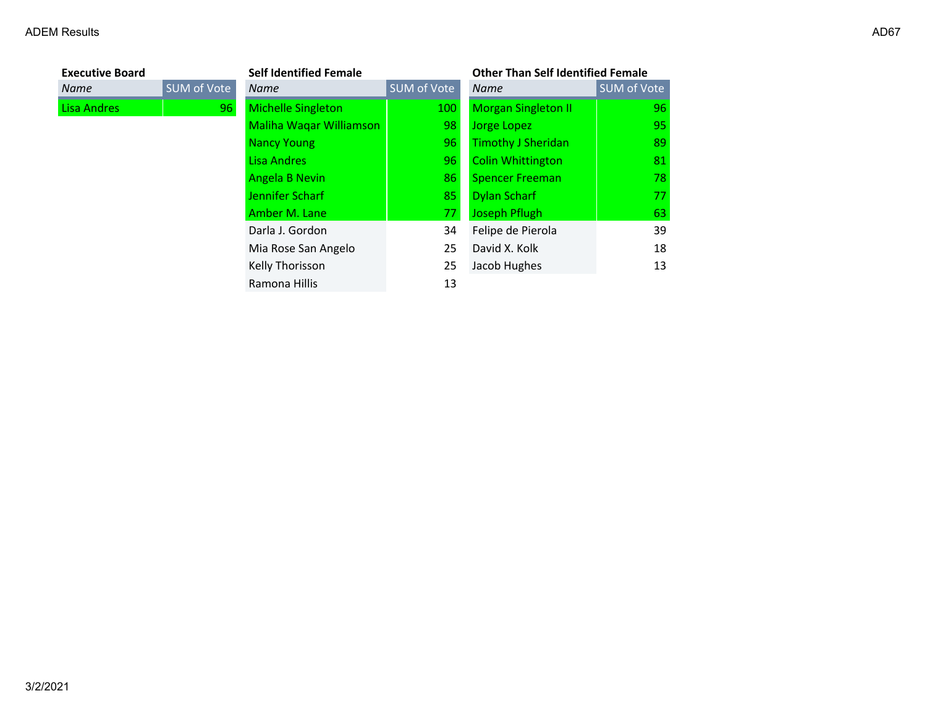| <b>Executive Board</b> |             | <b>Self Identified Female</b> |             | <b>Other Than Self Identified Female</b> |                    |
|------------------------|-------------|-------------------------------|-------------|------------------------------------------|--------------------|
| <b>Name</b>            | SUM of Vote | <b>Name</b>                   | SUM of Vote | <b>Name</b>                              | <b>SUM of Vote</b> |
| Lisa Andres            | 96          | <b>Michelle Singleton</b>     | 100         | <b>Morgan Singleton II</b>               | 96                 |
|                        |             | Maliha Waqar Williamson       | 98          | Jorge Lopez                              | 95                 |
|                        |             | Nancy Young                   | 96          | <b>Timothy J Sheridan</b>                | 89                 |
|                        |             | Lisa Andres                   | 96          | <b>Colin Whittington</b>                 | 81                 |
|                        |             | Angela B Nevin                | 86          | <b>Spencer Freeman</b>                   | 78                 |
|                        |             | Jennifer Scharf               | 85          | <b>Dylan Scharf</b>                      | 77                 |
|                        |             | Amber M. Lane                 | 77          | <b>Joseph Pflugh</b>                     | 63                 |
|                        |             | Darla J. Gordon               | 34          | Felipe de Pierola                        | 39                 |
|                        |             | Mia Rose San Angelo           | 25          | David X. Kolk                            | 18                 |
|                        |             | Kelly Thorisson               | 25          | Jacob Hughes                             | 13                 |
|                        |             | Ramona Hillis                 | 13          |                                          |                    |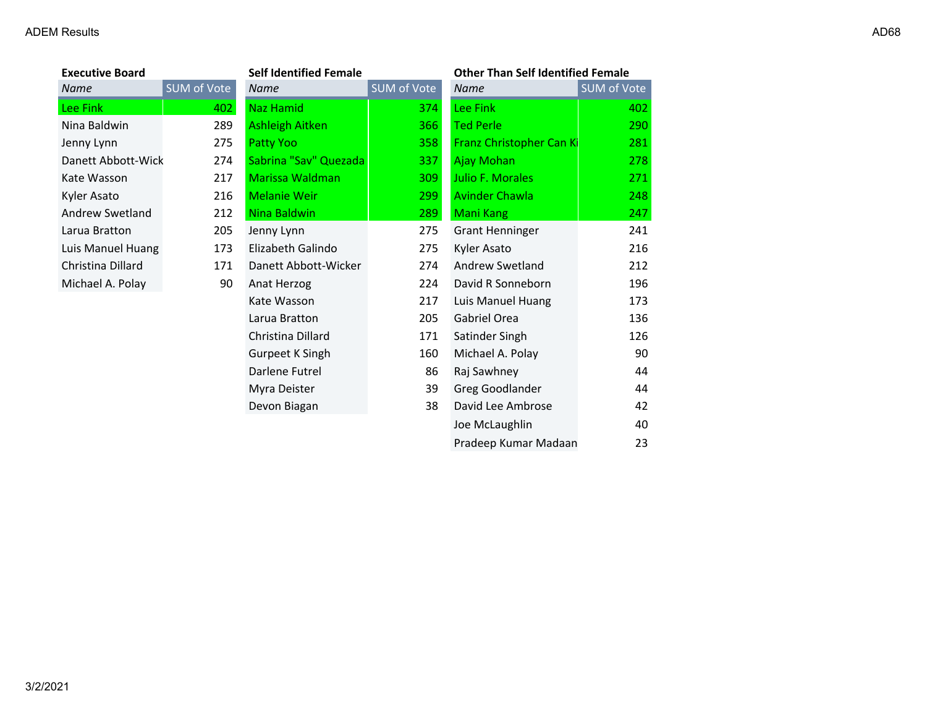| <b>Executive Board</b> |             | <b>Self Identified Female</b> |             | <b>Other Than Self Identified Female</b> |             |
|------------------------|-------------|-------------------------------|-------------|------------------------------------------|-------------|
| Name                   | SUM of Vote | Name                          | SUM of Vote | <b>Name</b>                              | SUM of Vote |
| Lee Fink               | 402         | <b>Naz Hamid</b>              | 374         | Lee Fink                                 | 402         |
| Nina Baldwin           | 289         | <b>Ashleigh Aitken</b>        | 366         | <b>Ted Perle</b>                         | 290         |
| Jenny Lynn             | 275         | Patty Yoo                     | 358         | Franz Christopher Can Ki                 | 281         |
| Danett Abbott-Wick     | 274         | Sabrina "Sav" Quezada         | 337         | Ajay Mohan                               | 278         |
| Kate Wasson            | 217         | <b>Marissa Waldman</b>        | 309         | Julio F. Morales                         | 271         |
| Kyler Asato            | 216         | <b>Melanie Weir</b>           | 299         | <b>Avinder Chawla</b>                    | 248         |
| Andrew Swetland        | 212         | Nina Baldwin                  | 289         | <b>Mani Kang</b>                         | 247         |
| Larua Bratton          | 205         | Jenny Lynn                    | 275         | <b>Grant Henninger</b>                   | 241         |
| Luis Manuel Huang      | 173         | Elizabeth Galindo             | 275         | Kyler Asato                              | 216         |
| Christina Dillard      | 171         | Danett Abbott-Wicker          | 274         | <b>Andrew Swetland</b>                   | 212         |
| Michael A. Polay       | 90          | Anat Herzog                   | 224         | David R Sonneborn                        | 196         |
|                        |             | Kate Wasson                   | 217         | Luis Manuel Huang                        | 173         |
|                        |             | Larua Bratton                 | 205         | Gabriel Orea                             | 136         |
|                        |             | Christina Dillard             | 171         | Satinder Singh                           | 126         |
|                        |             | Gurpeet K Singh               | 160         | Michael A. Polay                         | 90          |
|                        |             | Darlene Futrel                | 86          | Raj Sawhney                              | 44          |
|                        |             | Myra Deister                  | 39          | Greg Goodlander                          | 44          |
|                        |             | Devon Biagan                  | 38          | David Lee Ambrose                        | 42          |
|                        |             |                               |             | Joe McLaughlin                           | 40          |
|                        |             |                               |             | Pradeep Kumar Madaan                     | 23          |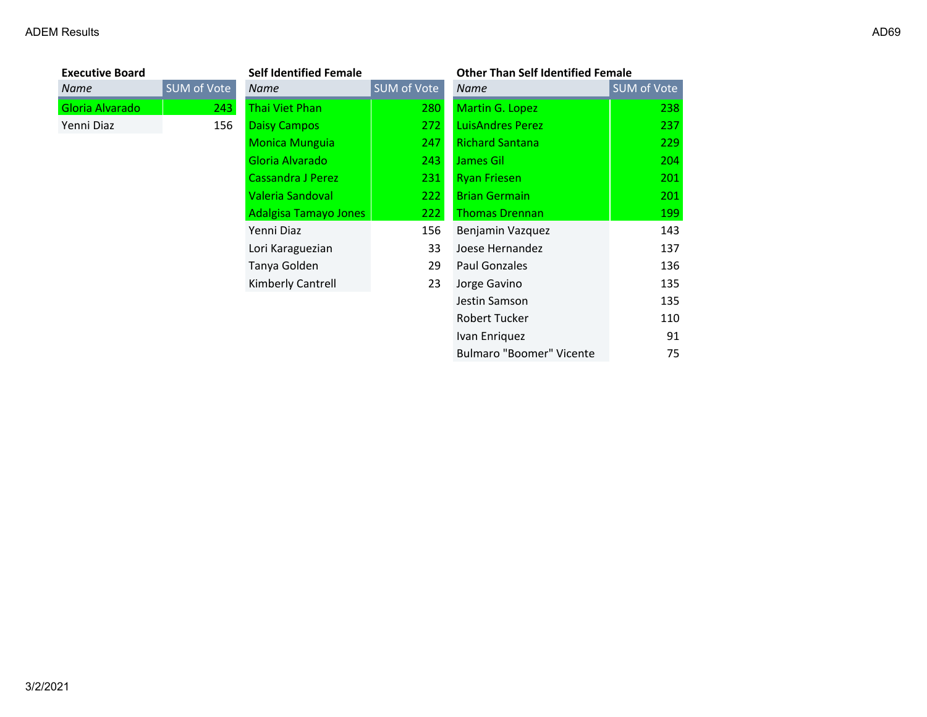| <b>Executive Board</b> |                    | <b>Self Identified Female</b> |             | <b>Other Than Self Identified Female</b> |             |
|------------------------|--------------------|-------------------------------|-------------|------------------------------------------|-------------|
| Name                   | <b>SUM of Vote</b> | Name                          | SUM of Vote | Name                                     | SUM of Vote |
| Gloria Alvarado        | 243                | Thai Viet Phan                | 280         | Martin G. Lopez                          | 238         |
| Yenni Diaz             | 156                | <b>Daisy Campos</b>           | 272         | <b>LuisAndres Perez</b>                  | 237         |
|                        |                    | <b>Monica Munguia</b>         | 247         | <b>Richard Santana</b>                   | 229         |
|                        |                    | Gloria Alvarado               | 243         | James Gil                                | 204         |
|                        |                    | Cassandra J Perez             | 231         | <b>Ryan Friesen</b>                      | 201         |
|                        |                    | Valeria Sandoval              | 222         | <b>Brian Germain</b>                     | 201         |
|                        |                    | <b>Adalgisa Tamayo Jones</b>  | 222         | <b>Thomas Drennan</b>                    | 199         |
|                        |                    | Yenni Diaz                    | 156         | Benjamin Vazquez                         | 143         |
|                        |                    | Lori Karaguezian              | 33          | Joese Hernandez                          | 137         |
|                        |                    | Tanya Golden                  | 29          | Paul Gonzales                            | 136         |
|                        |                    | Kimberly Cantrell             | 23          | Jorge Gavino                             | 135         |
|                        |                    |                               |             | Jestin Samson                            | 135         |
|                        |                    |                               |             | Robert Tucker                            | 110         |
|                        |                    |                               |             | Ivan Enriquez                            | 91          |
|                        |                    |                               |             | <b>Bulmaro "Boomer" Vicente</b>          | 75          |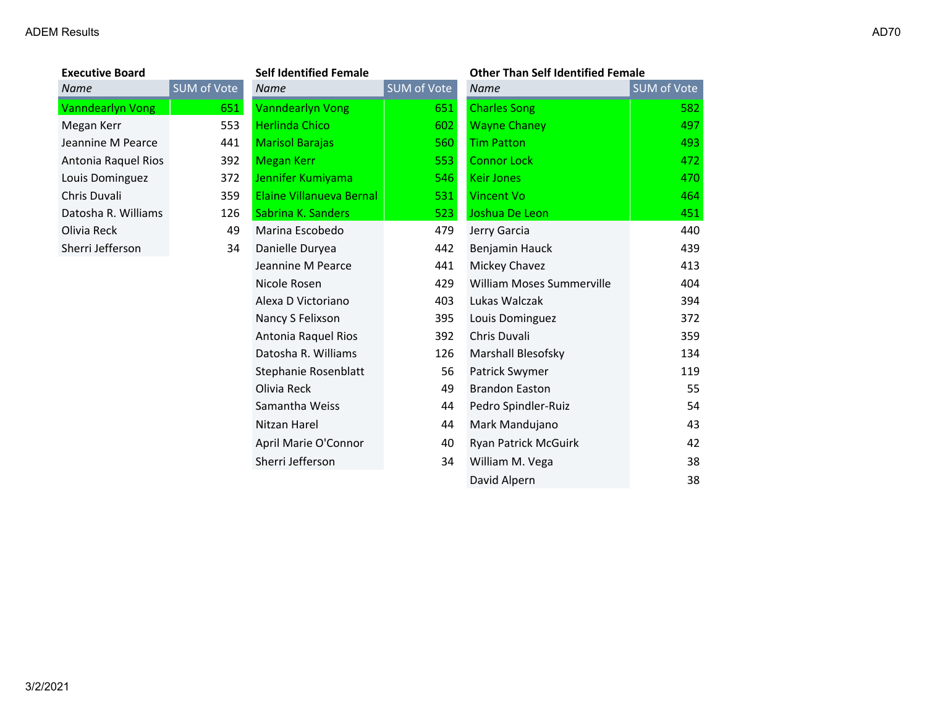| <b>Executive Board</b>  |        |
|-------------------------|--------|
| Name                    | SUM of |
| <b>Vanndearlyn Vong</b> |        |
| Megan Kerr              |        |
| Jeannine M Pearce       |        |
| Antonia Raquel Rios     |        |
| Louis Dominguez         |        |
| Chris Duvali            |        |
| Datosha R. Williams     |        |
| Olivia Reck             |        |
| Sherri Jefferson        |        |

| <b>Executive Board</b> |                    | <b>Self Identified Female</b> |             | <b>Other Than Self Identified Female</b> |             |
|------------------------|--------------------|-------------------------------|-------------|------------------------------------------|-------------|
| Name                   | <b>SUM of Vote</b> | <b>Name</b>                   | SUM of Vote | Name                                     | SUM of Vote |
| Vanndearlyn Vong       | 651                | <b>Vanndearlyn Vong</b>       | 651         | <b>Charles Song</b>                      | 582         |
| Megan Kerr             | 553                | <b>Herlinda Chico</b>         | 602         | <b>Wayne Chaney</b>                      | 497         |
| Jeannine M Pearce      | 441                | <b>Marisol Barajas</b>        | 560         | <b>Tim Patton</b>                        | 493         |
| Antonia Raquel Rios    | 392                | <b>Megan Kerr</b>             | 553         | <b>Connor Lock</b>                       | 472         |
| Louis Dominguez        | 372                | Jennifer Kumiyama             | 546         | <b>Keir Jones</b>                        | 470         |
| Chris Duvali           | 359                | Elaine Villanueva Bernal      | 531         | <b>Vincent Vo</b>                        | 464         |
| Datosha R. Williams    | 126                | Sabrina K. Sanders            | 523         | Joshua De Leon                           | 451         |
| Olivia Reck            | 49                 | Marina Escobedo               | 479         | Jerry Garcia                             | 440         |
| Sherri Jefferson       | 34                 | Danielle Duryea               | 442         | Benjamin Hauck                           | 439         |
|                        |                    | Jeannine M Pearce             | 441         | Mickey Chavez                            | 413         |
|                        |                    | Nicole Rosen                  | 429         | William Moses Summerville                | 404         |
|                        |                    | Alexa D Victoriano            | 403         | Lukas Walczak                            | 394         |
|                        |                    | Nancy S Felixson              | 395         | Louis Dominguez                          | 372         |
|                        |                    | Antonia Raquel Rios           | 392         | Chris Duvali                             | 359         |
|                        |                    | Datosha R. Williams           | 126         | Marshall Blesofsky                       | 134         |
|                        |                    | Stephanie Rosenblatt          | 56          | Patrick Swymer                           | 119         |
|                        |                    | Olivia Reck                   | 49          | <b>Brandon Easton</b>                    | 55          |
|                        |                    | Samantha Weiss                | 44          | Pedro Spindler-Ruiz                      | 54          |
|                        |                    | Nitzan Harel                  | 44          | Mark Mandujano                           | 43          |
|                        |                    | April Marie O'Connor          | 40          | Ryan Patrick McGuirk                     | 42          |
|                        |                    | Sherri Jefferson              | 34          | William M. Vega                          | 38          |
|                        |                    |                               |             | David Alpern                             | 38          |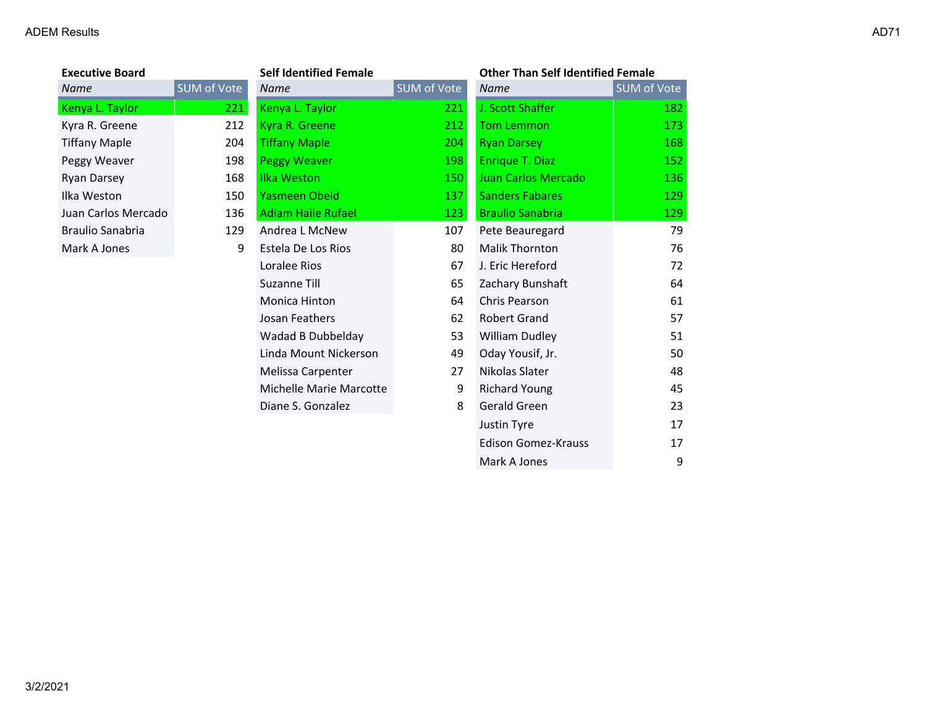**Executive Board**<br>**Name** 

| <b>Executive Board</b>  |             | <b>Self Identified Female</b> |             | <b>Other Than Self Identified Female</b> |                    |
|-------------------------|-------------|-------------------------------|-------------|------------------------------------------|--------------------|
| <b>Name</b>             | SUM of Vote | Name                          | SUM of Vote | <b>Name</b>                              | <b>SUM of Vote</b> |
| Kenya L. Taylor         | 221         | Kenya L. Taylor               | 221         | J. Scott Shaffer                         | 182                |
| Kyra R. Greene          | 212         | Kyra R. Greene                | 212         | <b>Tom Lemmon</b>                        | 173                |
| <b>Tiffany Maple</b>    | 204         | <b>Tiffany Maple</b>          | 204         | <b>Ryan Darsey</b>                       | 168                |
| Peggy Weaver            | 198         | <b>Peggy Weaver</b>           | 198         | Enrique T. Diaz                          | 152                |
| Ryan Darsey             | 168         | Ilka Weston                   | 150         | Juan Carlos Mercado                      | 136                |
| Ilka Weston             | 150         | <b>Yasmeen Obeid</b>          | 137         | <b>Sanders Fabares</b>                   | <b>129</b>         |
| Juan Carlos Mercado     | 136         | <b>Adiam Haile Rufael</b>     | 123         | <b>Braulio Sanabria</b>                  | 129                |
| <b>Braulio Sanabria</b> | 129         | Andrea L McNew                | 107         | Pete Beauregard                          | 79                 |
| Mark A Jones            | 9           | Estela De Los Rios            | 80          | <b>Malik Thornton</b>                    | 76                 |
|                         |             | Loralee Rios                  | 67          | J. Eric Hereford                         | 72                 |
|                         |             | Suzanne Till                  | 65          | Zachary Bunshaft                         | 64                 |
|                         |             | Monica Hinton                 | 64          | Chris Pearson                            | 61                 |
|                         |             | Josan Feathers                | 62          | <b>Robert Grand</b>                      | 57                 |
|                         |             | Wadad B Dubbelday             | 53          | <b>William Dudley</b>                    | 51                 |
|                         |             | Linda Mount Nickerson         | 49          | Oday Yousif, Jr.                         | 50                 |
|                         |             | Melissa Carpenter             | 27          | Nikolas Slater                           | 48                 |
|                         |             | Michelle Marie Marcotte       | 9           | <b>Richard Young</b>                     | 45                 |
|                         |             | Diane S. Gonzalez             | 8           | Gerald Green                             | 23                 |
|                         |             |                               |             | Justin Tyre                              | 17                 |
|                         |             |                               |             | <b>Edison Gomez-Krauss</b>               | 17                 |
|                         |             |                               |             | Mark A Jones                             | 9                  |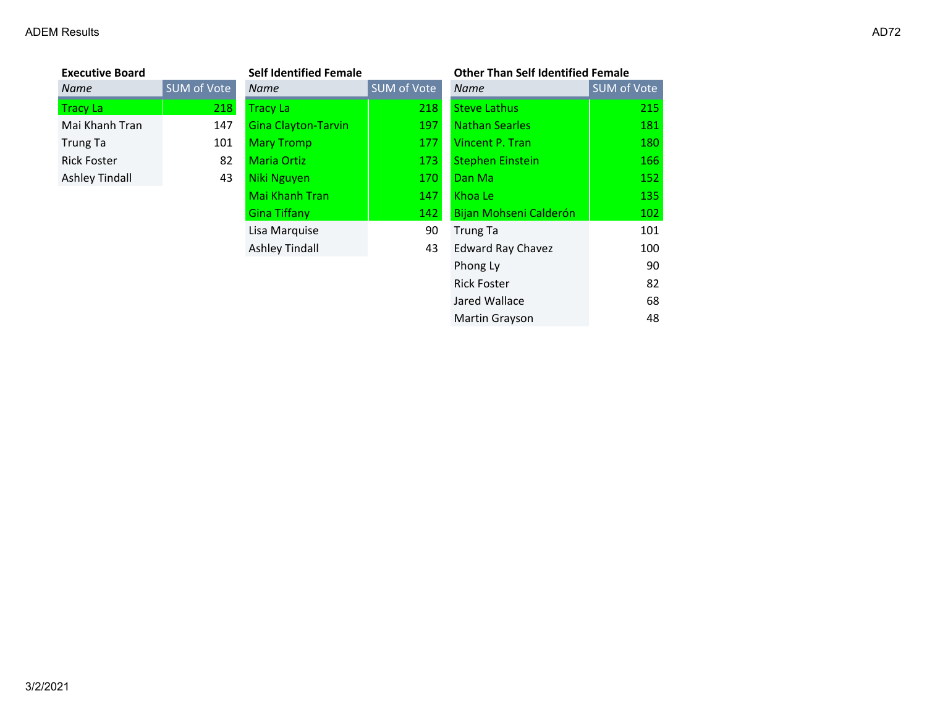| <b>Executive Board</b> |             | <b>Self Identified Female</b> |             | <b>Other Than Self Identified Female</b> |                    |
|------------------------|-------------|-------------------------------|-------------|------------------------------------------|--------------------|
| Name                   | SUM of Vote | <b>Name</b>                   | SUM of Vote | <b>Name</b>                              | <b>SUM of Vote</b> |
| Tracy La               | 218         | <b>Tracy La</b>               | 218         | <b>Steve Lathus</b>                      | 215                |
| Mai Khanh Tran         | 147         | <b>Gina Clayton-Tarvin</b>    | 197         | <b>Nathan Searles</b>                    | 181                |
| Trung Ta               | 101         | <b>Mary Tromp</b>             | 177         | Vincent P. Tran                          | 180                |
| <b>Rick Foster</b>     | 82          | <b>Maria Ortiz</b>            | 173         | <b>Stephen Einstein</b>                  | 166                |
| <b>Ashley Tindall</b>  | 43          | Niki Nguyen                   | 170         | Dan Ma                                   | 152                |
|                        |             | <b>Mai Khanh Tran</b>         | 147         | Khoa Le                                  | 135                |
|                        |             | <b>Gina Tiffany</b>           | 142         | Bijan Mohseni Calderón                   | 102                |
|                        |             | Lisa Marquise                 | 90          | Trung Ta                                 | 101                |
|                        |             | <b>Ashley Tindall</b>         | 43          | <b>Edward Ray Chavez</b>                 | 100                |
|                        |             |                               |             | Phong Ly                                 | 90                 |
|                        |             |                               |             | <b>Rick Foster</b>                       | 82                 |
|                        |             |                               |             | Jared Wallace                            | 68                 |

Martin Grayson 48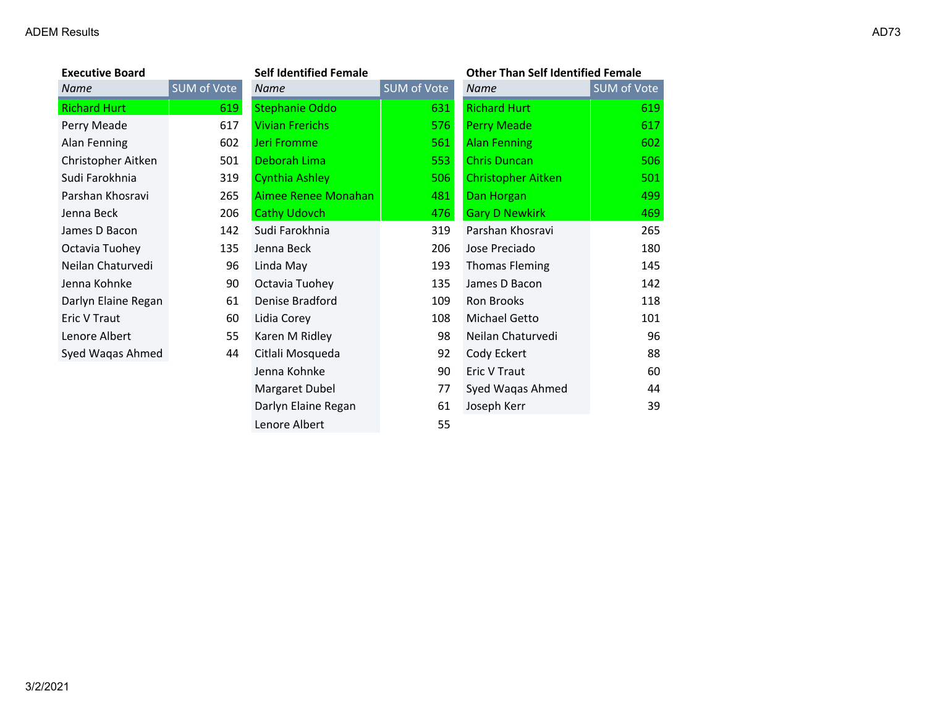| <b>Executive Board</b> |             | <b>Self Identified Female</b> |             | <b>Other Than Self Identified Female</b> |             |
|------------------------|-------------|-------------------------------|-------------|------------------------------------------|-------------|
| Name                   | SUM of Vote | <b>Name</b>                   | SUM of Vote | <b>Name</b>                              | SUM of Vote |
| <b>Richard Hurt</b>    | 619         | <b>Stephanie Oddo</b>         | 631         | <b>Richard Hurt</b>                      | 619         |
| Perry Meade            | 617         | <b>Vivian Frerichs</b>        | 576         | <b>Perry Meade</b>                       | 617         |
| Alan Fenning           | 602         | Jeri Fromme                   | 561         | <b>Alan Fenning</b>                      | 602         |
| Christopher Aitken     | 501         | Deborah Lima                  | 553         | <b>Chris Duncan</b>                      | 506         |
| Sudi Farokhnia         | 319         | <b>Cynthia Ashley</b>         | 506         | <b>Christopher Aitken</b>                | 501         |
| Parshan Khosravi       | 265         | Aimee Renee Monahan           | 481         | Dan Horgan                               | 499         |
| Jenna Beck             | 206         | <b>Cathy Udovch</b>           | 476         | <b>Gary D Newkirk</b>                    | 469         |
| James D Bacon          | 142         | Sudi Farokhnia                | 319         | Parshan Khosravi                         | 265         |
| Octavia Tuohey         | 135         | Jenna Beck                    | 206         | Jose Preciado                            | 180         |
| Neilan Chaturvedi      | 96          | Linda May                     | 193         | <b>Thomas Fleming</b>                    | 145         |
| Jenna Kohnke           | 90          | Octavia Tuohey                | 135         | James D Bacon                            | 142         |
| Darlyn Elaine Regan    | 61          | Denise Bradford               | 109         | Ron Brooks                               | 118         |
| Eric V Traut           | 60          | Lidia Corey                   | 108         | Michael Getto                            | 101         |
| Lenore Albert          | 55          | Karen M Ridley                | 98          | Neilan Chaturvedi                        | 96          |
| Syed Waqas Ahmed       | 44          | Citlali Mosqueda              | 92          | Cody Eckert                              | 88          |
|                        |             | Jenna Kohnke                  | 90          | Eric V Traut                             | 60          |
|                        |             | Margaret Dubel                | 77          | Syed Waqas Ahmed                         | 44          |
|                        |             | Darlyn Elaine Regan           | 61          | Joseph Kerr                              | 39          |
|                        |             | Lenore Albert                 | 55          |                                          |             |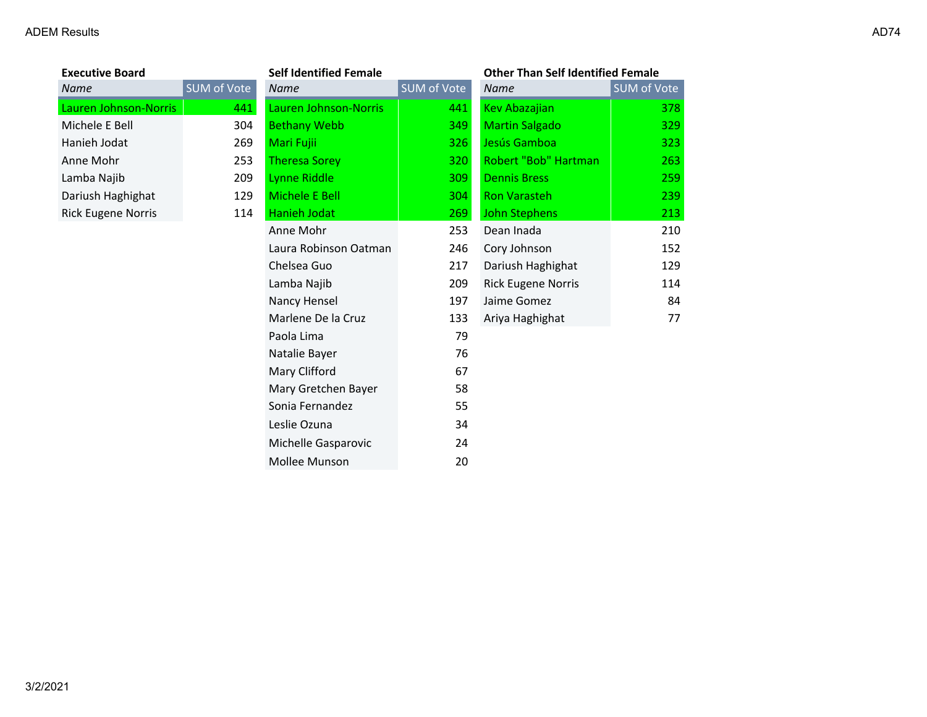| <b>Executive Board</b>    |                   |
|---------------------------|-------------------|
| Name                      | <b>SUM of Vot</b> |
| Lauren Johnson-Norris     | 44                |
| Michele E Bell            | 30                |
| Hanieh Jodat              | 26                |
| Anne Mohr                 | 25                |
| Lamba Najib               | 20                |
| Dariush Haghighat         | 12                |
| <b>Rick Eugene Norris</b> | 11                |
|                           |                   |

| <b>Executive Board</b>    |             | <b>Self Identified Female</b> |             | <b>Other Than Self Identified Female</b> |             |
|---------------------------|-------------|-------------------------------|-------------|------------------------------------------|-------------|
| Name                      | SUM of Vote | <b>Name</b>                   | SUM of Vote | <b>Name</b>                              | SUM of Vote |
| Lauren Johnson-Norris     | 441         | Lauren Johnson-Norris         | 441         | <b>Kev Abazajian</b>                     | 378         |
| Michele E Bell            | 304         | <b>Bethany Webb</b>           | 349         | <b>Martin Salgado</b>                    | 329         |
| Hanieh Jodat              | 269         | Mari Fujii                    | 326         | Jesús Gamboa                             | 323         |
| Anne Mohr                 | 253         | <b>Theresa Sorey</b>          | 320         | Robert "Bob" Hartman                     | 263         |
| Lamba Najib               | 209         | Lynne Riddle                  | 309         | <b>Dennis Bress</b>                      | 259         |
| Dariush Haghighat         | 129         | Michele E Bell                | 304         | <b>Ron Varasteh</b>                      | 239         |
| <b>Rick Eugene Norris</b> | 114         | Hanieh Jodat                  | 269         | <b>John Stephens</b>                     | 213         |
|                           |             | Anne Mohr                     | 253         | Dean Inada                               | 210         |
|                           |             | Laura Robinson Oatman         | 246         | Cory Johnson                             | 152         |
|                           |             | Chelsea Guo                   | 217         | Dariush Haghighat                        | 129         |
|                           |             | Lamba Najib                   | 209         | <b>Rick Eugene Norris</b>                | 114         |
|                           |             | Nancy Hensel                  | 197         | Jaime Gomez                              | 84          |
|                           |             | Marlene De la Cruz            | 133         | Ariya Haghighat                          | 77          |
|                           |             | Paola Lima                    | 79          |                                          |             |
|                           |             | Natalie Bayer                 | 76          |                                          |             |
|                           |             | Mary Clifford                 | 67          |                                          |             |
|                           |             | Mary Gretchen Bayer           | 58          |                                          |             |
|                           |             | Sonia Fernandez               | 55          |                                          |             |
|                           |             | Leslie Ozuna                  | 34          |                                          |             |
|                           |             | Michelle Gasparovic           | 24          |                                          |             |
|                           |             | Mollee Munson                 | 20          |                                          |             |

| <i>ivame</i>              | <b>SUIVEOL VOLE</b> |
|---------------------------|---------------------|
| <b>Kev Abazajian</b>      | 378                 |
| <b>Martin Salgado</b>     | 329                 |
| Jesús Gamboa              | 323                 |
| Robert "Bob" Hartman      | 263                 |
| <b>Dennis Bress</b>       | 259                 |
| Ron Varasteh              | 239                 |
| <b>John Stephens</b>      | 213                 |
| Dean Inada                | 210                 |
| Cory Johnson              | 152                 |
| Dariush Haghighat         | 129                 |
| <b>Rick Eugene Norris</b> | 114                 |
| Jaime Gomez               | 84                  |
| Ariya Haghighat           | 77                  |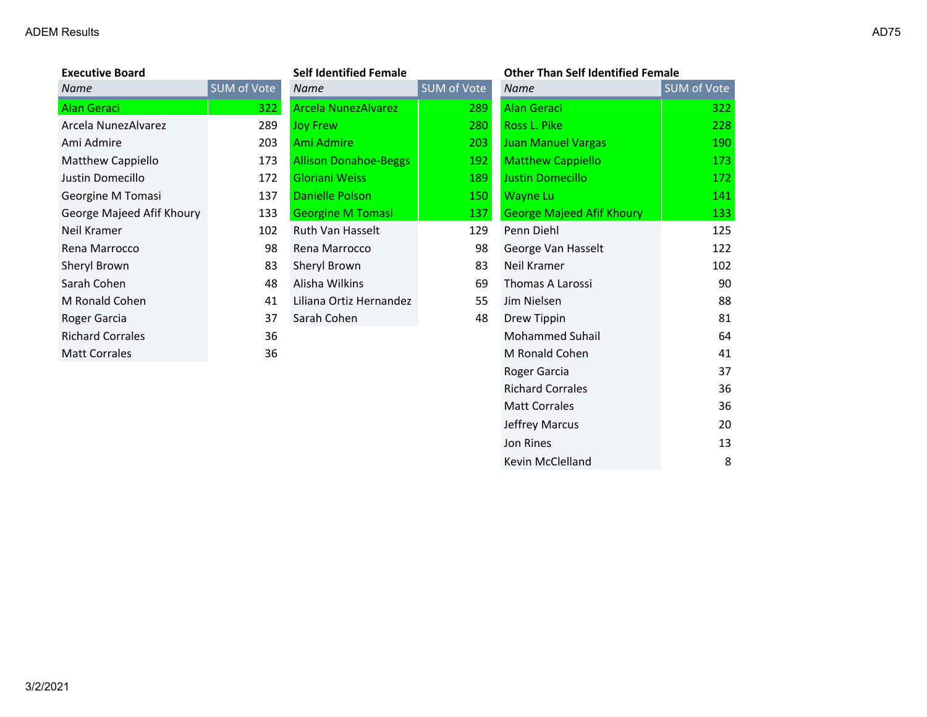| <b>Executive Board</b>    |             | <b>Self Identified Female</b> |             | <b>Other Than Self Identified Female</b> |             |
|---------------------------|-------------|-------------------------------|-------------|------------------------------------------|-------------|
| Name                      | SUM of Vote | Name                          | SUM of Vote | Name                                     | SUM of Vote |
| Alan Geraci               | 322.        | <b>Arcela NunezAlvarez</b>    | 289         | <b>Alan Geraci</b>                       | 322         |
| Arcela NunezAlvarez       | 289         | <b>Joy Frew</b>               | 280         | Ross L. Pike                             | 228         |
| Ami Admire                | 203         | Ami Admire                    | 203         | <b>Juan Manuel Vargas</b>                | 190         |
| Matthew Cappiello         | 173         | <b>Allison Donahoe-Beggs</b>  | 192         | <b>Matthew Cappiello</b>                 | 173         |
| Justin Domecillo          | 172         | <b>Gloriani Weiss</b>         | 189         | <b>Justin Domecillo</b>                  | 172         |
| Georgine M Tomasi         | 137         | <b>Danielle Polson</b>        | 150         | <b>Wayne Lu</b>                          | 141         |
| George Majeed Afif Khoury | 133         | <b>Georgine M Tomasi</b>      | 137         | <b>George Majeed Afif Khoury</b>         | 133         |
| Neil Kramer               | 102         | Ruth Van Hasselt              | 129         | Penn Diehl                               | 125         |
| Rena Marrocco             | 98          | Rena Marrocco                 | 98          | George Van Hasselt                       | 122         |
| Sheryl Brown              | 83          | Sheryl Brown                  | 83          | Neil Kramer                              | 102         |
| Sarah Cohen               | 48          | Alisha Wilkins                | 69          | Thomas A Larossi                         | 90          |
| M Ronald Cohen            | 41          | Liliana Ortiz Hernandez       | 55          | Jim Nielsen                              | 88          |
| Roger Garcia              | 37          | Sarah Cohen                   | 48          | Drew Tippin                              | 81          |
| <b>Richard Corrales</b>   | 36          |                               |             | <b>Mohammed Suhail</b>                   | 64          |
| <b>Matt Corrales</b>      | 36          |                               |             | M Ronald Cohen                           | 41          |
|                           |             |                               |             | Roger Garcia                             | 37          |
|                           |             |                               |             | <b>Richard Corrales</b>                  | 36          |
|                           |             |                               |             | <b>Matt Corrales</b>                     | 36          |

Jeffrey Marcus 20 Jon Rines 13 Kevin McClelland 8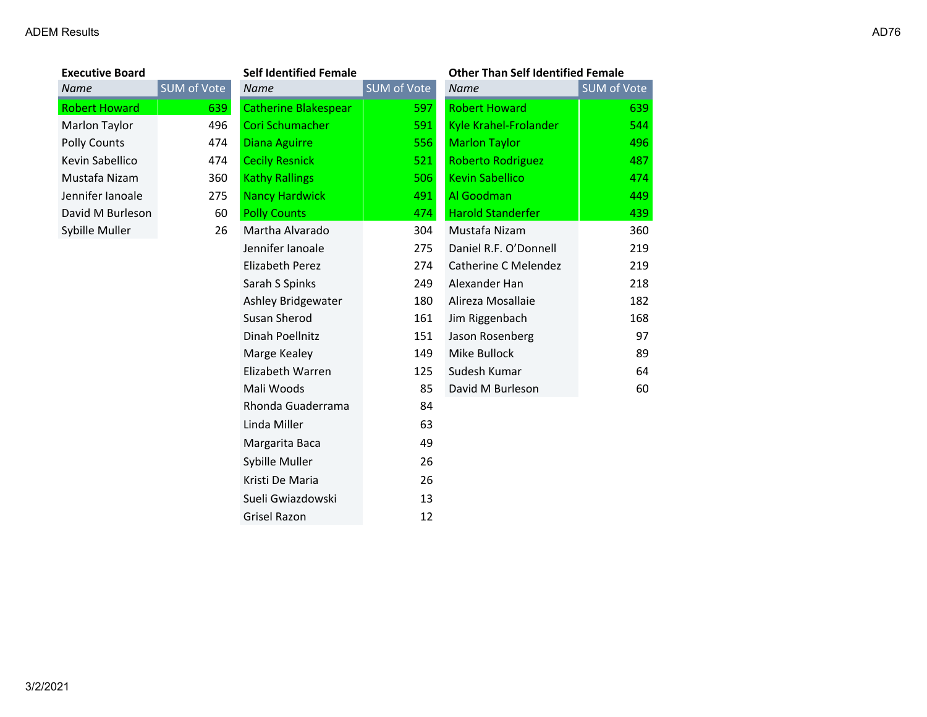| <b>Executive Board</b> |             | <b>Self Identified Female</b> |             | <b>Other Than Self Identified Female</b> |             |
|------------------------|-------------|-------------------------------|-------------|------------------------------------------|-------------|
| Name                   | SUM of Vote | <b>Name</b>                   | SUM of Vote | <b>Name</b>                              | SUM of Vote |
| <b>Robert Howard</b>   | 639         | <b>Catherine Blakespear</b>   | 597         | <b>Robert Howard</b>                     | 639         |
| Marlon Taylor          | 496         | Cori Schumacher               | 591         | Kyle Krahel-Frolander                    | 544         |
| <b>Polly Counts</b>    | 474         | <b>Diana Aguirre</b>          | 556         | <b>Marlon Taylor</b>                     | 496         |
| Kevin Sabellico        | 474         | <b>Cecily Resnick</b>         | 521         | <b>Roberto Rodriguez</b>                 | 487         |
| Mustafa Nizam          | 360         | <b>Kathy Rallings</b>         | 506         | <b>Kevin Sabellico</b>                   | 474         |
| Jennifer lanoale       | 275         | <b>Nancy Hardwick</b>         | 491         | Al Goodman                               | 449         |
| David M Burleson       | 60          | <b>Polly Counts</b>           | 474         | <b>Harold Standerfer</b>                 | 439         |
| Sybille Muller         | 26          | Martha Alvarado               | 304         | Mustafa Nizam                            | 360         |
|                        |             | Jennifer Ianoale              | 275         | Daniel R.F. O'Donnell                    | 219         |
|                        |             | Elizabeth Perez               | 274         | <b>Catherine C Melendez</b>              | 219         |
|                        |             | Sarah S Spinks                | 249         | Alexander Han                            | 218         |
|                        |             | Ashley Bridgewater            | 180         | Alireza Mosallaie                        | 182         |
|                        |             | Susan Sherod                  | 161         | Jim Riggenbach                           | 168         |
|                        |             | Dinah Poellnitz               | 151         | Jason Rosenberg                          | 97          |
|                        |             | Marge Kealey                  | 149         | Mike Bullock                             | 89          |
|                        |             | Elizabeth Warren              | 125         | Sudesh Kumar                             | 64          |
|                        |             | Mali Woods                    | 85          | David M Burleson                         | 60          |
|                        |             | Rhonda Guaderrama             | 84          |                                          |             |
|                        |             | Linda Miller                  | 63          |                                          |             |
|                        |             | Margarita Baca                | 49          |                                          |             |
|                        |             | Sybille Muller                | 26          |                                          |             |
|                        |             | Kristi De Maria               | 26          |                                          |             |
|                        |             | Sueli Gwiazdowski             | 13          |                                          |             |

Grisel Razon 12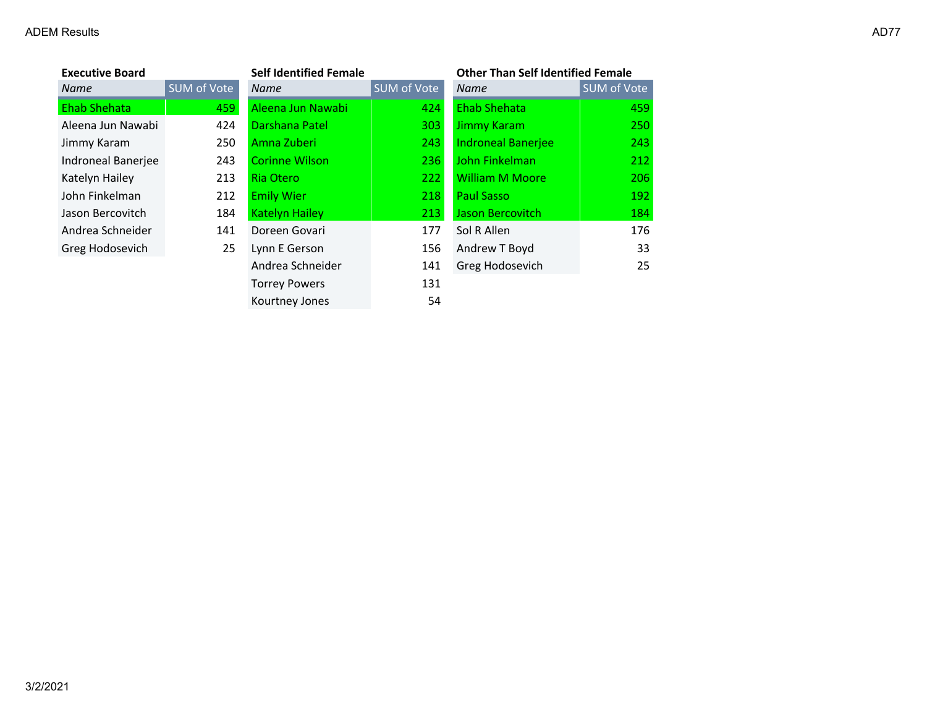### ADEM Results and the control of the control of the control of the control of the control of the control of the control of the control of the control of the control of the control of the control of the control of the contro

| <b>Executive Board</b> |             | <b>Self Identified Female</b> |             | <b>Other Than Self Identified Female</b> |             |
|------------------------|-------------|-------------------------------|-------------|------------------------------------------|-------------|
| Name                   | SUM of Vote | <b>Name</b>                   | SUM of Vote | <b>Name</b>                              | SUM of Vote |
| <b>Ehab Shehata</b>    | 459         | Aleena Jun Nawabi             | 424         | <b>Ehab Shehata</b>                      | 459         |
| Aleena Jun Nawabi      | 424         | Darshana Patel                | 303         | <b>Jimmy Karam</b>                       | 250         |
| Jimmy Karam            | 250         | Amna Zuberi                   | 243         | <b>Indroneal Banerjee</b>                | 243         |
| Indroneal Banerjee     | 243         | <b>Corinne Wilson</b>         | 236         | John Finkelman                           | 212         |
| Katelyn Hailey         | 213         | Ria Otero                     | 222         | <b>William M Moore</b>                   | 206         |
| John Finkelman         | 212         | <b>Emily Wier</b>             | 218         | <b>Paul Sasso</b>                        | 192         |
| Jason Bercovitch       | 184         | <b>Katelyn Hailey</b>         | 213         | Jason Bercovitch                         | 184         |
| Andrea Schneider       | 141         | Doreen Govari                 | 177         | Sol R Allen                              | 176         |
| Greg Hodosevich        | 25          | Lynn E Gerson                 | 156         | Andrew T Boyd                            | 33          |
|                        |             | Andrea Schneider              | 141         | Greg Hodosevich                          | 25          |
|                        |             | <b>Torrey Powers</b>          | 131         |                                          |             |
|                        |             | Kourtney Jones                | 54          |                                          |             |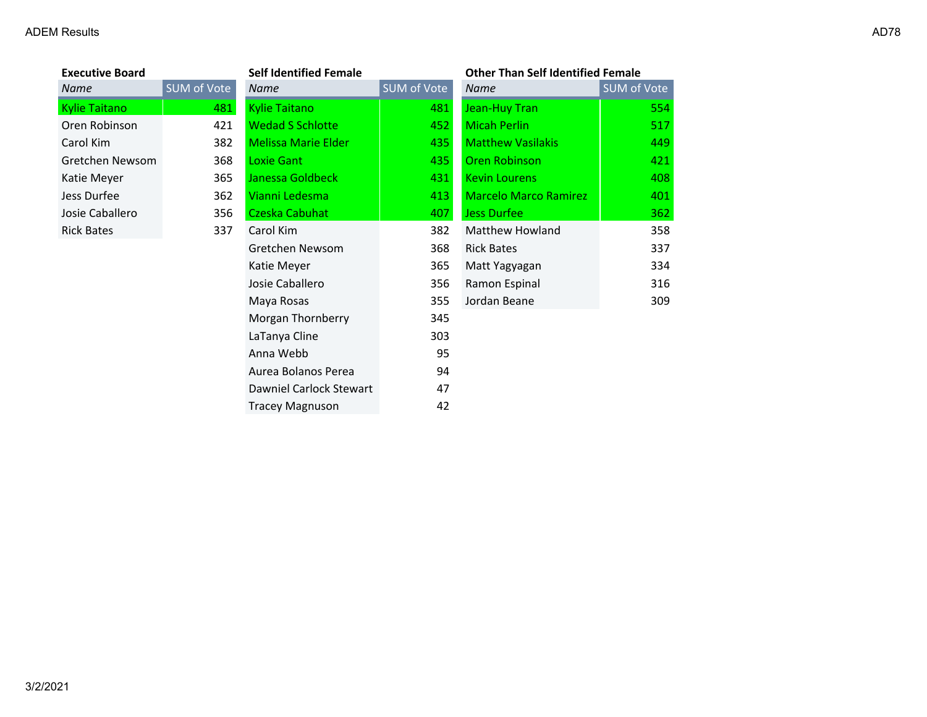| <b>Executive Board</b> |                    |  |  |  |  |
|------------------------|--------------------|--|--|--|--|
| Name                   | <b>SUM of Vote</b> |  |  |  |  |
| Kylie Taitano          | 481                |  |  |  |  |
| Oren Robinson          | 421                |  |  |  |  |
| Carol Kim              | 382                |  |  |  |  |
| Gretchen Newsom        | 368                |  |  |  |  |
| Katie Meyer            | 365                |  |  |  |  |
| Jess Durfee            | 362                |  |  |  |  |
| Josie Caballero        | 356                |  |  |  |  |
| <b>Rick Bates</b>      | 337                |  |  |  |  |
|                        |                    |  |  |  |  |

| <b>Executive Board</b> |             | <b>Self Identified Female</b> |             | <b>Other Than Self Identified Female</b> |             |
|------------------------|-------------|-------------------------------|-------------|------------------------------------------|-------------|
| Name                   | SUM of Vote | Name                          | SUM of Vote | Name                                     | SUM of Vote |
| <b>Kylie Taitano</b>   | 481         | <b>Kylie Taitano</b>          | 481         | Jean-Huy Tran                            | 554         |
| Oren Robinson          | 421         | <b>Wedad S Schlotte</b>       | 452         | <b>Micah Perlin</b>                      | 517         |
| Carol Kim              | 382         | <b>Melissa Marie Elder</b>    | 435         | <b>Matthew Vasilakis</b>                 | 449         |
| Gretchen Newsom        | 368         | Loxie Gant                    | 435         | <b>Oren Robinson</b>                     | 421         |
| Katie Meyer            | 365         | Janessa Goldbeck              | 431         | <b>Kevin Lourens</b>                     | 408         |
| Jess Durfee            | 362         | Vianni Ledesma                | 413         | <b>Marcelo Marco Ramirez</b>             | 401         |
| Josie Caballero        | 356         | Czeska Cabuhat                | 407         | <b>Jess Durfee</b>                       | 362         |
| <b>Rick Bates</b>      | 337         | Carol Kim                     | 382         | Matthew Howland                          | 358         |
|                        |             | Gretchen Newsom               | 368         | <b>Rick Bates</b>                        | 337         |
|                        |             | Katie Meyer                   | 365         | Matt Yagyagan                            | 334         |
|                        |             | Josie Caballero               | 356         | Ramon Espinal                            | 316         |
|                        |             | Maya Rosas                    | 355         | Jordan Beane                             | 309         |
|                        |             | Morgan Thornberry             | 345         |                                          |             |
|                        |             | LaTanya Cline                 | 303         |                                          |             |
|                        |             | Anna Webb                     | 95          |                                          |             |
|                        |             | Aurea Bolanos Perea           | 94          |                                          |             |
|                        |             | Dawniel Carlock Stewart       | 47          |                                          |             |
|                        |             | <b>Tracey Magnuson</b>        | 42          |                                          |             |

# **Exercise Boarding**

| l | Name                     | <b>SUM of Vote</b> |
|---|--------------------------|--------------------|
| l | Jean-Huy Tran            | 554                |
| 2 | <b>Micah Perlin</b>      | 517                |
| 5 | <b>Matthew Vasilakis</b> | 449                |
| 5 | <b>Oren Robinson</b>     | 421                |
| ı | Kevin Lourens            | 408                |
| 3 | Marcelo Marco Ramirez    | 401                |
| 7 | <b>Jess Durfee</b>       | 362                |
| 2 | Matthew Howland          | 358                |
| 3 | <b>Rick Bates</b>        | 337                |
| 5 | Matt Yagyagan            | 334                |
| 5 | Ramon Espinal            | 316                |
| 5 | Jordan Beane             | 309                |
|   |                          |                    |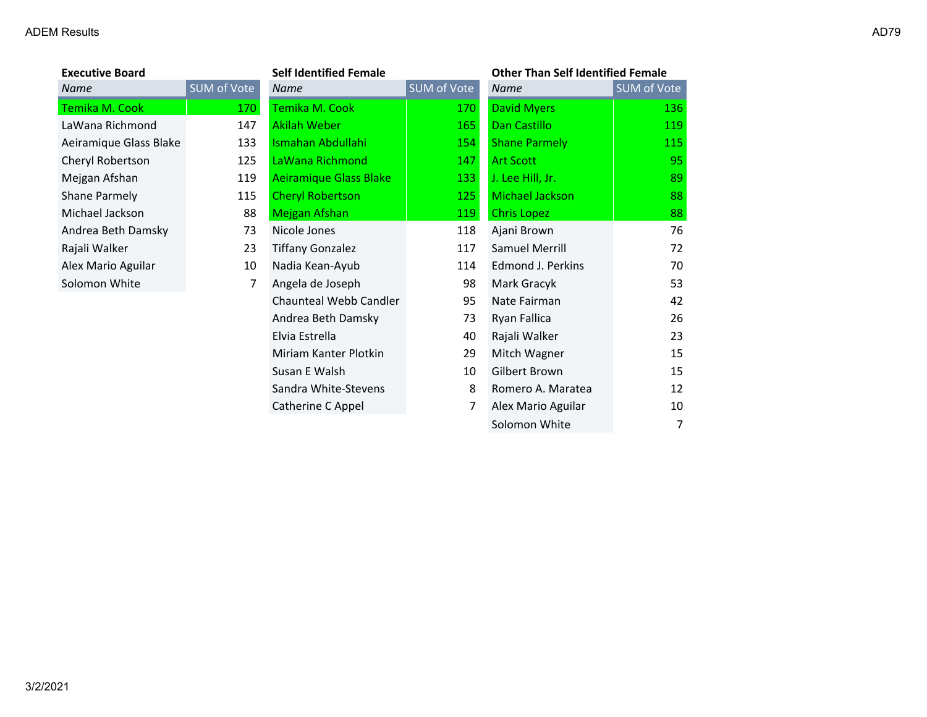| <b>Executive Board</b> |             | <b>Self Identified Female</b> |             | <b>Other Than Self Identified Female</b> |             |
|------------------------|-------------|-------------------------------|-------------|------------------------------------------|-------------|
| Name                   | SUM of Vote | <b>Name</b>                   | SUM of Vote | Name                                     | SUM of Vote |
| Temika M. Cook         | 170         | Temika M. Cook                | 170         | <b>David Myers</b>                       | 136         |
| LaWana Richmond        | 147         | <b>Akilah Weber</b>           | 165         | Dan Castillo                             | 119         |
| Aeiramique Glass Blake | 133         | Ismahan Abdullahi             | 154         | <b>Shane Parmely</b>                     | 115         |
| Cheryl Robertson       | 125         | LaWana Richmond               | 147         | <b>Art Scott</b>                         | 95          |
| Mejgan Afshan          | 119         | Aeiramique Glass Blake        | 133         | J. Lee Hill, Jr.                         | 89          |
| Shane Parmely          | 115         | <b>Cheryl Robertson</b>       | 125         | Michael Jackson                          | 88          |
| Michael Jackson        | 88          | Mejgan Afshan                 | 119         | <b>Chris Lopez</b>                       | 88          |
| Andrea Beth Damsky     | 73          | Nicole Jones                  | 118         | Ajani Brown                              | 76          |
| Rajali Walker          | 23          | <b>Tiffany Gonzalez</b>       | 117         | Samuel Merrill                           | 72          |
| Alex Mario Aguilar     | 10          | Nadia Kean-Ayub               | 114         | Edmond J. Perkins                        | 70          |
| Solomon White          | 7           | Angela de Joseph              | 98          | Mark Gracyk                              | 53          |
|                        |             | Chaunteal Webb Candler        | 95          | Nate Fairman                             | 42          |
|                        |             | Andrea Beth Damsky            | 73          | Ryan Fallica                             | 26          |
|                        |             | Elvia Estrella                | 40          | Rajali Walker                            | 23          |
|                        |             | Miriam Kanter Plotkin         | 29          | Mitch Wagner                             | 15          |
|                        |             | Susan E Walsh                 | 10          | Gilbert Brown                            | 15          |
|                        |             | Sandra White-Stevens          | 8           | Romero A. Maratea                        | 12          |
|                        |             | Catherine C Appel             | 7           | Alex Mario Aguilar                       | 10          |

Solomon White 7 7